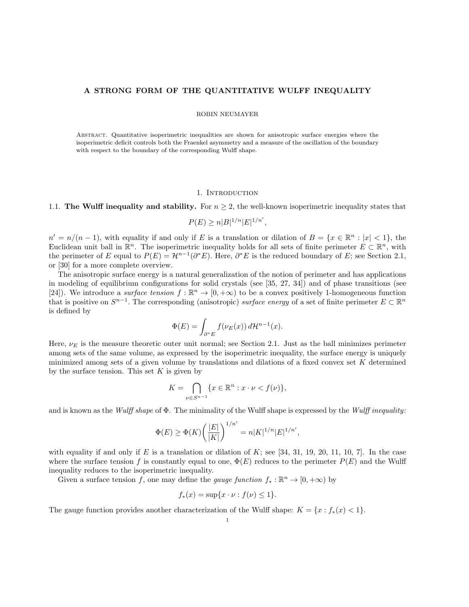## A STRONG FORM OF THE QUANTITATIVE WULFF INEQUALITY

## ROBIN NEUMAYER

Abstract. Quantitative isoperimetric inequalities are shown for anisotropic surface energies where the isoperimetric deficit controls both the Fraenkel asymmetry and a measure of the oscillation of the boundary with respect to the boundary of the corresponding Wulff shape.

#### 1. Introduction

## 1.1. The Wulff inequality and stability. For  $n \geq 2$ , the well-known isoperimetric inequality states that

 $P(E) \geq n|B|^{1/n} |E|^{1/n'},$ 

 $n' = n/(n-1)$ , with equality if and only if E is a translation or dilation of  $B = \{x \in \mathbb{R}^n : |x| < 1\}$ , the Euclidean unit ball in  $\mathbb{R}^n$ . The isoperimetric inequality holds for all sets of finite perimeter  $E \subset \mathbb{R}^n$ , with the perimeter of E equal to  $P(E) = \mathcal{H}^{n-1}(\partial^* E)$ . Here,  $\partial^* E$  is the reduced boundary of E; see Section 2.1, or [30] for a more complete overview.

The anisotropic surface energy is a natural generalization of the notion of perimeter and has applications in modeling of equilibrium configurations for solid crystals (see [35, 27, 34]) and of phase transitions (see [24]). We introduce a surface tension  $f : \mathbb{R}^n \to [0, +\infty)$  to be a convex positively 1-homogeneous function that is positive on  $S^{n-1}$ . The corresponding (anisotropic) surface energy of a set of finite perimeter  $E \subset \mathbb{R}^n$ is defined by

$$
\Phi(E) = \int_{\partial^* E} f(\nu_E(x)) d\mathcal{H}^{n-1}(x).
$$

Here,  $\nu_E$  is the measure theoretic outer unit normal; see Section 2.1. Just as the ball minimizes perimeter among sets of the same volume, as expressed by the isoperimetric inequality, the surface energy is uniquely minimized among sets of a given volume by translations and dilations of a fixed convex set  $K$  determined by the surface tension. This set  $K$  is given by

$$
K = \bigcap_{\nu \in S^{n-1}} \{x \in \mathbb{R}^n : x \cdot \nu < f(\nu)\},\
$$

and is known as the Wulff shape of  $\Phi$ . The minimality of the Wulff shape is expressed by the Wulff inequality:

$$
\Phi(E) \geq \Phi(K) \bigg( \frac{|E|}{|K|} \bigg)^{1/n'} = n |K|^{1/n} |E|^{1/n'},
$$

with equality if and only if E is a translation or dilation of K; see [34, 31, 19, 20, 11, 10, 7]. In the case where the surface tension f is constantly equal to one,  $\Phi(E)$  reduces to the perimeter  $P(E)$  and the Wulff inequality reduces to the isoperimetric inequality.

Given a surface tension f, one may define the gauge function  $f_* : \mathbb{R}^n \to [0, +\infty)$  by

$$
f_*(x) = \sup\{x \cdot \nu : f(\nu) \le 1\}.
$$

The gauge function provides another characterization of the Wulff shape:  $K = \{x : f_*(x) < 1\}.$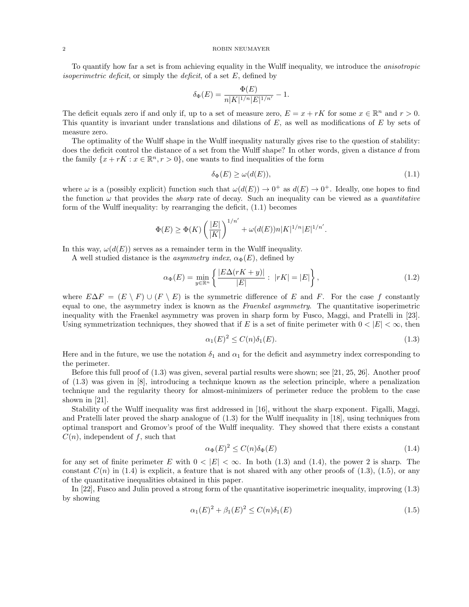To quantify how far a set is from achieving equality in the Wulff inequality, we introduce the anisotropic *isoperimetric deficit*, or simply the *deficit*, of a set  $E$ , defined by

$$
\delta_{\Phi}(E) = \frac{\Phi(E)}{n|K|^{1/n}|E|^{1/n'}} - 1.
$$

The deficit equals zero if and only if, up to a set of measure zero,  $E = x + rK$  for some  $x \in \mathbb{R}^n$  and  $r > 0$ . This quantity is invariant under translations and dilations of  $E$ , as well as modifications of  $E$  by sets of measure zero.

The optimality of the Wulff shape in the Wulff inequality naturally gives rise to the question of stability: does the deficit control the distance of a set from the Wulff shape? In other words, given a distance d from the family  $\{x + rK : x \in \mathbb{R}^n, r > 0\}$ , one wants to find inequalities of the form

$$
\delta_{\Phi}(E) \ge \omega(d(E)),\tag{1.1}
$$

where  $\omega$  is a (possibly explicit) function such that  $\omega(d(E)) \to 0^+$  as  $d(E) \to 0^+$ . Ideally, one hopes to find the function  $\omega$  that provides the *sharp* rate of decay. Such an inequality can be viewed as a *quantitative* form of the Wulff inequality: by rearranging the deficit, (1.1) becomes

$$
\Phi(E)\geq \Phi(K)\left(\frac{|E|}{|K|}\right)^{1/n'}+\omega(d(E))n|K|^{1/n}|E|^{1/n'}.
$$

In this way,  $\omega(d(E))$  serves as a remainder term in the Wulff inequality.

A well studied distance is the *asymmetry index*,  $\alpha_{\Phi}(E)$ , defined by

$$
\alpha_{\Phi}(E) = \min_{y \in \mathbb{R}^n} \left\{ \frac{|E\Delta(rK + y)|}{|E|} : |rK| = |E| \right\},\tag{1.2}
$$

where  $E\Delta F = (E \setminus F) \cup (F \setminus E)$  is the symmetric difference of E and F. For the case f constantly equal to one, the asymmetry index is known as the Fraenkel asymmetry. The quantitative isoperimetric inequality with the Fraenkel asymmetry was proven in sharp form by Fusco, Maggi, and Pratelli in [23]. Using symmetrization techniques, they showed that if E is a set of finite perimeter with  $0 < |E| < \infty$ , then

$$
\alpha_1(E)^2 \le C(n)\delta_1(E). \tag{1.3}
$$

Here and in the future, we use the notation  $\delta_1$  and  $\alpha_1$  for the deficit and asymmetry index corresponding to the perimeter.

Before this full proof of (1.3) was given, several partial results were shown; see [21, 25, 26]. Another proof of (1.3) was given in [8], introducing a technique known as the selection principle, where a penalization technique and the regularity theory for almost-minimizers of perimeter reduce the problem to the case shown in [21].

Stability of the Wulff inequality was first addressed in [16], without the sharp exponent. Figalli, Maggi, and Pratelli later proved the sharp analogue of (1.3) for the Wulff inequality in [18], using techniques from optimal transport and Gromov's proof of the Wulff inequality. They showed that there exists a constant  $C(n)$ , independent of f, such that

$$
\alpha_{\Phi}(E)^2 \le C(n)\delta_{\Phi}(E) \tag{1.4}
$$

for any set of finite perimeter E with  $0 < |E| < \infty$ . In both (1.3) and (1.4), the power 2 is sharp. The constant  $C(n)$  in (1.4) is explicit, a feature that is not shared with any other proofs of (1.3), (1.5), or any of the quantitative inequalities obtained in this paper.

In [22], Fusco and Julin proved a strong form of the quantitative isoperimetric inequality, improving (1.3) by showing

$$
\alpha_1(E)^2 + \beta_1(E)^2 \le C(n)\delta_1(E) \tag{1.5}
$$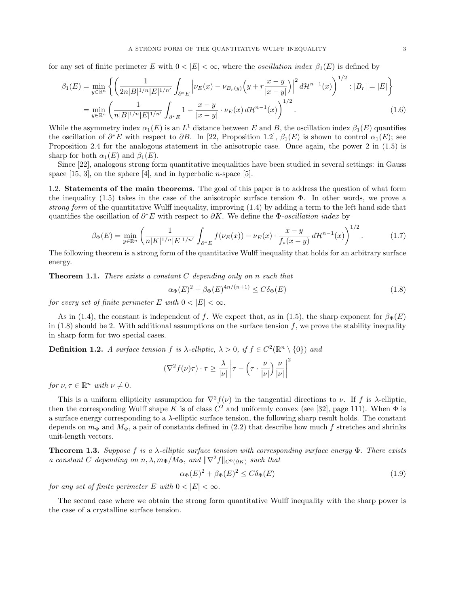for any set of finite perimeter E with  $0 < |E| < \infty$ , where the *oscillation index*  $\beta_1(E)$  is defined by

$$
\beta_1(E) = \min_{y \in \mathbb{R}^n} \left\{ \left( \frac{1}{2n|B|^{1/n}|E|^{1/n'}} \int_{\partial^* E} \left| \nu_E(x) - \nu_{B_r(y)} \left( y + r \frac{x - y}{|x - y|} \right) \right|^2 d\mathcal{H}^{n-1}(x) \right)^{1/2} : |B_r| = |E| \right\}
$$
  
= 
$$
\min_{y \in \mathbb{R}^n} \left( \frac{1}{n|B|^{1/n}|E|^{1/n'}} \int_{\partial^* E} 1 - \frac{x - y}{|x - y|} \cdot \nu_E(x) d\mathcal{H}^{n-1}(x) \right)^{1/2} .
$$
 (1.6)

While the asymmetry index  $\alpha_1(E)$  is an  $L^1$  distance between E and B, the oscillation index  $\beta_1(E)$  quantifies the oscillation of  $\partial^*E$  with respect to  $\partial B$ . In [22, Proposition 1.2],  $\beta_1(E)$  is shown to control  $\alpha_1(E)$ ; see Proposition 2.4 for the analogous statement in the anisotropic case. Once again, the power 2 in (1.5) is sharp for both  $\alpha_1(E)$  and  $\beta_1(E)$ .

Since [22], analogous strong form quantitative inequalities have been studied in several settings: in Gauss space  $[15, 3]$ , on the sphere  $[4]$ , and in hyperbolic *n*-space  $[5]$ .

1.2. Statements of the main theorems. The goal of this paper is to address the question of what form the inequality (1.5) takes in the case of the anisotropic surface tension  $\Phi$ . In other words, we prove a strong form of the quantitative Wulff inequality, improving (1.4) by adding a term to the left hand side that quantifies the oscillation of  $\partial^* E$  with respect to  $\partial K$ . We define the  $\Phi$ -oscillation index by

$$
\beta_{\Phi}(E) = \min_{y \in \mathbb{R}^n} \left( \frac{1}{n|K|^{1/n}|E|^{1/n'}} \int_{\partial^* E} f(\nu_E(x)) - \nu_E(x) \cdot \frac{x - y}{f_*(x - y)} d\mathcal{H}^{n-1}(x) \right)^{1/2}.
$$
 (1.7)

The following theorem is a strong form of the quantitative Wulff inequality that holds for an arbitrary surface energy.

**Theorem 1.1.** There exists a constant  $C$  depending only on n such that

$$
\alpha_{\Phi}(E)^{2} + \beta_{\Phi}(E)^{4n/(n+1)} \le C\delta_{\Phi}(E)
$$
\n(1.8)

for every set of finite perimeter E with  $0 < |E| < \infty$ .

As in (1.4), the constant is independent of f. We expect that, as in (1.5), the sharp exponent for  $\beta_{\Phi}(E)$ in  $(1.8)$  should be 2. With additional assumptions on the surface tension f, we prove the stability inequality in sharp form for two special cases.

**Definition 1.2.** A surface tension f is  $\lambda$ -elliptic,  $\lambda > 0$ , if  $f \in C^2(\mathbb{R}^n \setminus \{0\})$  and

$$
(\nabla^2 f(\nu)\tau) \cdot \tau \ge \frac{\lambda}{|\nu|} \left| \tau - \left(\tau \cdot \frac{\nu}{|\nu|}\right) \frac{\nu}{|\nu|} \right|^2
$$

for  $\nu, \tau \in \mathbb{R}^n$  with  $\nu \neq 0$ .

This is a uniform ellipticity assumption for  $\nabla^2 f(\nu)$  in the tangential directions to  $\nu$ . If f is  $\lambda$ -elliptic, then the corresponding Wulff shape K is of class  $C^2$  and uniformly convex (see [32], page 111). When  $\Phi$  is a surface energy corresponding to a  $\lambda$ -elliptic surface tension, the following sharp result holds. The constant depends on  $m_{\Phi}$  and  $M_{\Phi}$ , a pair of constants defined in (2.2) that describe how much f stretches and shrinks unit-length vectors.

**Theorem 1.3.** Suppose f is a  $\lambda$ -elliptic surface tension with corresponding surface energy  $\Phi$ . There exists a constant C depending on n,  $\lambda$ ,  $m_{\Phi}/M_{\Phi}$ , and  $\|\nabla^2 f\|_{C^0(\partial K)}$  such that

$$
\alpha_{\Phi}(E)^2 + \beta_{\Phi}(E)^2 \le C\delta_{\Phi}(E) \tag{1.9}
$$

for any set of finite perimeter E with  $0 < |E| < \infty$ .

The second case where we obtain the strong form quantitative Wulff inequality with the sharp power is the case of a crystalline surface tension.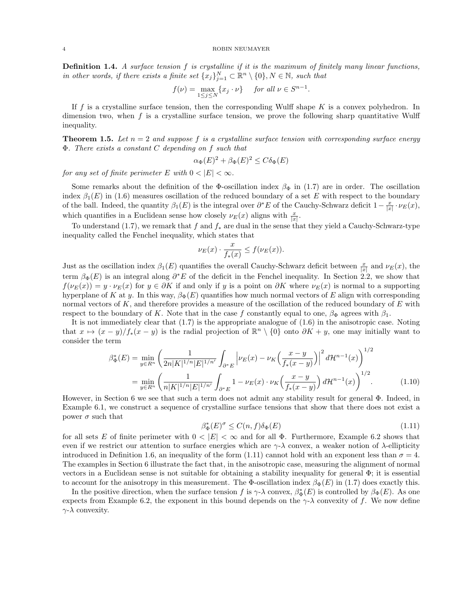**Definition 1.4.** A surface tension  $f$  is crystalline if it is the maximum of finitely many linear functions, in other words, if there exists a finite set  $\{x_j\}_{j=1}^N \subset \mathbb{R}^n \setminus \{0\}$ ,  $N \in \mathbb{N}$ , such that

$$
f(\nu) = \max_{1 \le j \le N} \{x_j \cdot \nu\} \quad \text{for all } \nu \in S^{n-1}.
$$

If f is a crystalline surface tension, then the corresponding Wulff shape  $K$  is a convex polyhedron. In dimension two, when  $f$  is a crystalline surface tension, we prove the following sharp quantitative Wulff inequality.

**Theorem 1.5.** Let  $n = 2$  and suppose f is a crystalline surface tension with corresponding surface energy Φ. There exists a constant C depending on f such that

$$
\alpha_{\Phi}(E)^2 + \beta_{\Phi}(E)^2 \le C\delta_{\Phi}(E)
$$

for any set of finite perimeter E with  $0 < |E| < \infty$ .

Some remarks about the definition of the Φ-oscillation index  $\beta_{\Phi}$  in (1.7) are in order. The oscillation index  $\beta_1(E)$  in (1.6) measures oscillation of the reduced boundary of a set E with respect to the boundary of the ball. Indeed, the quantity  $\beta_1(E)$  is the integral over  $\partial^* E$  of the Cauchy-Schwarz deficit  $1-\frac{x}{|x|}\cdot \nu_E(x)$ , which quantifies in a Euclidean sense how closely  $\nu_E(x)$  aligns with  $\frac{x}{|x|}$ .

To understand (1.7), we remark that f and  $f_*$  are dual in the sense that they yield a Cauchy-Schwarz-type inequality called the Fenchel inequality, which states that

$$
\nu_E(x) \cdot \frac{x}{f_*(x)} \le f(\nu_E(x)).
$$

Just as the oscillation index  $\beta_1(E)$  quantifies the overall Cauchy-Schwarz deficit between  $\frac{x}{|x|}$  and  $\nu_E(x)$ , the term  $\beta_{\Phi}(E)$  is an integral along  $\partial^* E$  of the deficit in the Fenchel inequality. In Section 2.2, we show that  $f(\nu_E(x)) = y \cdot \nu_E(x)$  for  $y \in \partial K$  if and only if y is a point on  $\partial K$  where  $\nu_E(x)$  is normal to a supporting hyperplane of K at y. In this way,  $\beta_{\Phi}(E)$  quantifies how much normal vectors of E align with corresponding normal vectors of  $K$ , and therefore provides a measure of the oscillation of the reduced boundary of  $E$  with respect to the boundary of K. Note that in the case f constantly equal to one,  $\beta_{\Phi}$  agrees with  $\beta_1$ .

It is not immediately clear that (1.7) is the appropriate analogue of (1.6) in the anisotropic case. Noting that  $x \mapsto (x - y)/f_*(x - y)$  is the radial projection of  $\mathbb{R}^n \setminus \{0\}$  onto  $\partial K + y$ , one may initially want to consider the term

$$
\beta_{\Phi}^{*}(E) = \min_{y \in R^{n}} \left( \frac{1}{2n|K|^{1/n}|E|^{1/n'}} \int_{\partial^{*}E} \left| \nu_{E}(x) - \nu_{K} \left( \frac{x-y}{f_{*}(x-y)} \right) \right|^{2} d\mathcal{H}^{n-1}(x) \right)^{1/2}
$$

$$
= \min_{y \in R^{n}} \left( \frac{1}{n|K|^{1/n}|E|^{1/n'}} \int_{\partial^{*}E} 1 - \nu_{E}(x) \cdot \nu_{K} \left( \frac{x-y}{f_{*}(x-y)} \right) d\mathcal{H}^{n-1}(x) \right)^{1/2} . \tag{1.10}
$$

However, in Section 6 we see that such a term does not admit any stability result for general Φ. Indeed, in Example 6.1, we construct a sequence of crystalline surface tensions that show that there does not exist a power  $\sigma$  such that

$$
\beta_{\Phi}^*(E)^{\sigma} \le C(n, f)\delta_{\Phi}(E) \tag{1.11}
$$

for all sets E of finite perimeter with  $0 < |E| < \infty$  and for all  $\Phi$ . Furthermore, Example 6.2 shows that even if we restrict our attention to surface energies which are  $\gamma-\lambda$  convex, a weaker notion of  $\lambda$ -ellipticity introduced in Definition 1.6, an inequality of the form (1.11) cannot hold with an exponent less than  $\sigma = 4$ . The examples in Section 6 illustrate the fact that, in the anisotropic case, measuring the alignment of normal vectors in a Euclidean sense is not suitable for obtaining a stability inequality for general  $\Phi$ ; it is essential to account for the anisotropy in this measurement. The Φ-oscillation index  $\beta_{\Phi}(E)$  in (1.7) does exactly this.

In the positive direction, when the surface tension f is  $\gamma$ - $\lambda$  convex,  $\beta_{\Phi}^*(E)$  is controlled by  $\beta_{\Phi}(E)$ . As one expects from Example 6.2, the exponent in this bound depends on the  $\gamma$ - $\lambda$  convexity of f. We now define  $\gamma$ - $\lambda$  convexity.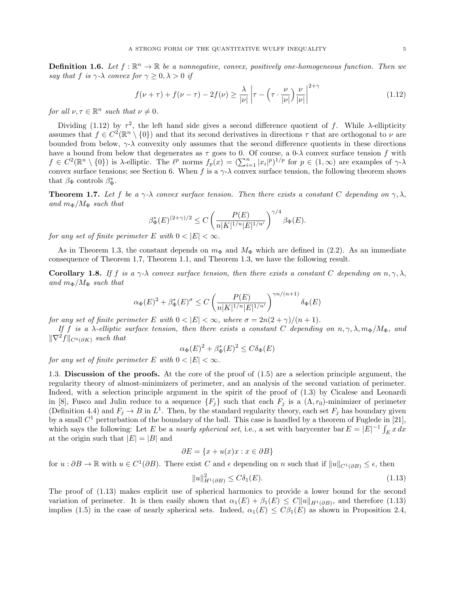**Definition 1.6.** Let  $f : \mathbb{R}^n \to \mathbb{R}$  be a nonnegative, convex, positively one-homogeneous function. Then we say that f is  $\gamma$ - $\lambda$  convex for  $\gamma \geq 0, \lambda > 0$  if

$$
f(\nu + \tau) + f(\nu - \tau) - 2f(\nu) \ge \frac{\lambda}{|\nu|} \left| \tau - \left(\tau \cdot \frac{\nu}{|\nu|}\right) \frac{\nu}{|\nu|} \right|^{2+\gamma} \tag{1.12}
$$

for all  $\nu, \tau \in \mathbb{R}^n$  such that  $\nu \neq 0$ .

Dividing (1.12) by  $\tau^2$ , the left hand side gives a second difference quotient of f. While  $\lambda$ -ellipticity assumes that  $f \in C^2(\mathbb{R}^n \setminus \{0\})$  and that its second derivatives in directions  $\tau$  that are orthogonal to  $\nu$  are bounded from below,  $\gamma \lambda$  convexity only assumes that the second difference quotients in these directions have a bound from below that degenerates as  $\tau$  goes to 0. Of course, a 0- $\lambda$  convex surface tension f with  $f \in C^2(\mathbb{R}^n \setminus \{0\})$  is  $\lambda$ -elliptic. The  $\ell^p$  norms  $f_p(x) = (\sum_{i=1}^n |x_i|^p)^{1/p}$  for  $p \in (1,\infty)$  are examples of  $\gamma$ - $\lambda$ convex surface tensions; see Section 6. When f is a  $\gamma$ - $\lambda$  convex surface tension, the following theorem shows that  $\beta_{\Phi}$  controls  $\beta_{\Phi}^*$ .

**Theorem 1.7.** Let f be a  $\gamma$ - $\lambda$  convex surface tension. Then there exists a constant C depending on  $\gamma$ ,  $\lambda$ , and  $m_{\Phi}/M_{\Phi}$  such that

$$
\beta_{\Phi}^*(E)^{(2+\gamma)/2} \le C \left( \frac{P(E)}{n|K|^{1/n}|E|^{1/n'}} \right)^{\gamma/4} \beta_{\Phi}(E).
$$

for any set of finite perimeter E with  $0 < |E| < \infty$ .

As in Theorem 1.3, the constant depends on  $m_{\Phi}$  and  $M_{\Phi}$  which are defined in (2.2). As an immediate consequence of Theorem 1.7, Theorem 1.1, and Theorem 1.3, we have the following result.

**Corollary 1.8.** If f is a  $\gamma$ - $\lambda$  convex surface tension, then there exists a constant C depending on  $n, \gamma, \lambda$ , and  $m_{\Phi}/M_{\Phi}$  such that

$$
\alpha_{\Phi}(E)^{2} + \beta_{\Phi}^{*}(E)^{\sigma} \le C \left( \frac{P(E)}{n|K|^{1/n}|E|^{1/n'}} \right)^{\gamma n/(n+1)} \delta_{\Phi}(E)
$$

for any set of finite perimeter E with  $0 < |E| < \infty$ , where  $\sigma = 2n(2+\gamma)/(n+1)$ .

If f is a λ-elliptic surface tension, then there exists a constant C depending on  $n, \gamma, \lambda, m_{\Phi}/M_{\Phi}$ , and  $\|\nabla^2 f\|_{C^0(\partial K)}$  such that

$$
\alpha_{\Phi}(E)^2 + \beta_{\Phi}^*(E)^2 \le C\delta_{\Phi}(E)
$$

for any set of finite perimeter E with  $0 < |E| < \infty$ .

1.3. Discussion of the proofs. At the core of the proof of (1.5) are a selection principle argument, the regularity theory of almost-minimizers of perimeter, and an analysis of the second variation of perimeter. Indeed, with a selection principle argument in the spirit of the proof of (1.3) by Cicalese and Leonardi in [8], Fusco and Julin reduce to a sequence  $\{F_j\}$  such that each  $F_j$  is a  $(\Lambda, r_0)$ -minimizer of perimeter (Definition 4.4) and  $F_j \to B$  in  $L^1$ . Then, by the standard regularity theory, each set  $F_j$  has boundary given by a small  $C^1$  perturbation of the boundary of the ball. This case is handled by a theorem of Fuglede in [21], which says the following: Let E be a nearly spherical set, i.e., a set with barycenter bar  $E = |E|^{-1} \int_E x \, dx$ at the origin such that  $|E| = |B|$  and

$$
\partial E = \{x + u(x)x : x \in \partial B\}
$$

for  $u : \partial B \to \mathbb{R}$  with  $u \in C^1(\partial B)$ . There exist C and  $\epsilon$  depending on n such that if  $||u||_{C^1(\partial B)} \leq \epsilon$ , then

$$
||u||_{H^{1}(\partial B)}^{2} \le C\delta_{1}(E). \tag{1.13}
$$

The proof of (1.13) makes explicit use of spherical harmonics to provide a lower bound for the second variation of perimeter. It is then easily shown that  $\alpha_1(E) + \beta_1(E) \leq C||u||_{H^1(\partial B)}$ , and therefore (1.13) implies (1.5) in the case of nearly spherical sets. Indeed,  $\alpha_1(E) \leq C\beta_1(E)$  as shown in Proposition 2.4,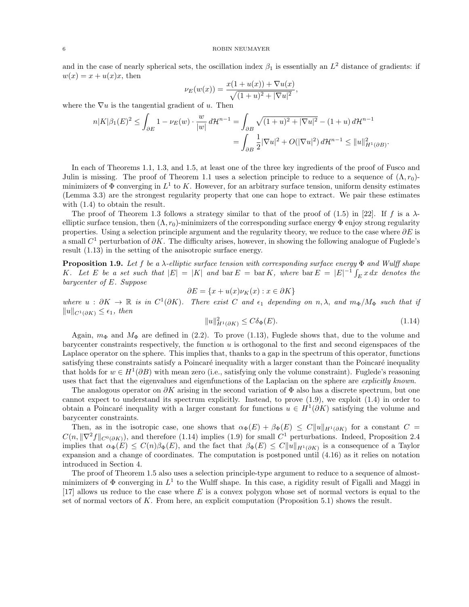and in the case of nearly spherical sets, the oscillation index  $\beta_1$  is essentially an  $L^2$  distance of gradients: if  $w(x) = x + u(x)x$ , then

$$
\nu_E(w(x)) = \frac{x(1 + u(x)) + \nabla u(x)}{\sqrt{(1 + u)^2 + |\nabla u|^2}},
$$

where the  $\nabla u$  is the tangential gradient of u. Then

$$
n|K|\beta_1(E)^2 \le \int_{\partial E} 1 - \nu_E(w) \cdot \frac{w}{|w|} d\mathcal{H}^{n-1} = \int_{\partial B} \sqrt{(1+u)^2 + |\nabla u|^2} - (1+u) d\mathcal{H}^{n-1}
$$
  
= 
$$
\int_{\partial B} \frac{1}{2} |\nabla u|^2 + O(|\nabla u|^2) d\mathcal{H}^{n-1} \le ||u||_{H^1(\partial B)}^2
$$

In each of Theorems 1.1, 1.3, and 1.5, at least one of the three key ingredients of the proof of Fusco and Julin is missing. The proof of Theorem 1.1 uses a selection principle to reduce to a sequence of  $(\Lambda, r_0)$ minimizers of  $\Phi$  converging in  $L^1$  to K. However, for an arbitrary surface tension, uniform density estimates (Lemma 3.3) are the strongest regularity property that one can hope to extract. We pair these estimates with (1.4) to obtain the result.

The proof of Theorem 1.3 follows a strategy similar to that of the proof of (1.5) in [22]. If f is a  $\lambda$ elliptic surface tension, then  $(\Lambda, r_0)$ -minimizers of the corresponding surface energy  $\Phi$  enjoy strong regularity properties. Using a selection principle argument and the regularity theory, we reduce to the case where  $\partial E$  is a small  $C<sup>1</sup>$  perturbation of  $\partial K$ . The difficulty arises, however, in showing the following analogue of Fuglede's result (1.13) in the setting of the anisotropic surface energy.

**Proposition 1.9.** Let f be a  $\lambda$ -elliptic surface tension with corresponding surface energy  $\Phi$  and Wulff shape K. Let E be a set such that  $|E| = |K|$  and  $\text{bar } E = \text{bar } K$ , where  $\text{bar } E = |E|^{-1} \int_{E} x \, dx$  denotes the barycenter of E. Suppose

$$
\partial E = \{x + u(x)\nu_K(x) : x \in \partial K\}
$$

where  $u : \partial K \to \mathbb{R}$  is in  $C^1(\partial K)$ . There exist C and  $\epsilon_1$  depending on  $n, \lambda$ , and  $m_{\Phi}/M_{\Phi}$  such that if  $||u||_{C^{1}(\partial K)}$  ≤  $\epsilon_1$ , then

$$
||u||_{H^1(\partial K)}^2 \le C\delta_{\Phi}(E). \tag{1.14}
$$

.

Again,  $m_{\Phi}$  and  $M_{\Phi}$  are defined in (2.2). To prove (1.13), Fuglede shows that, due to the volume and barycenter constraints respectively, the function u is orthogonal to the first and second eigenspaces of the Laplace operator on the sphere. This implies that, thanks to a gap in the spectrum of this operator, functions satisfying these constraints satisfy a Poincaré inequality with a larger constant than the Poincaré inequality that holds for  $w \in H^1(\partial B)$  with mean zero (i.e., satisfying only the volume constraint). Fuglede's reasoning uses that fact that the eigenvalues and eigenfunctions of the Laplacian on the sphere are *explicitly known*.

The analogous operator on  $\partial K$  arising in the second variation of  $\Phi$  also has a discrete spectrum, but one cannot expect to understand its spectrum explicitly. Instead, to prove (1.9), we exploit (1.4) in order to obtain a Poincaré inequality with a larger constant for functions  $u \in H^1(\partial K)$  satisfying the volume and barycenter constraints.

Then, as in the isotropic case, one shows that  $\alpha_{\Phi}(E) + \beta_{\Phi}(E) \leq C||u||_{H^1(\partial K)}$  for a constant  $C =$  $C(n, \|\nabla^2 f\|_{C^0(\partial K)})$ , and therefore (1.14) implies (1.9) for small  $C^1$  perturbations. Indeed, Proposition 2.4 implies that  $\alpha_{\Phi}(E) \leq C(n)\beta_{\Phi}(E)$ , and the fact that  $\beta_{\Phi}(E) \leq C||u||_{H^1(\partial K)}$  is a consequence of a Taylor expansion and a change of coordinates. The computation is postponed until (4.16) as it relies on notation introduced in Section 4.

The proof of Theorem 1.5 also uses a selection principle-type argument to reduce to a sequence of almostminimizers of  $\Phi$  converging in  $L^1$  to the Wulff shape. In this case, a rigidity result of Figalli and Maggi in  $[17]$  allows us reduce to the case where E is a convex polygon whose set of normal vectors is equal to the set of normal vectors of  $K$ . From here, an explicit computation (Proposition 5.1) shows the result.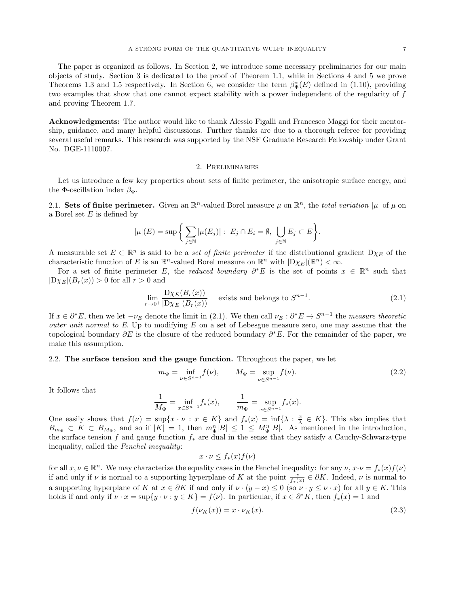The paper is organized as follows. In Section 2, we introduce some necessary preliminaries for our main objects of study. Section 3 is dedicated to the proof of Theorem 1.1, while in Sections 4 and 5 we prove Theorems 1.3 and 1.5 respectively. In Section 6, we consider the term  $\beta_{\Phi}^*(E)$  defined in (1.10), providing two examples that show that one cannot expect stability with a power independent of the regularity of f and proving Theorem 1.7.

Acknowledgments: The author would like to thank Alessio Figalli and Francesco Maggi for their mentorship, guidance, and many helpful discussions. Further thanks are due to a thorough referee for providing several useful remarks. This research was supported by the NSF Graduate Research Fellowship under Grant No. DGE-1110007.

## 2. Preliminaries

Let us introduce a few key properties about sets of finite perimeter, the anisotropic surface energy, and the Φ-oscillation index  $\beta_{\Phi}$ .

2.1. Sets of finite perimeter. Given an  $\mathbb{R}^n$ -valued Borel measure  $\mu$  on  $\mathbb{R}^n$ , the total variation  $|\mu|$  of  $\mu$  on a Borel set  $E$  is defined by

$$
|\mu|(E) = \sup \bigg\{ \sum_{j \in \mathbb{N}} |\mu(E_j)| : E_j \cap E_i = \emptyset, \bigcup_{j \in \mathbb{N}} E_j \subset E \bigg\}.
$$

A measurable set  $E \subset \mathbb{R}^n$  is said to be a set of finite perimeter if the distributional gradient  $D\chi_E$  of the characteristic function of E is an  $\mathbb{R}^n$ -valued Borel measure on  $\mathbb{R}^n$  with  $|D\chi_E|(\mathbb{R}^n) < \infty$ .

For a set of finite perimeter E, the reduced boundary  $\partial^* E$  is the set of points  $x \in \mathbb{R}^n$  such that  $|D\chi_E|(B_r(x)) > 0$  for all  $r > 0$  and

$$
\lim_{r \to 0^+} \frac{\mathcal{D}\chi_E(B_r(x))}{|\mathcal{D}\chi_E|(B_r(x))}
$$
 exists and belongs to  $S^{n-1}$ . (2.1)

If  $x \in \partial^* E$ , then we let  $-\nu_E$  denote the limit in (2.1). We then call  $\nu_E : \partial^* E \to S^{n-1}$  the measure theoretic outer unit normal to E. Up to modifying  $E$  on a set of Lebesgue measure zero, one may assume that the topological boundary  $\partial E$  is the closure of the reduced boundary  $\partial^* E$ . For the remainder of the paper, we make this assumption.

# 2.2. The surface tension and the gauge function. Throughout the paper, we let

$$
m_{\Phi} = \inf_{\nu \in S^{n-1}} f(\nu), \qquad M_{\Phi} = \sup_{\nu \in S^{n-1}} f(\nu). \tag{2.2}
$$

It follows that

$$
\frac{1}{M_{\Phi}} = \inf_{x \in S^{n-1}} f_*(x), \qquad \frac{1}{m_{\Phi}} = \sup_{x \in S^{n-1}} f_*(x).
$$

One easily shows that  $f(\nu) = \sup\{x \cdot \nu : x \in K\}$  and  $f_*(x) = \inf\{\lambda : \frac{x}{\lambda} \in K\}$ . This also implies that  $B_{m_{\Phi}} \subset K \subset B_{M_{\Phi}},$  and so if  $|K| = 1$ , then  $m_{\Phi}^n |B| \leq 1 \leq M_{\Phi}^n |B|$ . As mentioned in the introduction, the surface tension f and gauge function f<sup>∗</sup> are dual in the sense that they satisfy a Cauchy-Schwarz-type inequality, called the Fenchel inequality:

 $x \cdot \nu \leq f_*(x) f(\nu)$ 

for all  $x, \nu \in \mathbb{R}^n$ . We may characterize the equality cases in the Fenchel inequality: for any  $\nu, x \cdot \nu = f_*(x) f(\nu)$ if and only if  $\nu$  is normal to a supporting hyperplane of K at the point  $\frac{x}{f_*(x)} \in \partial K$ . Indeed,  $\nu$  is normal to a supporting hyperplane of K at  $x \in \partial K$  if and only if  $\nu \cdot (y - x) \leq 0$  (so  $\nu \cdot y \leq \nu \cdot x$ ) for all  $y \in K$ . This holds if and only if  $\nu \cdot x = \sup\{y \cdot \nu : y \in K\} = f(\nu)$ . In particular, if  $x \in \partial^* K$ , then  $f_*(x) = 1$  and

$$
f(\nu_K(x)) = x \cdot \nu_K(x). \tag{2.3}
$$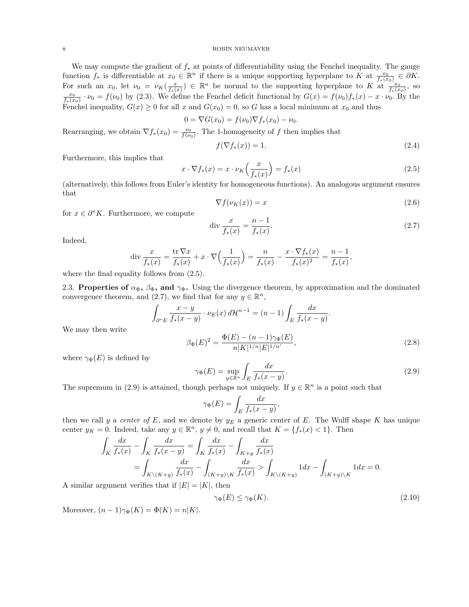We may compute the gradient of  $f_*$  at points of differentiability using the Fenchel inequality. The gauge function  $f_*$  is differentiable at  $x_0 \in \mathbb{R}^n$  if there is a unique supporting hyperplane to K at  $\frac{x_0}{f_*(x_0)} \in \partial K$ . For such an  $x_0$ , let  $\nu_0 = \nu_K(\frac{x}{f_*(x)}) \in \mathbb{R}^n$  be normal to the supporting hyperplane to K at  $\frac{x_0}{f_*(x_0)}$ , so  $\frac{x_0}{f_*(x_0)} \cdot \nu_0 = f(\nu_0)$  by (2.3). We define the Fenchel deficit functional by  $G(x) = f(\nu_0) f_*(x) - x \cdot \nu_0$ . By the Fenchel inequality,  $G(x) \geq 0$  for all x and  $G(x_0) = 0$ , so G has a local minimum at  $x_0$  and thus

$$
0 = \nabla G(x_0) = f(\nu_0) \nabla f_*(x_0) - \nu_0.
$$

Rearranging, we obtain  $\nabla f_*(x_0) = \frac{\nu_0}{f(\nu_0)}$ . The 1-homogeneity of f then implies that

$$
f(\nabla f_*(x)) = 1.
$$
\n<sup>(2.4)</sup>

Furthermore, this implies that

$$
x \cdot \nabla f_*(x) = x \cdot \nu_K \left(\frac{x}{f_*(x)}\right) = f_*(x) \tag{2.5}
$$

(alternatively, this follows from Euler's identity for homogeneous functions). An analogous argument ensures that

$$
\nabla f(\nu_K(x)) = x \tag{2.6}
$$

for  $x \in \partial^* K$ . Furthermore, we compute

$$
\text{div}\,\frac{x}{f_*(x)} = \frac{n-1}{f_*(x)}.\tag{2.7}
$$

Indeed,

$$
\operatorname{div} \frac{x}{f_*(x)} = \frac{\operatorname{tr} \nabla x}{f_*(x)} + x \cdot \nabla \Big( \frac{1}{f_*(x)} \Big) = \frac{n}{f_*(x)} - \frac{x \cdot \nabla f_*(x)}{f_*(x)^2} = \frac{n-1}{f_*(x)},
$$

where the final equality follows from  $(2.5)$ .

2.3. Properties of  $\alpha_{\Phi}$ ,  $\beta_{\Phi}$ , and  $\gamma_{\Phi}$ . Using the divergence theorem, by approximation and the dominated convergence theorem, and (2.7), we find that for any  $y \in \mathbb{R}^n$ ,

$$
\int_{\partial^* E} \frac{x - y}{f_*(x - y)} \cdot \nu_E(x) d\mathcal{H}^{n-1} = (n - 1) \int_E \frac{dx}{f_*(x - y)}.
$$
\n
$$
\Phi(E) - (n - 1) \gamma_{\Phi}(E)
$$
\n(2.3)

We may then write

$$
\beta_{\Phi}(E)^{2} = \frac{\Phi(E) - (n-1)\gamma_{\Phi}(E)}{n|K|^{1/n}|E|^{1/n'}},
$$
\n(2.8)

where  $\gamma_{\Phi}(E)$  is defined by

$$
\gamma_{\Phi}(E) = \sup_{y \in \mathbb{R}^n} \int_E \frac{dx}{f_*(x - y)}.
$$
\n(2.9)

The supremum in (2.9) is attained, though perhaps not uniquely. If  $y \in \mathbb{R}^n$  is a point such that

$$
\gamma_{\Phi}(E) = \int_{E} \frac{dx}{f_{*}(x - y)},
$$

then we call y a center of E, and we denote by  $y_E$  a generic center of E. The Wulff shape K has unique center  $y_K = 0$ . Indeed, take any  $y \in \mathbb{R}^n$ ,  $y \neq 0$ , and recall that  $K = \{f_*(x) < 1\}$ . Then

$$
\int_{K} \frac{dx}{f_{*}(x)} - \int_{K} \frac{dx}{f_{*}(x-y)} = \int_{K} \frac{dx}{f_{*}(x)} - \int_{K+y} \frac{dx}{f_{*}(x)}
$$
\n
$$
= \int_{K \setminus (K+y)} \frac{dx}{f_{*}(x)} - \int_{(K+y) \setminus K} \frac{dx}{f_{*}(x)} > \int_{K \setminus (K+y)} 1 dx - \int_{(K+y) \setminus K} 1 dx = 0.
$$

A similar argument verifies that if  $|E| = |K|$ , then

$$
\gamma_{\Phi}(E) \le \gamma_{\Phi}(K). \tag{2.10}
$$

Moreover,  $(n-1)\gamma_{\Phi}(K) = \Phi(K) = n|K|$ .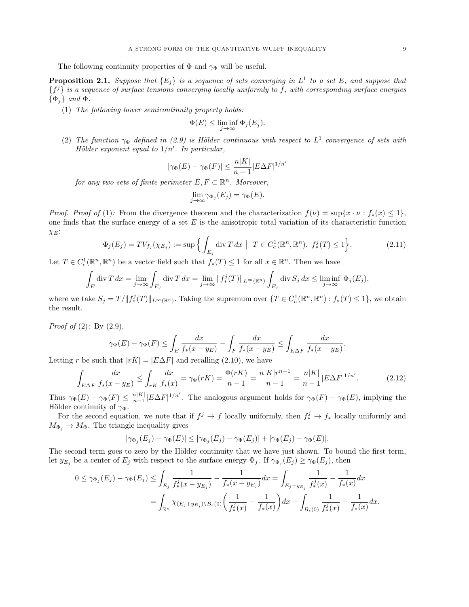The following continuity properties of  $\Phi$  and  $\gamma_{\Phi}$  will be useful.

**Proposition 2.1.** Suppose that  $\{E_j\}$  is a sequence of sets converging in  $L^1$  to a set E, and suppose that  ${f}^{j}$  is a sequence of surface tensions converging locally uniformly to f, with corresponding surface energies  $\{\Phi_i\}$  and  $\Phi$ .

(1) The following lower semicontinuity property holds:

$$
\Phi(E) \le \liminf_{j \to \infty} \Phi_j(E_j).
$$

(2) The function  $\gamma_{\Phi}$  defined in (2.9) is Hölder continuous with respect to  $L^1$  convergence of sets with Hölder exponent equal to  $1/n'$ . In particular,

$$
|\gamma_{\Phi}(E) - \gamma_{\Phi}(F)| \le \frac{n|K|}{n-1} |E\Delta F|^{1/n'}
$$

for any two sets of finite perimeter  $E, F \subset \mathbb{R}^n$ . Moreover,

$$
\lim_{j \to \infty} \gamma_{\Phi_j}(E_j) = \gamma_{\Phi}(E).
$$

*Proof. Proof of* (1): From the divergence theorem and the characterization  $f(\nu) = \sup\{x \cdot \nu : f_*(x) \leq 1\}$ , one finds that the surface energy of a set  $E$  is the anisotropic total variation of its characteristic function  $\chi_E$ :

$$
\Phi_j(E_j) = TV_{f_j}(\chi_{E_j}) := \sup \Big\{ \int_{E_j} \text{div}\, T \, dx \ \big| \ T \in C_c^1(\mathbb{R}^n, \mathbb{R}^n), \ f_*^j(T) \le 1 \Big\}.
$$
 (2.11)

Let  $T \in C_c^1(\mathbb{R}^n, \mathbb{R}^n)$  be a vector field such that  $f_*(T) \leq 1$  for all  $x \in \mathbb{R}^n$ . Then we have

$$
\int_{E} \operatorname{div} T \, dx = \lim_{j \to \infty} \int_{E_j} \operatorname{div} T \, dx = \lim_{j \to \infty} \|f_*^j(T)\|_{L^\infty(\mathbb{R}^n)} \int_{E_j} \operatorname{div} S_j \, dx \le \liminf_{j \to \infty} \Phi_j(E_j),
$$

where we take  $S_j = T / ||f_*^j(T)||_{L^\infty(\mathbb{R}^n)}$ . Taking the supremum over  $\{T \in C_c^1(\mathbb{R}^n, \mathbb{R}^n) : f_*(T) \leq 1\}$ , we obtain the result.

*Proof of*  $(2)$ : By  $(2.9)$ ,

$$
\gamma_{\Phi}(E) - \gamma_{\Phi}(F) \le \int_{E} \frac{dx}{f_*(x - y_E)} - \int_{F} \frac{dx}{f_*(x - y_E)} \le \int_{E \Delta F} \frac{dx}{f_*(x - y_E)}.
$$

Letting r be such that  $|rK| = |E\Delta F|$  and recalling (2.10), we have

$$
\int_{E\Delta F} \frac{dx}{f_*(x - y_E)} \le \int_{rK} \frac{dx}{f_*(x)} = \gamma_\Phi(rK) = \frac{\Phi(rK)}{n - 1} = \frac{n|K|r^{n - 1}}{n - 1} = \frac{n|K|}{n - 1}|E\Delta F|^{1/n'}.
$$
\n(2.12)

Thus  $\gamma_{\Phi}(E) - \gamma_{\Phi}(F) \leq \frac{n|K|}{n-1}$  $\frac{n|K|}{n-1}|E\Delta F|^{1/n'}$ . The analogous argument holds for  $\gamma_{\Phi}(F) - \gamma_{\Phi}(E)$ , implying the Hölder continuity of  $\gamma_{\Phi}$ .

For the second equation, we note that if  $f^j \to f$  locally uniformly, then  $f_*^j \to f_*$  locally uniformly and  $M_{\Phi_i} \to M_{\Phi}$ . The triangle inequality gives

$$
|\gamma_{\Phi_j}(E_j) - \gamma_{\Phi}(E)| \leq |\gamma_{\Phi_j}(E_j) - \gamma_{\Phi}(E_j)| + |\gamma_{\Phi}(E_j) - \gamma_{\Phi}(E)|.
$$

The second term goes to zero by the Hölder continuity that we have just shown. To bound the first term, let  $y_{E_j}$  be a center of  $E_j$  with respect to the surface energy  $\Phi_j$ . If  $\gamma_{\Phi_j}(E_j) \geq \gamma_{\Phi}(E_j)$ , then

$$
0 \leq \gamma_{\Phi_j}(E_j) - \gamma_{\Phi}(E_j) \leq \int_{E_j} \frac{1}{f_*^j(x - y_{E_j})} - \frac{1}{f_*(x - y_{E_j})} dx = \int_{E_j + y_{E_j}} \frac{1}{f_*^j(x)} - \frac{1}{f_*(x)} dx
$$
  
= 
$$
\int_{\mathbb{R}^n} \chi_{(E_j + y_{E_j}) \setminus B_{\epsilon}(0)} \left( \frac{1}{f_*^j(x)} - \frac{1}{f_*(x)} \right) dx + \int_{B_{\epsilon}(0)} \frac{1}{f_*^j(x)} - \frac{1}{f_*(x)} dx.
$$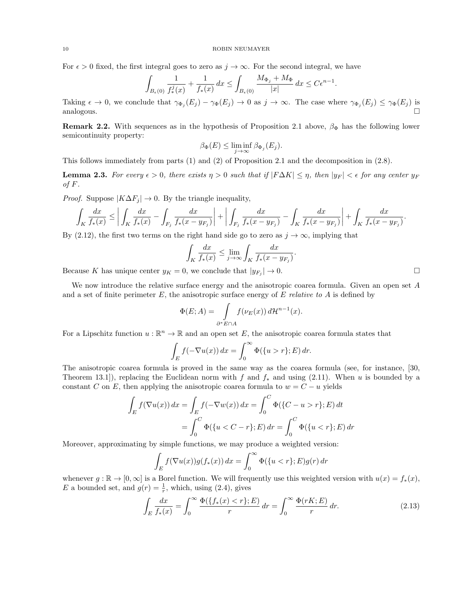For  $\epsilon > 0$  fixed, the first integral goes to zero as  $j \to \infty$ . For the second integral, we have

$$
\int_{B_{\epsilon}(0)} \frac{1}{f^j_*(x)} + \frac{1}{f_*(x)} dx \le \int_{B_{\epsilon}(0)} \frac{M_{\Phi_j} + M_{\Phi}}{|x|} dx \le C\epsilon^{n-1}
$$

.

Taking  $\epsilon \to 0$ , we conclude that  $\gamma_{\Phi_j}(E_j) - \gamma_{\Phi}(E_j) \to 0$  as  $j \to \infty$ . The case where  $\gamma_{\Phi_j}(E_j) \leq \gamma_{\Phi}(E_j)$  is  $analogous.$ 

Remark 2.2. With sequences as in the hypothesis of Proposition 2.1 above,  $\beta_{\Phi}$  has the following lower semicontinuity property:

$$
\beta_{\Phi}(E) \le \liminf_{j \to \infty} \beta_{\Phi_j}(E_j).
$$

This follows immediately from parts (1) and (2) of Proposition 2.1 and the decomposition in (2.8).

**Lemma 2.3.** For every  $\epsilon > 0$ , there exists  $\eta > 0$  such that if  $|F\Delta K| \leq \eta$ , then  $|y_F| < \epsilon$  for any center  $y_F$ of  $F$ .

*Proof.* Suppose  $|K\Delta F_i| \to 0$ . By the triangle inequality,

$$
\int_K \frac{dx}{f_*(x)} \le \left| \int_K \frac{dx}{f_*(x)} - \int_{F_j} \frac{dx}{f_*(x - y_{F_j})} \right| + \left| \int_{F_j} \frac{dx}{f_*(x - y_{F_j})} - \int_K \frac{dx}{f_*(x - y_{F_j})} \right| + \int_K \frac{dx}{f_*(x - y_{F_j})}.
$$

By (2.12), the first two terms on the right hand side go to zero as  $j \to \infty$ , implying that

$$
\int_K \frac{dx}{f_*(x)} \le \lim_{j \to \infty} \int_K \frac{dx}{f_*(x - y_{F_j})}.
$$

Because K has unique center  $y_K = 0$ , we conclude that  $|y_{F_j}| \to 0$ .

We now introduce the relative surface energy and the anisotropic coarea formula. Given an open set A and a set of finite perimeter  $E$ , the anisotropic surface energy of  $E$  relative to  $A$  is defined by

$$
\Phi(E;A) = \int_{\partial^*E \cap A} f(\nu_E(x)) d\mathcal{H}^{n-1}(x).
$$

For a Lipschitz function  $u : \mathbb{R}^n \to \mathbb{R}$  and an open set E, the anisotropic coarea formula states that

$$
\int_E f(-\nabla u(x)) dx = \int_0^\infty \Phi(\{u > r\}; E) dr.
$$

The anisotropic coarea formula is proved in the same way as the coarea formula (see, for instance, [30, Theorem 13.1]), replacing the Euclidean norm with f and  $f_*$  and using (2.11). When u is bounded by a constant C on E, then applying the anisotropic coarea formula to  $w = C - u$  yields

$$
\int_{E} f(\nabla u(x)) dx = \int_{E} f(-\nabla w(x)) dx = \int_{0}^{C} \Phi(\{C - u > r\}; E) dt
$$

$$
= \int_{0}^{C} \Phi(\{u < C - r\}; E) dr = \int_{0}^{C} \Phi(\{u < r\}; E) dr
$$

Moreover, approximating by simple functions, we may produce a weighted version:

$$
\int_{E} f(\nabla u(x)) g(f_*(x)) dx = \int_0^\infty \Phi(\{u < r\}; E) g(r) dr
$$

whenever  $g : \mathbb{R} \to [0, \infty]$  is a Borel function. We will frequently use this weighted version with  $u(x) = f_*(x)$ , E a bounded set, and  $g(r) = \frac{1}{r}$ , which, using (2.4), gives

$$
\int_{E} \frac{dx}{f_*(x)} = \int_0^\infty \frac{\Phi(\{f_*(x) < r\}; E)}{r} \, dr = \int_0^\infty \frac{\Phi(rK; E)}{r} \, dr. \tag{2.13}
$$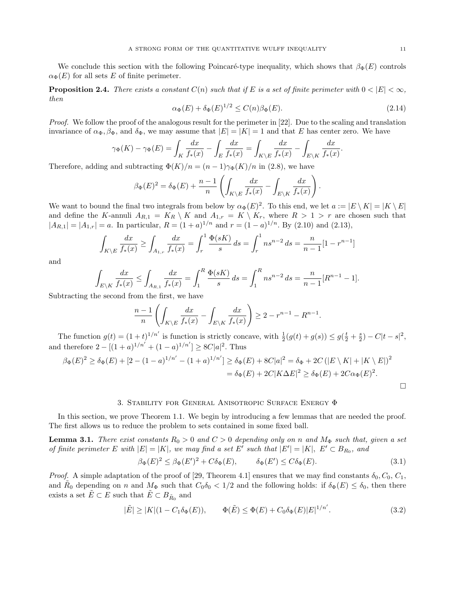We conclude this section with the following Poincaré-type inequality, which shows that  $\beta_{\Phi}(E)$  controls  $\alpha_{\Phi}(E)$  for all sets E of finite perimeter.

**Proposition 2.4.** There exists a constant  $C(n)$  such that if E is a set of finite perimeter with  $0 < |E| < \infty$ , then

$$
\alpha_{\Phi}(E) + \delta_{\Phi}(E)^{1/2} \le C(n)\beta_{\Phi}(E). \tag{2.14}
$$

Proof. We follow the proof of the analogous result for the perimeter in [22]. Due to the scaling and translation invariance of  $\alpha_{\Phi}$ ,  $\beta_{\Phi}$ , and  $\delta_{\Phi}$ , we may assume that  $|E| = |K| = 1$  and that E has center zero. We have

$$
\gamma_{\Phi}(K) - \gamma_{\Phi}(E) = \int_{K} \frac{dx}{f_{*}(x)} - \int_{E} \frac{dx}{f_{*}(x)} = \int_{K \setminus E} \frac{dx}{f_{*}(x)} - \int_{E \setminus K} \frac{dx}{f_{*}(x)}.
$$

Therefore, adding and subtracting  $\Phi(K)/n = (n-1)\gamma_{\Phi}(K)/n$  in (2.8), we have

$$
\beta_{\Phi}(E)^2 = \delta_{\Phi}(E) + \frac{n-1}{n} \left( \int_{K \setminus E} \frac{dx}{f_*(x)} - \int_{E \setminus K} \frac{dx}{f_*(x)} \right).
$$

We want to bound the final two integrals from below by  $\alpha_{\Phi}(E)^2$ . To this end, we let  $a := |E \setminus K| = |K \setminus E|$ and define the K-annuli  $A_{R,1} = K_R \setminus K$  and  $A_{1,r} = K \setminus K_r$ , where  $R > 1 > r$  are chosen such that  $|A_{R,1}| = |A_{1,r}| = a$ . In particular,  $R = (1+a)^{1/n}$  and  $r = (1-a)^{1/n}$ . By (2.10) and (2.13),

$$
\int_{K \setminus E} \frac{dx}{f_*(x)} \ge \int_{A_{1,r}} \frac{dx}{f_*(x)} = \int_r^1 \frac{\Phi(sK)}{s} ds = \int_r^1 n s^{n-2} ds = \frac{n}{n-1} [1 - r^{n-1}]
$$

and

$$
\int_{E\setminus K} \frac{dx}{f_*(x)} \le \int_{A_{R,1}} \frac{dx}{f_*(x)} = \int_1^R \frac{\Phi(sK)}{s} ds = \int_1^R n s^{n-2} ds = \frac{n}{n-1} [R^{n-1} - 1].
$$

Subtracting the second from the first, we have

$$
\frac{n-1}{n} \left( \int_{K \setminus E} \frac{dx}{f_*(x)} - \int_{E \setminus K} \frac{dx}{f_*(x)} \right) \ge 2 - r^{n-1} - R^{n-1}.
$$

The function  $g(t) = (1+t)^{1/n'}$  is function is strictly concave, with  $\frac{1}{2}(g(t) + g(s)) \leq g(\frac{t}{2} + \frac{s}{2}) - C|t - s|^2$ , and therefore  $2-[(1+a)^{1/n'}+(1-a)^{1/n'}] \geq 8C|a|^2$ . Thus

$$
\beta_{\Phi}(E)^{2} \geq \delta_{\Phi}(E) + [2 - (1 - a)^{1/n'} - (1 + a)^{1/n'}] \geq \delta_{\Phi}(E) + 8C|a|^{2} = \delta_{\Phi} + 2C(|E \setminus K| + |K \setminus E|)^{2}
$$
  
=  $\delta_{\Phi}(E) + 2C|K\Delta E|^{2} \geq \delta_{\Phi}(E) + 2C\alpha_{\Phi}(E)^{2}$ .

#### 3. Stability for General Anisotropic Surface Energy Φ

In this section, we prove Theorem 1.1. We begin by introducing a few lemmas that are needed the proof. The first allows us to reduce the problem to sets contained in some fixed ball.

**Lemma 3.1.** There exist constants  $R_0 > 0$  and  $C > 0$  depending only on n and  $M_{\Phi}$  such that, given a set of finite perimeter E with  $|E| = |K|$ , we may find a set E' such that  $|E'| = |K|$ ,  $E' \subset B_{R_0}$ , and

$$
\beta_{\Phi}(E)^2 \le \beta_{\Phi}(E')^2 + C\delta_{\Phi}(E), \qquad \delta_{\Phi}(E') \le C\delta_{\Phi}(E). \tag{3.1}
$$

*Proof.* A simple adaptation of the proof of [29, Theorem 4.1] ensures that we may find constants  $\delta_0$ ,  $C_0$ ,  $C_1$ , and  $\tilde{R}_0$  depending on n and  $M_{\Phi}$  such that  $C_0\delta_0 < 1/2$  and the following holds: if  $\delta_{\Phi}(E) \le \delta_0$ , then there exists a set  $\tilde{E} \subset E$  such that  $\tilde{E} \subset B_{\tilde{R}_0}$  and

$$
|\tilde{E}| \ge |K|(1 - C_1 \delta_{\Phi}(E)), \qquad \Phi(\tilde{E}) \le \Phi(E) + C_0 \delta_{\Phi}(E)|E|^{1/n'}.
$$
 (3.2)

 $\Box$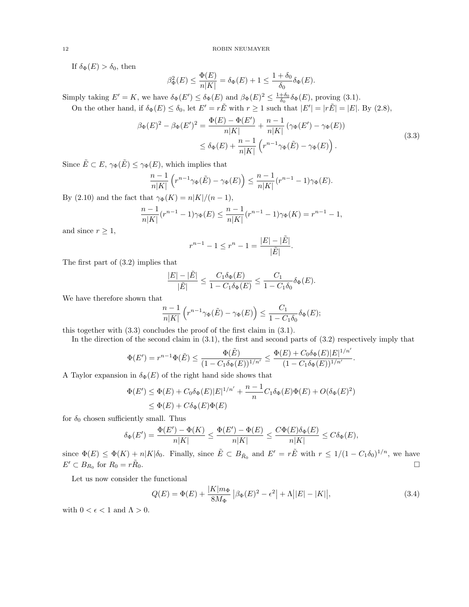If  $\delta_{\Phi}(E) > \delta_0$ , then

$$
\beta_{\Phi}^2(E) \le \frac{\Phi(E)}{n|K|} = \delta_{\Phi}(E) + 1 \le \frac{1 + \delta_0}{\delta_0} \delta_{\Phi}(E).
$$

Simply taking  $E' = K$ , we have  $\delta_{\Phi}(E') \leq \delta_{\Phi}(E)$  and  $\beta_{\Phi}(E)^2 \leq \frac{1+\delta_0}{\delta_0} \delta_{\Phi}(E)$ , proving (3.1).

On the other hand, if  $\delta_{\Phi}(E) \leq \delta_0$ , let  $E' = r\tilde{E}$  with  $r \geq 1$  such that  $|E'| = |r\tilde{E}| = |E|$ . By (2.8),

$$
\beta_{\Phi}(E)^{2} - \beta_{\Phi}(E')^{2} = \frac{\Phi(E) - \Phi(E')}{n|K|} + \frac{n-1}{n|K|} (\gamma_{\Phi}(E') - \gamma_{\Phi}(E))
$$
  
 
$$
\leq \delta_{\Phi}(E) + \frac{n-1}{n|K|} (r^{n-1}\gamma_{\Phi}(\tilde{E}) - \gamma_{\Phi}(E)).
$$
 (3.3)

Since  $\tilde{E} \subset E$ ,  $\gamma_{\Phi}(\tilde{E}) \leq \gamma_{\Phi}(E)$ , which implies that

$$
\frac{n-1}{n|K|}\left(r^{n-1}\gamma_{\Phi}(\tilde{E})-\gamma_{\Phi}(E)\right)\leq \frac{n-1}{n|K|}(r^{n-1}-1)\gamma_{\Phi}(E).
$$

By (2.10) and the fact that  $\gamma_{\Phi}(K) = n|K|/(n-1)$ ,

$$
\frac{n-1}{n|K|}(r^{n-1}-1)\gamma_{\Phi}(E) \le \frac{n-1}{n|K|}(r^{n-1}-1)\gamma_{\Phi}(K) = r^{n-1} - 1,
$$

and since  $r \geq 1$ ,

$$
r^{n-1} - 1 \le r^n - 1 = \frac{|E| - |\tilde{E}|}{|\tilde{E}|}.
$$

The first part of (3.2) implies that

$$
\frac{|E| - |\tilde{E}|}{|\tilde{E}|} \le \frac{C_1 \delta_{\Phi}(E)}{1 - C_1 \delta_{\Phi}(E)} \le \frac{C_1}{1 - C_1 \delta_0} \delta_{\Phi}(E).
$$

We have therefore shown that

$$
\frac{n-1}{n|K|}\left(r^{n-1}\gamma_{\Phi}(\tilde{E})-\gamma_{\Phi}(E)\right)\leq \frac{C_1}{1-C_1\delta_0}\delta_{\Phi}(E);
$$

this together with (3.3) concludes the proof of the first claim in (3.1).

In the direction of the second claim in  $(3.1)$ , the first and second parts of  $(3.2)$  respectively imply that

$$
\Phi(E') = r^{n-1}\Phi(\tilde{E}) \le \frac{\Phi(\tilde{E})}{(1 - C_1\delta_{\Phi}(E))^{1/n'}} \le \frac{\Phi(E) + C_0\delta_{\Phi}(E)|E|^{1/n'}}{(1 - C_1\delta_{\Phi}(E))^{1/n'}}.
$$

A Taylor expansion in  $\delta_{\Phi}(E)$  of the right hand side shows that

$$
\Phi(E') \leq \Phi(E) + C_0 \delta_{\Phi}(E) |E|^{1/n'} + \frac{n-1}{n} C_1 \delta_{\Phi}(E) \Phi(E) + O(\delta_{\Phi}(E)^2)
$$
  

$$
\leq \Phi(E) + C \delta_{\Phi}(E) \Phi(E)
$$

for  $\delta_0$  chosen sufficiently small. Thus

$$
\delta_{\Phi}(E') = \frac{\Phi(E') - \Phi(K)}{n|K|} \le \frac{\Phi(E') - \Phi(E)}{n|K|} \le \frac{C\Phi(E)\delta_{\Phi}(E)}{n|K|} \le C\delta_{\Phi}(E),
$$

since  $\Phi(E) \leq \Phi(K) + n|K|\delta_0$ . Finally, since  $\tilde{E} \subset B_{\tilde{R}_0}$  and  $E' = r\tilde{E}$  with  $r \leq 1/(1 - C_1\delta_0)^{1/n}$ , we have  $E' \subset B_{R_0}$  for  $R_0 = r\tilde{R}$  $\overline{0}$ .

Let us now consider the functional

$$
Q(E) = \Phi(E) + \frac{|K|m_{\Phi}}{8M_{\Phi}} |\beta_{\Phi}(E)^{2} - \epsilon^{2}| + \Lambda ||E| - |K||,
$$
\n(3.4)

with  $0 < \epsilon < 1$  and  $\Lambda > 0$ .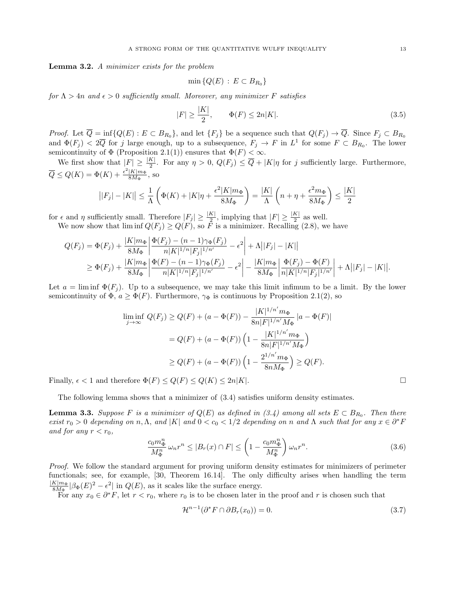Lemma 3.2. A minimizer exists for the problem

$$
\min\left\{Q(E)\,:\,E\subset B_{R_0}\right\}
$$

for  $\Lambda > 4n$  and  $\epsilon > 0$  sufficiently small. Moreover, any minimizer F satisfies

$$
|F| \ge \frac{|K|}{2}, \qquad \Phi(F) \le 2n|K|.
$$
\n
$$
(3.5)
$$

*Proof.* Let  $\overline{Q} = \inf \{Q(E) : E \subset B_{R_0}\}\$ , and let  $\{F_j\}$  be a sequence such that  $Q(F_j) \to \overline{Q}$ . Since  $F_j \subset B_{R_0}$ and  $\Phi(F_j) < 2\overline{Q}$  for j large enough, up to a subsequence,  $F_j \to F$  in  $L^1$  for some  $F \subset B_{R_0}$ . The lower semicontinuity of  $\Phi$  (Proposition 2.1(1)) ensures that  $\Phi(F) < \infty$ .

We first show that  $|F| \geq \frac{|K|}{2}$ . For any  $\eta > 0$ ,  $Q(F_j) \leq \overline{Q} + |K|\eta$  for j sufficiently large. Furthermore,  $\overline{Q} \leq Q(K) = \Phi(K) + \frac{\epsilon^2 |K|m_{\Phi}}{8M_{\Phi}}$  $\frac{|K|m_{\Phi}}{8M_{\Phi}}$ , so

$$
\big||F_j|-|K|\big|\leq \frac{1}{\Lambda}\left(\Phi(K)+|K|\eta+\frac{\epsilon^2|K|m_\Phi}{8M_\Phi}\right)=\frac{|K|}{\Lambda}\left(n+\eta+\frac{\epsilon^2m_\Phi}{8M_\Phi}\right)\leq \frac{|K|}{2}
$$

for  $\epsilon$  and  $\eta$  sufficiently small. Therefore  $|F_j| \geq \frac{|K|}{2}$ , implying that  $|F| \geq \frac{|K|}{2}$  as well. We now show that  $\liminf Q(F_j) \geq Q(F)$ , so F is a minimizer. Recalling (2.8), we have

$$
Q(F_j) = \Phi(F_j) + \frac{|K|m_{\Phi}}{8M_{\Phi}} \left| \frac{\Phi(F_j) - (n-1)\gamma_{\Phi}(F_j)}{n|K|^{1/n}|F_j|^{1/n}} - \epsilon^2 \right| + \Lambda \left| |F_j| - |K| \right|
$$
  
\n
$$
\geq \Phi(F_j) + \frac{|K|m_{\Phi}}{8M_{\Phi}} \left| \frac{\Phi(F) - (n-1)\gamma_{\Phi}(F_j)}{n|K|^{1/n}|F_j|^{1/n'}} - \epsilon^2 \right| - \frac{|K|m_{\Phi}}{8M_{\Phi}} \left| \frac{\Phi(F_j) - \Phi(F)}{n|K|^{1/n}|F_j|^{1/n'}} \right| + \Lambda \left| |F_j| - |K| \right|.
$$

Let  $a = \liminf \Phi(F_i)$ . Up to a subsequence, we may take this limit infimum to be a limit. By the lower semicontinuity of  $\Phi$ ,  $a \geq \Phi(F)$ . Furthermore,  $\gamma_{\Phi}$  is continuous by Proposition 2.1(2), so

$$
\liminf_{j \to \infty} Q(F_j) \ge Q(F) + (a - \Phi(F)) - \frac{|K|^{1/n'} m_{\Phi}}{8n|F|^{1/n'} M_{\Phi}} |a - \Phi(F)|
$$
  
=  $Q(F) + (a - \Phi(F)) \left( 1 - \frac{|K|^{1/n'} m_{\Phi}}{8n|F|^{1/n'} M_{\Phi}} \right)$   
 $\ge Q(F) + (a - \Phi(F)) \left( 1 - \frac{2^{1/n'} m_{\Phi}}{8n M_{\Phi}} \right) \ge Q(F).$ 

Finally,  $\epsilon < 1$  and therefore  $\Phi(F) \leq Q(F) \leq Q(K) \leq 2n|K|$ .

The following lemma shows that a minimizer of (3.4) satisfies uniform density estimates.

**Lemma 3.3.** Suppose F is a minimizer of  $Q(E)$  as defined in (3.4) among all sets  $E \subset B_{R_0}$ . Then there exist  $r_0 > 0$  depending on n,  $\Lambda$ , and |K| and  $0 < c_0 < 1/2$  depending on n and  $\Lambda$  such that for any  $x \in \partial^* F$ and for any  $r < r_0$ ,

$$
\frac{c_0 m_{\Phi}^n}{M_{\Phi}^n} \omega_n r^n \le |B_r(x) \cap F| \le \left(1 - \frac{c_0 m_{\Phi}^n}{M_{\Phi}^n}\right) \omega_n r^n. \tag{3.6}
$$

Proof. We follow the standard argument for proving uniform density estimates for minimizers of perimeter functionals; see, for example, [30, Theorem 16.14]. The only difficulty arises when handling the term  $|K|m_{\Phi}$  $\frac{K|m_{\Phi}}{8M_{\Phi}}|\beta_{\Phi}(E)^{2}-\epsilon^{2}|\text{ in }Q(E),\text{ as it scales like the surface energy.}$ 

For any  $x_0 \in \partial^* F$ , let  $r < r_0$ , where  $r_0$  is to be chosen later in the proof and r is chosen such that

$$
\mathcal{H}^{n-1}(\partial^* F \cap \partial B_r(x_0)) = 0. \tag{3.7}
$$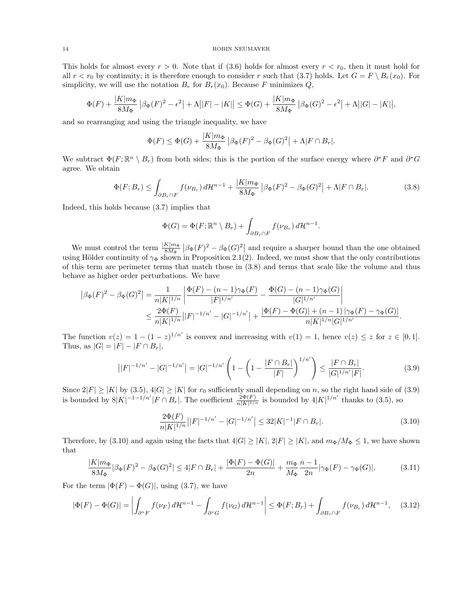This holds for almost every  $r > 0$ . Note that if (3.6) holds for almost every  $r < r_0$ , then it must hold for all  $r < r_0$  by continuity; it is therefore enough to consider r such that (3.7) holds. Let  $G = F \setminus B_r(x_0)$ . For simplicity, we will use the notation  $B_r$  for  $B_r(x_0)$ . Because F minimizes Q,

$$
\Phi(F) + \frac{|K|m_{\Phi}}{8M_{\Phi}} |\beta_{\Phi}(F)|^{2} - \epsilon^{2} + \Lambda ||F| - |K|| \leq \Phi(G) + \frac{|K|m_{\Phi}}{8M_{\Phi}} |\beta_{\Phi}(G)|^{2} - \epsilon^{2} + \Lambda ||G| - |K||,
$$

and so rearranging and using the triangle inequality, we have

$$
\Phi(F) \le \Phi(G) + \frac{|K|m_{\Phi}}{8M_{\Phi}} \left| \beta_{\Phi}(F)^{2} - \beta_{\Phi}(G)^{2} \right| + \Lambda |F \cap B_{r}|.
$$

We subtract  $\Phi(F; \mathbb{R}^n \setminus B_r)$  from both sides; this is the portion of the surface energy where  $\partial^* F$  and  $\partial^* G$ agree. We obtain

$$
\Phi(F; B_r) \le \int_{\partial B_r \cap F} f(\nu_{B_r}) d\mathcal{H}^{n-1} + \frac{|K| m_{\Phi}}{8M_{\Phi}} \left| \beta_{\Phi}(F)^2 - \beta_{\Phi}(G)^2 \right| + \Lambda |F \cap B_r|.
$$
 (3.8)

Indeed, this holds because (3.7) implies that

$$
\Phi(G) = \Phi(F; \mathbb{R}^n \setminus B_r) + \int_{\partial B_r \cap F} f(\nu_{B_r}) d\mathcal{H}^{n-1}.
$$

We must control the term  $\frac{|K|m_{\Phi}|}{8M_{\Phi}} |\beta_{\Phi}(F)|^2 - \beta_{\Phi}(G)^2|$  and require a sharper bound than the one obtained using Hölder continuity of  $\gamma_{\Phi}$  shown in Proposition 2.1(2). Indeed, we must show that the only contributions of this term are perimeter terms that match those in (3.8) and terms that scale like the volume and thus behave as higher order perturbations. We have

$$
\begin{split} \left| \beta_{\Phi}(F)^{2} - \beta_{\Phi}(G)^{2} \right| &= \frac{1}{n|K|^{1/n}} \left| \frac{\Phi(F) - (n-1)\gamma_{\Phi}(F)}{|F|^{1/n'}} - \frac{\Phi(G) - (n-1)\gamma_{\Phi}(G)}{|G|^{1/n'}} \right| \\ &\leq \frac{2\Phi(F)}{n|K|^{1/n}} \left| |F|^{-1/n'} - |G|^{-1/n'} \right| + \frac{|\Phi(F) - \Phi(G)| + (n-1)\gamma_{\Phi}(F) - \gamma_{\Phi}(G)|}{n|K|^{1/n}|G|^{1/n'}}. \end{split}
$$

The function  $v(z) = 1 - (1 - z)^{1/n'}$  is convex and increasing with  $v(1) = 1$ , hence  $v(z) \leq z$  for  $z \in [0, 1]$ . Thus, as  $|G| = |F| - |F \cap B_r|$ ,

$$
\left| |F|^{-1/n'} - |G|^{-1/n'} \right| = |G|^{-1/n'} \left( 1 - \left( 1 - \frac{|F \cap B_r|}{|F|} \right)^{1/n'} \right) \le \frac{|F \cap B_r|}{|G|^{1/n'}|F|}. \tag{3.9}
$$

Since  $2|F| \ge |K|$  by (3.5),  $4|G| \ge |K|$  for  $r_0$  sufficiently small depending on n, so the right hand side of (3.9) is bounded by  $8|K|^{-1-1/n'}|F \cap B_r|$ . The coefficient  $\frac{2\Phi(F)}{n|K|^{1/n}}$  is bounded by  $4|K|^{1/n'}$  thanks to (3.5), so

$$
\frac{2\Phi(F)}{n|K|^{1/n}}\left||F|^{-1/n'} - |G|^{-1/n'}\right| \le 32|K|^{-1}|F \cap B_r|.\tag{3.10}
$$

Therefore, by (3.10) and again using the facts that  $4|G| \geq |K|, 2|F| \geq |K|$ , and  $m_{\Phi}/M_{\Phi} \leq 1$ , we have shown that

$$
\frac{|K|m_{\Phi}}{8M_{\Phi}}|\beta_{\Phi}(F)^{2} - \beta_{\Phi}(G)^{2}| \le 4|F \cap B_{r}| + \frac{|\Phi(F) - \Phi(G)|}{2n} + \frac{m_{\Phi}}{M_{\Phi}}\frac{n-1}{2n}|\gamma_{\Phi}(F) - \gamma_{\Phi}(G)|.
$$
 (3.11)

For the term  $|\Phi(F) - \Phi(G)|$ , using (3.7), we have

$$
|\Phi(F) - \Phi(G)| = \left| \int_{\partial^* F} f(\nu_F) d\mathcal{H}^{n-1} - \int_{\partial^* G} f(\nu_G) d\mathcal{H}^{n-1} \right| \leq \Phi(F; B_r) + \int_{\partial B_r \cap F} f(\nu_{B_r}) d\mathcal{H}^{n-1}, \quad (3.12)
$$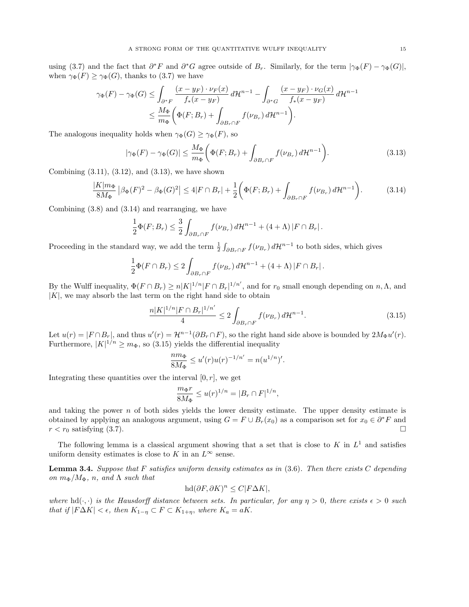using (3.7) and the fact that  $\partial^* F$  and  $\partial^* G$  agree outside of  $B_r$ . Similarly, for the term  $|\gamma_{\Phi}(F) - \gamma_{\Phi}(G)|$ , when  $\gamma_{\Phi}(F) \geq \gamma_{\Phi}(G)$ , thanks to (3.7) we have

$$
\gamma_{\Phi}(F) - \gamma_{\Phi}(G) \le \int_{\partial^* F} \frac{(x - y_F) \cdot \nu_F(x)}{f_*(x - y_F)} d\mathcal{H}^{n-1} - \int_{\partial^* G} \frac{(x - y_F) \cdot \nu_G(x)}{f_*(x - y_F)} d\mathcal{H}^{n-1}
$$
  

$$
\le \frac{M_{\Phi}}{m_{\Phi}} \bigg( \Phi(F; B_r) + \int_{\partial B_r \cap F} f(\nu_{B_r}) d\mathcal{H}^{n-1} \bigg).
$$

The analogous inequality holds when  $\gamma_{\Phi}(G) \geq \gamma_{\Phi}(F)$ , so

$$
|\gamma_{\Phi}(F) - \gamma_{\Phi}(G)| \le \frac{M_{\Phi}}{m_{\Phi}} \bigg( \Phi(F; B_r) + \int_{\partial B_r \cap F} f(\nu_{B_r}) d\mathcal{H}^{n-1} \bigg). \tag{3.13}
$$

Combining  $(3.11)$ ,  $(3.12)$ , and  $(3.13)$ , we have shown

$$
\frac{|K|m_{\Phi}}{8M_{\Phi}} \left| \beta_{\Phi}(F)^{2} - \beta_{\Phi}(G)^{2} \right| \le 4|F \cap B_{r}| + \frac{1}{2} \left( \Phi(F; B_{r}) + \int_{\partial B_{r} \cap F} f(\nu_{B_{r}}) d\mathcal{H}^{n-1} \right).
$$
 (3.14)

Combining (3.8) and (3.14) and rearranging, we have

$$
\frac{1}{2}\Phi(F;B_r) \leq \frac{3}{2}\int_{\partial B_r\cap F} f(\nu_{B_r}) d\mathcal{H}^{n-1} + (4+\Lambda) |F \cap B_r|.
$$

Proceeding in the standard way, we add the term  $\frac{1}{2} \int_{\partial B_r \cap F} f(\nu_{B_r}) d\mathcal{H}^{n-1}$  to both sides, which gives

$$
\frac{1}{2}\Phi(F\cap B_r)\leq 2\int_{\partial B_r\cap F}f(\nu_{B_r})\,d\mathcal{H}^{n-1}+(4+\Lambda)|F\cap B_r|.
$$

By the Wulff inequality,  $\Phi(F \cap B_r) \ge n|K|^{1/n}|F \cap B_r|^{1/n'}$ , and for  $r_0$  small enough depending on  $n, \Lambda$ , and  $|K|$ , we may absorb the last term on the right hand side to obtain

$$
\frac{n|K|^{1/n}|F \cap B_r|^{1/n'}}{4} \le 2 \int_{\partial B_r \cap F} f(\nu_{B_r}) d\mathcal{H}^{n-1}.
$$
\n(3.15)

Let  $u(r) = |F \cap B_r|$ , and thus  $u'(r) = \mathcal{H}^{n-1}(\partial B_r \cap F)$ , so the right hand side above is bounded by  $2M_{\Phi}u'(r)$ . Furthermore,  $|K|^{1/n} \geq m_{\Phi}$ , so (3.15) yields the differential inequality

$$
\frac{n m_{\Phi}}{8M_{\Phi}} \leq u'(r)u(r)^{-1/n'} = n(u^{1/n})'.
$$

Integrating these quantities over the interval  $[0, r]$ , we get

$$
\frac{m_{\Phi}r}{8M_{\Phi}} \le u(r)^{1/n} = |B_r \cap F|^{1/n},
$$

and taking the power  $n$  of both sides yields the lower density estimate. The upper density estimate is obtained by applying an analogous argument, using  $G = F \cup B_r(x_0)$  as a comparison set for  $x_0 \in \partial^* F$  and  $r < r_0$  satisfying (3.7).

The following lemma is a classical argument showing that a set that is close to  $K$  in  $L<sup>1</sup>$  and satisfies uniform density estimates is close to  $K$  in an  $L^\infty$  sense.

**Lemma 3.4.** Suppose that F satisfies uniform density estimates as in  $(3.6)$ . Then there exists C depending on  $m_{\Phi}/M_{\Phi}$ , n, and  $\Lambda$  such that

$$
hd(\partial F, \partial K)^n \le C|F\Delta K|,
$$

where hd( $\cdot, \cdot$ ) is the Hausdorff distance between sets. In particular, for any  $\eta > 0$ , there exists  $\epsilon > 0$  such that if  $|F\Delta K| < \epsilon$ , then  $K_{1-\eta} \subset F \subset K_{1+\eta}$ , where  $K_a = aK$ .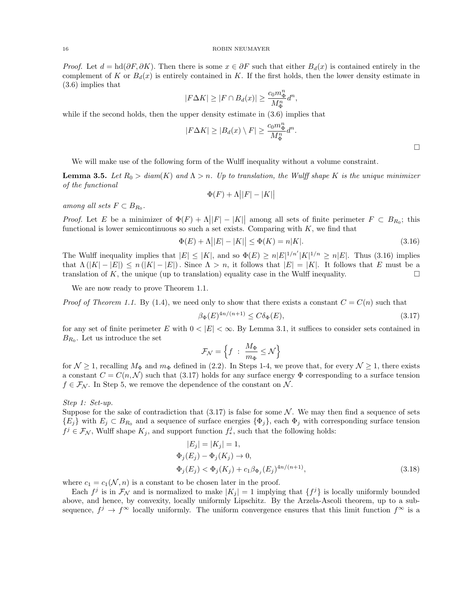*Proof.* Let  $d = hd(\partial F, \partial K)$ . Then there is some  $x \in \partial F$  such that either  $B_d(x)$  is contained entirely in the complement of K or  $B_d(x)$  is entirely contained in K. If the first holds, then the lower density estimate in (3.6) implies that

$$
|F\Delta K| \ge |F \cap B_d(x)| \ge \frac{c_0 m_\Phi^n}{M_\Phi^n} d^n,
$$

while if the second holds, then the upper density estimate in  $(3.6)$  implies that

$$
|F\Delta K| \ge |B_d(x) \setminus F| \ge \frac{c_0 m_{\Phi}^n}{M_{\Phi}^n} d^n.
$$

We will make use of the following form of the Wulff inequality without a volume constraint.

**Lemma 3.5.** Let  $R_0 > diam(K)$  and  $\Lambda > n$ . Up to translation, the Wulff shape K is the unique minimizer of the functional

$$
\Phi(F) + \Lambda \big| |F| - |K| \big|
$$

among all sets  $F \subset B_{R_0}$ .

*Proof.* Let E be a minimizer of  $\Phi(F) + \Lambda ||F| - |K||$  among all sets of finite perimeter  $F \subset B_{R_0}$ ; this functional is lower semicontinuous so such a set exists. Comparing with  $K$ , we find that

$$
\Phi(E) + \Lambda ||E| - |K|| \le \Phi(K) = n|K|.
$$
\n(3.16)

The Wulff inequality implies that  $|E| \leq |K|$ , and so  $\Phi(E) \geq n|E|^{1/n'}|K|^{1/n} \geq n|E|$ . Thus (3.16) implies that  $\Lambda(|K|-|E|) \leq n(|K|-|E|)$ . Since  $\Lambda > n$ , it follows that  $|E|=|K|$ . It follows that E must be a translation of K, the unique (up to translation) equality case in the Wulff inequality.  $\square$ 

We are now ready to prove Theorem 1.1.

*Proof of Theorem 1.1.* By (1.4), we need only to show that there exists a constant  $C = C(n)$  such that

$$
\beta_{\Phi}(E)^{4n/(n+1)} \le C\delta_{\Phi}(E),\tag{3.17}
$$

for any set of finite perimeter E with  $0 < |E| < \infty$ . By Lemma 3.1, it suffices to consider sets contained in  $B_{R_0}$ . Let us introduce the set

$$
\mathcal{F}_{\mathcal{N}} = \left\{ f \ : \ \frac{M_{\Phi}}{m_{\Phi}} \leq \mathcal{N} \right\}
$$

for  $\mathcal{N} \geq 1$ , recalling  $M_{\Phi}$  and  $m_{\Phi}$  defined in (2.2). In Steps 1-4, we prove that, for every  $\mathcal{N} \geq 1$ , there exists a constant  $C = C(n, \mathcal{N})$  such that (3.17) holds for any surface energy  $\Phi$  corresponding to a surface tension  $f \in \mathcal{F}_{\mathcal{N}}$ . In Step 5, we remove the dependence of the constant on  $\mathcal{N}$ .

Step 1: Set-up.

Suppose for the sake of contradiction that  $(3.17)$  is false for some N. We may then find a sequence of sets  ${E_i}$  with  $E_j \subset B_{R_0}$  and a sequence of surface energies  ${\Phi_i}$ , each  ${\Phi_j}$  with corresponding surface tension  $f^j \in \mathcal{F}_\mathcal{N}$ , Wulff shape  $K_j$ , and support function  $f_*^j$ , such that the following holds:

$$
|E_j| = |K_j| = 1,\n\Phi_j(E_j) - \Phi_j(K_j) \to 0,\n\Phi_j(E_j) < \Phi_j(K_j) + c_1 \beta_{\Phi_j}(E_j)^{4n/(n+1)},
$$
\n(3.18)

where  $c_1 = c_1(\mathcal{N}, n)$  is a constant to be chosen later in the proof.

Each  $f^j$  is in  $\mathcal{F}_{\mathcal{N}}$  and is normalized to make  $|K_j| = 1$  implying that  $\{f^j\}$  is locally uniformly bounded above, and hence, by convexity, locally uniformly Lipschitz. By the Arzela-Ascoli theorem, up to a subsequence,  $f^j \to f^{\infty}$  locally uniformly. The uniform convergence ensures that this limit function  $f^{\infty}$  is a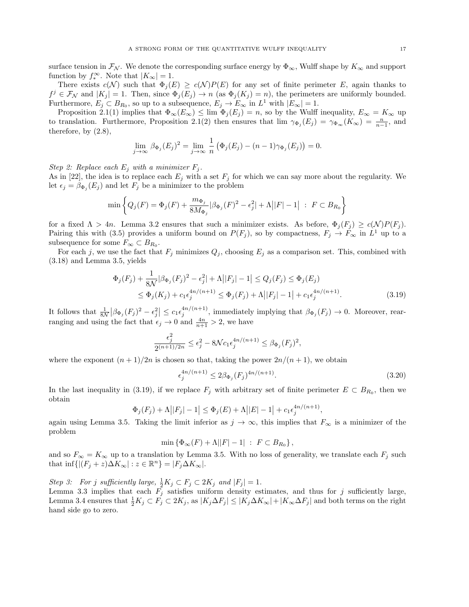surface tension in  $\mathcal{F}_{\mathcal{N}}$ . We denote the corresponding surface energy by  $\Phi_{\infty}$ , Wulff shape by  $K_{\infty}$  and support function by  $f_*^{\infty}$ . Note that  $|K_{\infty}| = 1$ .

There exists  $c(\mathcal{N})$  such that  $\Phi_j(E) \geq c(\mathcal{N})P(E)$  for any set of finite perimeter E, again thanks to  $f^j \in \mathcal{F}_{\mathcal{N}}$  and  $|K_j| = 1$ . Then, since  $\Phi_j(E_j) \to n$  (as  $\Phi_j(K_j) = n$ ), the perimeters are uniformly bounded. Furthermore,  $E_j \subset B_{R_0}$ , so up to a subsequence,  $E_j \to E_\infty$  in  $L^1$  with  $|E_\infty|=1$ .

Proposition 2.1(1) implies that  $\Phi_{\infty}(E_{\infty}) \leq \lim \Phi_{j}(E_{j}) = n$ , so by the Wulff inequality,  $E_{\infty} = K_{\infty}$  up to translation. Furthermore, Proposition 2.1(2) then ensures that  $\lim_{\gamma \to 0} \gamma_{\Phi_j}(E_j) = \gamma_{\Phi_{\infty}}(K_{\infty}) = \frac{n}{n-1}$ , and therefore, by (2.8),

$$
\lim_{j \to \infty} \beta_{\Phi_j}(E_j)^2 = \lim_{j \to \infty} \frac{1}{n} \left( \Phi_j(E_j) - (n-1)\gamma_{\Phi_j}(E_j) \right) = 0.
$$

Step 2: Replace each  $E_j$  with a minimizer  $F_j$ .

As in [22], the idea is to replace each  $E_j$  with a set  $F_j$  for which we can say more about the regularity. We let  $\epsilon_j = \beta_{\Phi_j}(E_j)$  and let  $F_j$  be a minimizer to the problem

$$
\min \left\{ Q_j(F) = \Phi_j(F) + \frac{m_{\Phi_j}}{8M_{\Phi_j}} |\beta_{\Phi_j}(F)^2 - \epsilon_j^2| + \Lambda ||F| - 1| \; : \; F \subset B_{R_0} \right\}
$$

for a fixed  $\Lambda > 4n$ . Lemma 3.2 ensures that such a minimizer exists. As before,  $\Phi_i(F_i) \geq c(\mathcal{N})P(F_i)$ . Pairing this with (3.5) provides a uniform bound on  $P(F_j)$ , so by compactness,  $F_j \to F_\infty$  in  $L^1$  up to a subsequence for some  $F_{\infty} \subset B_{R_0}$ .

For each j, we use the fact that  $F_i$  minimizes  $Q_j$ , choosing  $E_j$  as a comparison set. This, combined with (3.18) and Lemma 3.5, yields

$$
\Phi_j(F_j) + \frac{1}{8N} |\beta_{\Phi_j}(F_j)^2 - \epsilon_j^2| + \Lambda | |F_j| - 1| \le Q_j(F_j) \le \Phi_j(E_j)
$$
  
\n
$$
\le \Phi_j(K_j) + c_1 \epsilon_j^{4n/(n+1)} \le \Phi_j(F_j) + \Lambda | |F_j| - 1| + c_1 \epsilon_j^{4n/(n+1)}.
$$
\n(3.19)

It follows that  $\frac{1}{8N} |\beta_{\Phi_j}(F_j)^2 - \epsilon_j^2| \leq c_1 \epsilon_j^{4n/(n+1)}$ , immediately implying that  $\beta_{\Phi_j}(F_j) \to 0$ . Moreover, rearranging and using the fact that  $\epsilon_j \to 0$  and  $\frac{4n}{n+1} > 2$ , we have

$$
\frac{\epsilon_j^2}{2^{(n+1)/2n}} \le \epsilon_j^2 - 8\mathcal{N}c_1 \epsilon_j^{4n/(n+1)} \le \beta_{\Phi_j}(F_j)^2,
$$

where the exponent  $(n+1)/2n$  is chosen so that, taking the power  $2n/(n+1)$ , we obtain

$$
\epsilon_j^{4n/(n+1)} \le 2\beta_{\Phi_j}(F_j)^{4n/(n+1)}.
$$
\n(3.20)

,

In the last inequality in (3.19), if we replace  $F_j$  with arbitrary set of finite perimeter  $E \subset B_{R_0}$ , then we obtain

$$
\Phi_j(F_j) + \Lambda ||F_j| - 1| \le \Phi_j(E) + \Lambda ||E| - 1| + c_1 \epsilon_j^{4n/(n+1)}
$$

again using Lemma 3.5. Taking the limit inferior as  $j \to \infty$ , this implies that  $F_{\infty}$  is a minimizer of the problem

$$
\min \left\{ \Phi_{\infty}(F) + \Lambda ||F| - 1 \right\} : F \subset B_{R_0} \right\},\
$$

and so  $F_{\infty} = K_{\infty}$  up to a translation by Lemma 3.5. With no loss of generality, we translate each  $F_j$  such that inf $\{ | (F_j + z) \Delta K_{\infty} | : z \in \mathbb{R}^n \} = | F_j \Delta K_{\infty} |$ .

Step 3: For j sufficiently large,  $\frac{1}{2}K_j \subset F_j \subset 2K_j$  and  $|F_j| = 1$ .

Lemma 3.3 implies that each  $F_j$  satisfies uniform density estimates, and thus for j sufficiently large, Lemma 3.4 ensures that  $\frac{1}{2}K_j \subset F_j \subset 2K_j$ , as  $|K_j \Delta F_j| \leq |K_j \Delta K_\infty| + |K_\infty \Delta F_j|$  and both terms on the right hand side go to zero.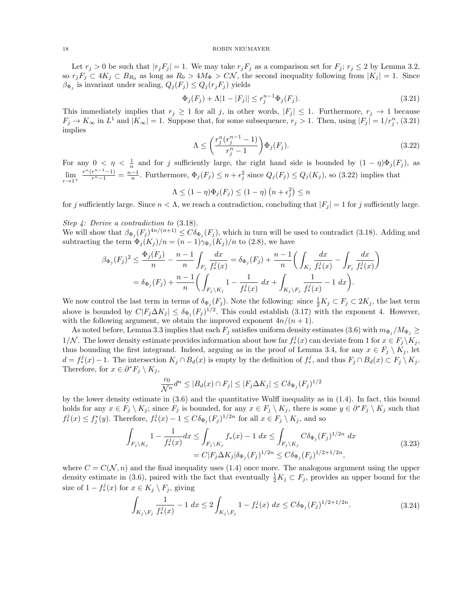Let  $r_j > 0$  be such that  $|r_jF_j| = 1$ . We may take  $r_jF_j$  as a comparison set for  $F_j$ ;  $r_j \le 2$  by Lemma 3.2, so  $r_jF_j \subset 4K_j \subset B_{R_0}$  as long as  $R_0 > 4M_{\Phi} > C\mathcal{N}$ , the second inequality following from  $|K_j| = 1$ . Since  $\beta_{\Phi_j}$  is invariant under scaling,  $Q_j(F_j) \leq Q_j(r_j F_j)$  yields

$$
\Phi_j(F_j) + \Lambda |1 - |F_j|| \le r_j^{n-1} \Phi_j(F_j). \tag{3.21}
$$

This immediately implies that  $r_j \geq 1$  for all j, in other words,  $|F_j| \leq 1$ . Furthermore,  $r_j \to 1$  because  $F_j \to K_\infty$  in  $L^1$  and  $|K_\infty|=1$ . Suppose that, for some subsequence,  $r_j > 1$ . Then, using  $|F_j| = 1/r_j^n$ , (3.21) implies

$$
\Lambda \leq \left(\frac{r_j^n(r_j^{n-1}-1)}{r_j^n-1}\right) \Phi_j(F_j). \tag{3.22}
$$

For any  $0 < \eta < \frac{1}{n}$  and for j sufficiently large, the right hand side is bounded by  $(1 - \eta)\Phi_j(F_j)$ , as  $\lim_{r\to 1^+}$  $\frac{r^n(r^{n-1}-1)}{r^n-1} = \frac{n-1}{n}$ . Furthermore,  $\Phi_j(F_j) \leq n + \epsilon_j^2$  since  $Q_j(F_j) \leq Q_j(K_j)$ , so (3.22) implies that

$$
\Lambda \le (1 - \eta)\Phi_j(F_j) \le (1 - \eta)\left(n + \epsilon_j^2\right) \le n
$$

for j sufficiently large. Since  $n < \Lambda$ , we reach a contradiction, concluding that  $|F_i| = 1$  for j sufficiently large.

Step 4: Derive a contradiction to (3.18).

We will show that  $\beta_{\Phi_j}(F_j)^{4n/(n+1)} \leq C \delta_{\Phi_j}(F_j)$ , which in turn will be used to contradict (3.18). Adding and subtracting the term  $\Phi_j(K_j)/n = (n-1)\gamma_{\Phi_j}(K_j)/n$  to (2.8), we have

$$
\beta_{\Phi_j}(F_j)^2 \le \frac{\Phi_j(F_j)}{n} - \frac{n-1}{n} \int_{F_j} \frac{dx}{f_*^j(x)} = \delta_{\Phi_j}(F_j) + \frac{n-1}{n} \left( \int_{K_j} \frac{dx}{f_*^j(x)} - \int_{F_j} \frac{dx}{f_*^j(x)} \right)
$$
  
=  $\delta_{\Phi_j}(F_j) + \frac{n-1}{n} \left( \int_{F_j \setminus K_j} 1 - \frac{1}{f_*^j(x)} dx + \int_{K_j \setminus F_j} \frac{1}{f_*^j(x)} - 1 dx \right).$ 

We now control the last term in terms of  $\delta_{\Phi_j}(F_j)$ . Note the following: since  $\frac{1}{2}K_j\subset F_j\subset 2K_j$ , the last term above is bounded by  $C|F_j \Delta K_j| \leq \delta_{\Phi_j}(F_j)^{1/2}$ . This could establish (3.17) with the exponent 4. However, with the following argument, we obtain the improved exponent  $4n/(n+1)$ .

As noted before, Lemma 3.3 implies that each  $F_j$  satisfies uniform density estimates (3.6) with  $m_{\Phi_j}/M_{\Phi_j} \ge$ 1/N. The lower density estimate provides information about how far  $f^j_*(x)$  can deviate from 1 for  $x \in F_j \backslash K_j$ , thus bounding the first integrand. Indeed, arguing as in the proof of Lemma 3.4, for any  $x \in F_j \setminus K_j$ , let  $d = f_*^j(x) - 1$ . The intersection  $K_j \cap B_d(x)$  is empty by the definition of  $f_*^j$ , and thus  $F_j \cap B_d(x) \subset F_j \setminus K_j$ . Therefore, for  $x \in \partial^* F_j \setminus K_j$ ,

$$
\frac{c_0}{\mathcal{N}^n}d^n \le |B_d(x) \cap F_j| \le |F_j \Delta K_j| \le C\delta_{\Phi_j}(F_j)^{1/2}
$$

by the lower density estimate in (3.6) and the quantitative Wulff inequality as in (1.4). In fact, this bound holds for any  $x \in F_j \setminus K_j$ ; since  $F_j$  is bounded, for any  $x \in F_j \setminus K_j$ , there is some  $y \in \partial^* F_j \setminus K_j$  such that  $f^j_*(x) \leq f^*_j(y)$ . Therefore,  $f^j_*(x) - 1 \leq C \delta_{\Phi_j}(F_j)^{1/2n}$  for all  $x \in F_j \setminus K_j$ , and so

$$
\int_{F_j \backslash K_j} 1 - \frac{1}{f_*^j(x)} dx \le \int_{F_j \backslash K_j} f_*(x) - 1 dx \le \int_{F_j \backslash K_j} C \delta_{\Phi_j}(F_j)^{1/2n} dx
$$
\n
$$
= C |F_j \Delta K_j| \delta_{\Phi_j}(F_j)^{1/2n} \le C \delta_{\Phi_j}(F_j)^{1/2 + 1/2n},
$$
\n(3.23)

where  $C = C(\mathcal{N}, n)$  and the final inequality uses (1.4) once more. The analogous argument using the upper density estimate in (3.6), paired with the fact that eventually  $\frac{1}{2}K_j \subset F_j$ , provides an upper bound for the size of  $1 - f^j_*(x)$  for  $x \in K_j \setminus F_j$ , giving

$$
\int_{K_j \backslash F_j} \frac{1}{f_*^j(x)} - 1 \, dx \le 2 \int_{K_j \backslash F_j} 1 - f_*^j(x) \, dx \le C \delta_{\Phi_j}(F_j)^{1/2 + 1/2n}.
$$
\n(3.24)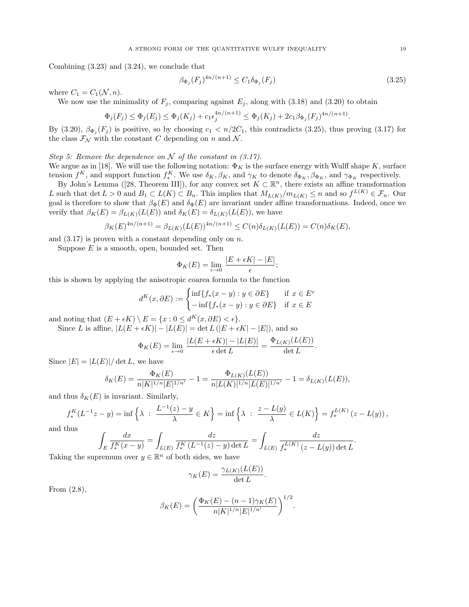Combining (3.23) and (3.24), we conclude that

$$
\beta_{\Phi_j}(F_j)^{4n/(n+1)} \le C_1 \delta_{\Phi_j}(F_j) \tag{3.25}
$$

where  $C_1 = C_1(\mathcal{N}, n)$ .

We now use the minimality of  $F_j$ , comparing against  $E_j$ , along with (3.18) and (3.20) to obtain

$$
\Phi_j(F_j) \le \Phi_j(E_j) \le \Phi_j(K_j) + c_1 \epsilon_j^{4n/(n+1)} \le \Phi_j(K_j) + 2c_1 \beta_{\Phi_j}(F_j)^{4n/(n+1)}.
$$

By (3.20),  $\beta_{\Phi_j}(F_j)$  is positive, so by choosing  $c_1 < n/2C_1$ , this contradicts (3.25), thus proving (3.17) for the class  $\mathcal{F}_{\mathcal{N}}$  with the constant C depending on n and N.

Step 5: Remove the dependence on  $N$  of the constant in (3.17).

We argue as in [18]. We will use the following notation:  $\Phi_K$  is the surface energy with Wulff shape K, surface tension  $f^K$ , and support function  $f_*^K$ . We use  $\delta_K, \beta_K$ , and  $\gamma_K$  to denote  $\delta_{\Phi_K}, \beta_{\Phi_K}$ , and  $\gamma_{\Phi_K}$  respectively.

By John's Lemma ([28, Theorem III]), for any convex set  $K \subset \mathbb{R}^n$ , there exists an affine transformation L such that  $\det L > 0$  and  $B_1 \subset L(K) \subset B_n$ . This implies that  $M_{L(K)}/m_{L(K)} \leq n$  and so  $f^{L(K)} \in \mathcal{F}_n$ . Our goal is therefore to show that  $\beta_{\Phi}(E)$  and  $\delta_{\Phi}(E)$  are invariant under affine transformations. Indeed, once we verify that  $\beta_K(E) = \beta_{L(K)}(L(E))$  and  $\delta_K(E) = \delta_{L(K)}(L(E))$ , we have

$$
\beta_K(E)^{4n/(n+1)} = \beta_{L(K)}(L(E))^{4n/(n+1)} \le C(n)\delta_{L(K)}(L(E)) = C(n)\delta_K(E),
$$

and  $(3.17)$  is proven with a constant depending only on n.

Suppose  $E$  is a smooth, open, bounded set. Then

$$
\Phi_K(E) = \lim_{\epsilon \to 0} \frac{|E + \epsilon K| - |E|}{\epsilon};
$$

this is shown by applying the anisotropic coarea formula to the function

$$
d^K(x, \partial E) := \begin{cases} \inf \{ f_*(x - y) : y \in \partial E \} & \text{if } x \in E^c \\ -\inf \{ f_*(x - y) : y \in \partial E \} & \text{if } x \in E \end{cases}
$$

and noting that  $(E + \epsilon K) \setminus E = \{x : 0 \le d^K(x, \partial E) < \epsilon\}.$ 

Since L is affine,  $|L(E + \epsilon K)| - |L(E)| = \det L(|E + \epsilon K| - |E|)$ , and so

$$
\Phi_K(E) = \lim_{\epsilon \to 0} \frac{|L(E + \epsilon K)| - |L(E)|}{\epsilon \det L} = \frac{\Phi_{L(K)}(L(E))}{\det L}.
$$

Since  $|E| = |L(E)| / \det L$ , we have

$$
\delta_K(E) = \frac{\Phi_K(E)}{n|K|^{1/n}|E|^{1/n'}} - 1 = \frac{\Phi_{L(K)}(L(E))}{n|L(K)|^{1/n}|L(E)|^{1/n'}} - 1 = \delta_{L(K)}(L(E)),
$$

and thus  $\delta_K(E)$  is invariant. Similarly,

$$
f_*^K(L^{-1}z - y) = \inf \left\{ \lambda : \frac{L^{-1}(z) - y}{\lambda} \in K \right\} = \inf \left\{ \lambda : \frac{z - L(y)}{\lambda} \in L(K) \right\} = f_*^{L(K)}(z - L(y)),
$$

and thus

$$
\int_E \frac{dx}{f_*^K(x-y)} = \int_{L(E)} \frac{dz}{f_*^K(L^{-1}(z)-y) \det L} = \int_{L(E)} \frac{dz}{f_*^{L(K)}(z-L(y)) \det L}.
$$

Taking the supremum over  $y \in \mathbb{R}^n$  of both sides, we have

$$
\gamma_K(E) = \frac{\gamma_{L(K)}(L(E))}{\det L}.
$$

From (2.8),

$$
\beta_K(E) = \left(\frac{\Phi_K(E) - (n-1)\gamma_K(E)}{n|K|^{1/n}|E|^{1/n'}}\right)^{1/2}.
$$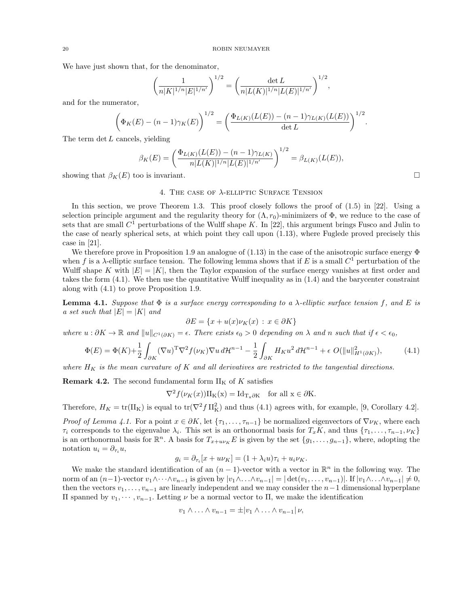We have just shown that, for the denominator,

$$
\left(\frac{1}{n|K|^{1/n}|E|^{1/n'}}\right)^{1/2} = \left(\frac{\det L}{n|L(K)|^{1/n}|L(E)|^{1/n'}}\right)^{1/2},\,
$$

and for the numerator,

$$
\left(\Phi_K(E) - (n-1)\gamma_K(E)\right)^{1/2} = \left(\frac{\Phi_{L(K)}(L(E)) - (n-1)\gamma_{L(K)}(L(E))}{\det L}\right)^{1/2}.
$$

The term  $\det L$  cancels, yielding

$$
\beta_K(E) = \left(\frac{\Phi_{L(K)}(L(E)) - (n-1)\gamma_{L(K)}}{n|L(K)|^{1/n}|L(E)|^{1/n'}}\right)^{1/2} = \beta_{L(K)}(L(E)),
$$

showing that  $\beta_K(E)$  too is invariant.

## 4. THE CASE OF  $\lambda$ -ELLIPTIC SURFACE TENSION

In this section, we prove Theorem 1.3. This proof closely follows the proof of  $(1.5)$  in [22]. Using a selection principle argument and the regularity theory for  $(\Lambda, r_0)$ -minimizers of  $\Phi$ , we reduce to the case of sets that are small  $C^1$  perturbations of the Wulff shape K. In [22], this argument brings Fusco and Julin to the case of nearly spherical sets, at which point they call upon (1.13), where Fuglede proved precisely this case in [21].

We therefore prove in Proposition 1.9 an analogue of  $(1.13)$  in the case of the anisotropic surface energy  $\Phi$ when f is a  $\lambda$ -elliptic surface tension. The following lemma shows that if E is a small  $C^1$  perturbation of the Wulff shape K with  $|E| = |K|$ , then the Taylor expansion of the surface energy vanishes at first order and takes the form (4.1). We then use the quantitative Wulff inequality as in (1.4) and the barycenter constraint along with (4.1) to prove Proposition 1.9.

**Lemma 4.1.** Suppose that  $\Phi$  is a surface energy corresponding to a  $\lambda$ -elliptic surface tension f, and E is a set such that  $|E| = |K|$  and

$$
\partial E = \{x + u(x)\nu_K(x) : x \in \partial K\}
$$

where  $u : \partial K \to \mathbb{R}$  and  $||u||_{C^1(\partial K)} = \epsilon$ . There exists  $\epsilon_0 > 0$  depending on  $\lambda$  and n such that if  $\epsilon < \epsilon_0$ ,

$$
\Phi(E) = \Phi(K) + \frac{1}{2} \int_{\partial K} (\nabla u)^{\mathrm{T}} \nabla^2 f(\nu_K) \nabla u \, d\mathcal{H}^{n-1} - \frac{1}{2} \int_{\partial K} H_K u^2 \, d\mathcal{H}^{n-1} + \epsilon \ O(\|u\|_{H^1(\partial K)}^2),\tag{4.1}
$$

where  $H_K$  is the mean curvature of K and all derivatives are restricted to the tangential directions.

**Remark 4.2.** The second fundamental form  $II_K$  of K satisfies

$$
\nabla^2 f(\nu_K(x))\Pi_K(x) = \mathrm{Id}_{\mathrm{T}_x\partial K} \quad \text{for all } x \in \partial K.
$$

Therefore,  $H_K = \text{tr}(\Pi_K)$  is equal to  $\text{tr}(\nabla^2 f \Pi_K^2)$  and thus (4.1) agrees with, for example, [9, Corollary 4.2].

*Proof of Lemma 4.1.* For a point  $x \in \partial K$ , let  $\{\tau_1, \ldots, \tau_{n-1}\}$  be normalized eigenvectors of  $\nabla \nu_K$ , where each  $\tau_i$  corresponds to the eigenvalue  $\lambda_i$ . This set is an orthonormal basis for  $T_xK$ , and thus  $\{\tau_1,\ldots,\tau_{n-1},\nu_K\}$ is an orthonormal basis for  $\mathbb{R}^n$ . A basis for  $T_{x+u\nu_K}E$  is given by the set  $\{g_1,\ldots,g_{n-1}\}$ , where, adopting the notation  $u_i = \partial_{\tau_i} u$ ,

$$
g_i = \partial_{\tau_i}[x + u\nu_K] = (1 + \lambda_i u)\tau_i + u_i \nu_K.
$$

We make the standard identification of an  $(n-1)$ -vector with a vector in  $\mathbb{R}^n$  in the following way. The norm of an  $(n-1)$ -vector  $v_1 \wedge \cdots \wedge v_{n-1}$  is given by  $|v_1 \wedge \cdots \wedge v_{n-1}| = |\det(v_1, \ldots, v_{n-1})|$ . If  $|v_1 \wedge \cdots \wedge v_{n-1}| \neq 0$ , then the vectors  $v_1, \ldots, v_{n-1}$  are linearly independent and we may consider the  $n-1$  dimensional hyperplane II spanned by  $v_1, \cdots, v_{n-1}$ . Letting *ν* be a normal vector to Π, we make the identification

$$
v_1 \wedge \ldots \wedge v_{n-1} = \pm |v_1 \wedge \ldots \wedge v_{n-1}| \nu,
$$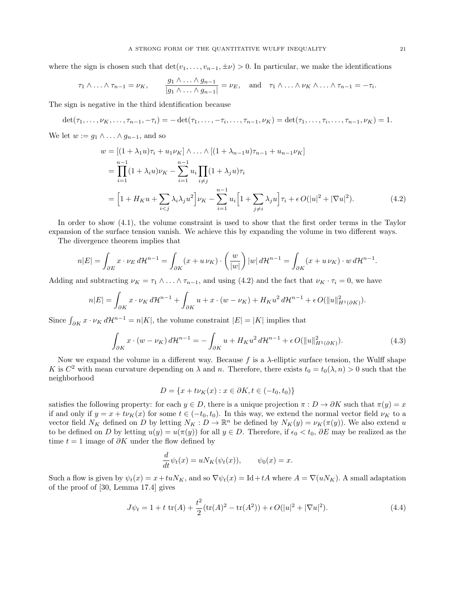where the sign is chosen such that  $\det(v_1, \ldots, v_{n-1}, \pm \nu) > 0$ . In particular, we make the identifications

$$
\tau_1 \wedge \ldots \wedge \tau_{n-1} = \nu_K, \qquad \frac{g_1 \wedge \ldots \wedge g_{n-1}}{|g_1 \wedge \ldots \wedge g_{n-1}|} = \nu_E, \quad \text{and} \quad \tau_1 \wedge \ldots \wedge \nu_K \wedge \ldots \wedge \tau_{n-1} = -\tau_i.
$$

The sign is negative in the third identification because

$$
\det(\tau_1,\ldots,\nu_K,\ldots,\tau_{n-1},-\tau_i)=-\det(\tau_1,\ldots,-\tau_i,\ldots,\tau_{n-1},\nu_K)=\det(\tau_1,\ldots,\tau_i,\ldots,\tau_{n-1},\nu_K)=1.
$$

We let  $w := q_1 \wedge \ldots \wedge q_{n-1}$ , and so

$$
w = [(1 + \lambda_1 u)\tau_i + u_1 \nu_K] \wedge \dots \wedge [(1 + \lambda_{n-1} u)\tau_{n-1} + u_{n-1} \nu_K]
$$
  
= 
$$
\prod_{i=1}^{n-1} (1 + \lambda_i u)\nu_K - \sum_{i=1}^{n-1} u_i \prod_{i \neq j} (1 + \lambda_j u)\tau_i
$$
  
= 
$$
\left[1 + H_K u + \sum_{i < j} \lambda_i \lambda_j u^2\right] \nu_K - \sum_{i=1}^{n-1} u_i \left[1 + \sum_{j \neq i} \lambda_j u\right] \tau_i + \epsilon O(|u|^2 + |\nabla u|^2). \tag{4.2}
$$

In order to show (4.1), the volume constraint is used to show that the first order terms in the Taylor expansion of the surface tension vanish. We achieve this by expanding the volume in two different ways.

The divergence theorem implies that

$$
n|E| = \int_{\partial E} x \cdot \nu_E d\mathcal{H}^{n-1} = \int_{\partial K} (x + u \nu_K) \cdot \left(\frac{w}{|w|}\right) |w| d\mathcal{H}^{n-1} = \int_{\partial K} (x + u \nu_K) \cdot w d\mathcal{H}^{n-1}.
$$

Adding and subtracting  $\nu_K = \tau_1 \wedge \ldots \wedge \tau_{n-1}$ , and using (4.2) and the fact that  $\nu_K \cdot \tau_i = 0$ , we have

$$
n|E| = \int_{\partial K} x \cdot \nu_K d\mathcal{H}^{n-1} + \int_{\partial K} u + x \cdot (w - \nu_K) + H_K u^2 d\mathcal{H}^{n-1} + \epsilon O(||u||_{H^1(\partial K)}^2).
$$

Since  $\int_{\partial K} x \cdot \nu_K d\mathcal{H}^{n-1} = n|K|$ , the volume constraint  $|E| = |K|$  implies that

$$
\int_{\partial K} x \cdot (w - \nu_K) d\mathcal{H}^{n-1} = -\int_{\partial K} u + H_K u^2 d\mathcal{H}^{n-1} + \epsilon O(||u||^2_{H^1(\partial K)}).
$$
\n(4.3)

Now we expand the volume in a different way. Because f is a  $\lambda$ -elliptic surface tension, the Wulff shape K is  $C^2$  with mean curvature depending on  $\lambda$  and n. Therefore, there exists  $t_0 = t_0(\lambda, n) > 0$  such that the neighborhood

$$
D = \{x + t\nu_K(x) : x \in \partial K, t \in (-t_0, t_0)\}
$$

satisfies the following property: for each  $y \in D$ , there is a unique projection  $\pi : D \to \partial K$  such that  $\pi(y) = x$ if and only if  $y = x + t\nu_K(x)$  for some  $t \in (-t_0, t_0)$ . In this way, we extend the normal vector field  $\nu_K$  to a vector field  $N_K$  defined on D by letting  $N_K : D \to \mathbb{R}^n$  be defined by  $N_K(y) = \nu_K(\pi(y))$ . We also extend u to be defined on D by letting  $u(y) = u(\pi(y))$  for all  $y \in D$ . Therefore, if  $\epsilon_0 < t_0$ ,  $\partial E$  may be realized as the time  $t = 1$  image of  $\partial K$  under the flow defined by

$$
\frac{d}{dt}\psi_t(x) = uN_K(\psi_t(x)), \qquad \psi_0(x) = x.
$$

Such a flow is given by  $\psi_t(x) = x + tuN_K$ , and so  $\nabla \psi_t(x) = \text{Id} + tA$  where  $A = \nabla(uN_K)$ . A small adaptation of the proof of [30, Lemma 17.4] gives

$$
J\psi_t = 1 + t \operatorname{tr}(A) + \frac{t^2}{2} (\operatorname{tr}(A)^2 - \operatorname{tr}(A^2)) + \epsilon O(|u|^2 + |\nabla u|^2). \tag{4.4}
$$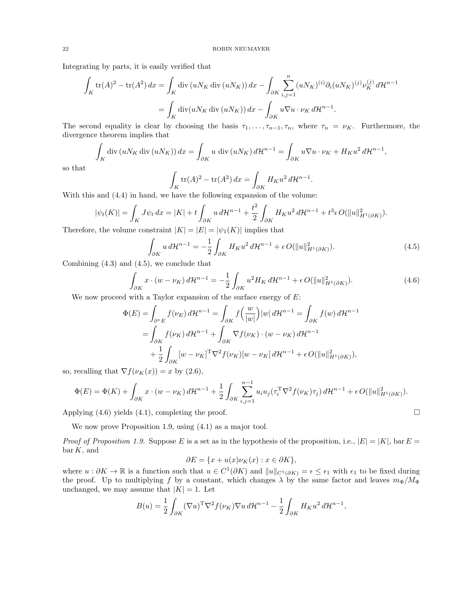Integrating by parts, it is easily verified that

$$
\int_{K} \text{tr}(A)^{2} - \text{tr}(A^{2}) dx = \int_{K} \text{div}(uN_{K} \text{ div}(uN_{K})) dx - \int_{\partial K} \sum_{i,j=1}^{n} (uN_{K})^{(i)} \partial_{i} (uN_{K})^{(j)} \nu_{K}^{(j)} d\mathcal{H}^{n-1}
$$
\n
$$
= \int_{K} \text{div}(uN_{K} \text{ div}(uN_{K})) dx - \int_{\partial K} u\nabla u \cdot \nu_{K} d\mathcal{H}^{n-1}.
$$

The second equality is clear by choosing the basis  $\tau_1, \ldots, \tau_{n-1}, \tau_n$ , where  $\tau_n = \nu_K$ . Furthermore, the divergence theorem implies that

$$
\int_{K} \operatorname{div} \left( u N_{K} \operatorname{div} \left( u N_{K} \right) \right) dx = \int_{\partial K} u \operatorname{div} \left( u N_{K} \right) d\mathcal{H}^{n-1} = \int_{\partial K} u \nabla u \cdot \nu_{K} + H_{K} u^{2} d\mathcal{H}^{n-1},
$$

so that

$$
\int_{K} \text{tr}(A)^{2} - \text{tr}(A^{2}) dx = \int_{\partial K} H_{K} u^{2} d\mathcal{H}^{n-1}.
$$

With this and (4.4) in hand, we have the following expansion of the volume:

$$
|\psi_t(K)| = \int_K J\psi_t \, dx = |K| + t \int_{\partial K} u \, d\mathcal{H}^{n-1} + \frac{t^2}{2} \int_{\partial K} H_K u^2 \, d\mathcal{H}^{n-1} + t^3 \epsilon \, O(||u||_{H^1(\partial K)}^2).
$$

Therefore, the volume constraint  $|K| = |E| = |\psi_1(K)|$  implies that

$$
\int_{\partial K} u \, d\mathcal{H}^{n-1} = -\frac{1}{2} \int_{\partial K} H_K u^2 \, d\mathcal{H}^{n-1} + \epsilon \, O(\|u\|_{H^1(\partial K)}^2). \tag{4.5}
$$

Combining (4.3) and (4.5), we conclude that

$$
\int_{\partial K} x \cdot (w - \nu_K) d\mathcal{H}^{n-1} = -\frac{1}{2} \int_{\partial K} u^2 H_K d\mathcal{H}^{n-1} + \epsilon O(||u||_{H^1(\partial K)}^2).
$$
\n(4.6)

We now proceed with a Taylor expansion of the surface energy of  $E$ :

$$
\Phi(E) = \int_{\partial^* E} f(\nu_E) d\mathcal{H}^{n-1} = \int_{\partial K} f\left(\frac{w}{|w|}\right) |w| d\mathcal{H}^{n-1} = \int_{\partial K} f(w) d\mathcal{H}^{n-1}
$$

$$
= \int_{\partial K} f(\nu_K) d\mathcal{H}^{n-1} + \int_{\partial K} \nabla f(\nu_K) \cdot (w - \nu_K) d\mathcal{H}^{n-1}
$$

$$
+ \frac{1}{2} \int_{\partial K} [w - \nu_K]^{\mathrm{T}} \nabla^2 f(\nu_K) [w - \nu_K] d\mathcal{H}^{n-1} + \epsilon O(\|u\|_{H^1(\partial K)}^2),
$$

so, recalling that  $\nabla f(\nu_K(x)) = x$  by (2.6),

$$
\Phi(E) = \Phi(K) + \int_{\partial K} x \cdot (w - \nu_K) d\mathcal{H}^{n-1} + \frac{1}{2} \int_{\partial K} \sum_{i,j=1}^{n-1} u_i u_j (\tau_i^{\mathrm{T}} \nabla^2 f(\nu_K) \tau_j) d\mathcal{H}^{n-1} + \epsilon O(\|u\|_{H^1(\partial K)}^2).
$$

Applying (4.6) yields (4.1), completing the proof.

We now prove Proposition 1.9, using  $(4.1)$  as a major tool.

*Proof of Proposition 1.9.* Suppose E is a set as in the hypothesis of the proposition, i.e.,  $|E| = |K|$ , bar E =  $bar K$ , and

$$
\partial E = \{x + u(x)\nu_K(x) : x \in \partial K\},\
$$

where  $u : \partial K \to \mathbb{R}$  is a function such that  $u \in C^1(\partial K)$  and  $||u||_{C^1(\partial K)} = \epsilon \leq \epsilon_1$  with  $\epsilon_1$  to be fixed during the proof. Up to multiplying f by a constant, which changes  $\lambda$  by the same factor and leaves  $m_{\Phi}/M_{\Phi}$ unchanged, we may assume that  $|K| = 1$ . Let

$$
B(u) = \frac{1}{2} \int_{\partial K} (\nabla u)^{\mathrm{T}} \nabla^2 f(\nu_K) \nabla u \, d\mathcal{H}^{n-1} - \frac{1}{2} \int_{\partial K} H_K u^2 \, d\mathcal{H}^{n-1},
$$

$$
\Box
$$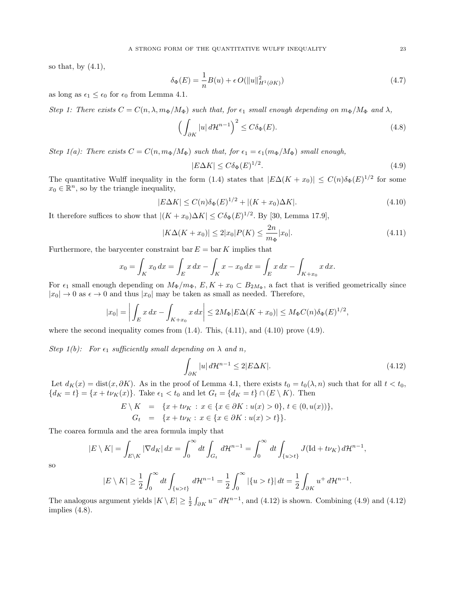so that, by  $(4.1)$ ,

$$
\delta_{\Phi}(E) = \frac{1}{n}B(u) + \epsilon O(||u||_{H^1(\partial K)}^2)
$$
\n(4.7)

as long as  $\epsilon_1 \leq \epsilon_0$  for  $\epsilon_0$  from Lemma 4.1.

Step 1: There exists  $C = C(n, \lambda, m_{\Phi}/M_{\Phi})$  such that, for  $\epsilon_1$  small enough depending on  $m_{\Phi}/M_{\Phi}$  and  $\lambda$ ,

$$
\left(\int_{\partial K} |u| \, d\mathcal{H}^{n-1}\right)^2 \le C\delta_{\Phi}(E). \tag{4.8}
$$

Step 1(a): There exists  $C = C(n, m_{\Phi}/M_{\Phi})$  such that, for  $\epsilon_1 = \epsilon_1(m_{\Phi}/M_{\Phi})$  small enough,

$$
|E\Delta K| \le C\delta_{\Phi}(E)^{1/2}.\tag{4.9}
$$

The quantitative Wulff inequality in the form (1.4) states that  $|E\Delta(K + x_0)| \leq C(n)\delta_{\Phi}(E)^{1/2}$  for some  $x_0 \in \mathbb{R}^n$ , so by the triangle inequality,

$$
|E\Delta K| \le C(n)\delta_{\Phi}(E)^{1/2} + |(K + x_0)\Delta K|.
$$
\n(4.10)

It therefore suffices to show that  $|(K + x_0)\Delta K| \leq C\delta_{\Phi}(E)^{1/2}$ . By [30, Lemma 17.9],

$$
|K\Delta(K+x_0)| \le 2|x_0|P(K) \le \frac{2n}{m_{\Phi}}|x_0|.\tag{4.11}
$$

Furthermore, the barycenter constraint bar  $E = \text{bar } K$  implies that

$$
x_0 = \int_K x_0 dx = \int_E x dx - \int_K x - x_0 dx = \int_E x dx - \int_{K+x_0} x dx.
$$

For  $\epsilon_1$  small enough depending on  $M_{\Phi}/m_{\Phi}$ ,  $E, K + x_0 \subset B_{2M_{\Phi}}$ , a fact that is verified geometrically since  $|x_0| \to 0$  as  $\epsilon \to 0$  and thus  $|x_0|$  may be taken as small as needed. Therefore,

$$
|x_0| = \left| \int_E x \, dx - \int_{K+x_0} x \, dx \right| \le 2M_{\Phi} |E\Delta(K+x_0)| \le M_{\Phi} C(n) \delta_{\Phi}(E)^{1/2},
$$

where the second inequality comes from  $(1.4)$ . This,  $(4.11)$ , and  $(4.10)$  prove  $(4.9)$ .

Step 1(b): For  $\epsilon_1$  sufficiently small depending on  $\lambda$  and n,

$$
\int_{\partial K} |u| \, d\mathcal{H}^{n-1} \le 2|E\Delta K|.\tag{4.12}
$$

.

Let  $d_K(x) = \text{dist}(x, \partial K)$ . As in the proof of Lemma 4.1, there exists  $t_0 = t_0(\lambda, n)$  such that for all  $t < t_0$ ,  ${d_K = t} = {x + t\nu_K(x)}$ . Take  $\epsilon_1 < t_0$  and let  $G_t = {d_K = t} \cap (E \setminus K)$ . Then

$$
E \setminus K = \{x + t\nu_K : x \in \{x \in \partial K : u(x) > 0\}, t \in (0, u(x))\},
$$
  
\n
$$
G_t = \{x + t\nu_K : x \in \{x \in \partial K : u(x) > t\}\}.
$$

The coarea formula and the area formula imply that

$$
|E \setminus K| = \int_{E \setminus K} |\nabla d_K| dx = \int_0^\infty dt \int_{G_t} d\mathcal{H}^{n-1} = \int_0^\infty dt \int_{\{u > t\}} J(\mathrm{Id} + t\nu_K) d\mathcal{H}^{n-1},
$$

so

$$
|E \setminus K| \ge \frac{1}{2} \int_0^\infty dt \int_{\{u > t\}} d\mathcal{H}^{n-1} = \frac{1}{2} \int_0^\infty |\{u > t\}| dt = \frac{1}{2} \int_{\partial K} u^+ d\mathcal{H}^{n-1}
$$

The analogous argument yields  $|K \setminus E| \ge \frac{1}{2} \int_{\partial K} u^{-} d\mathcal{H}^{n-1}$ , and (4.12) is shown. Combining (4.9) and (4.12) implies (4.8).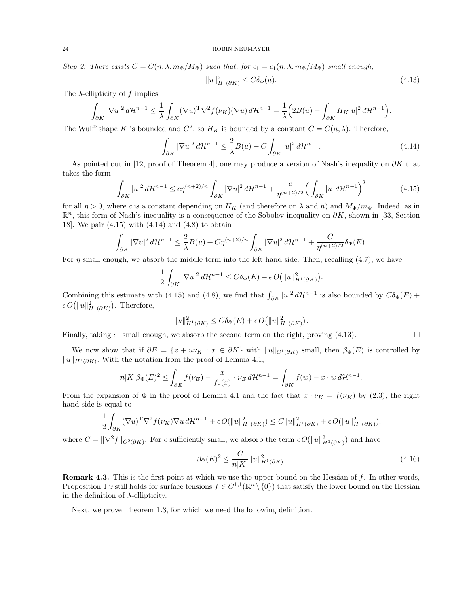Step 2: There exists  $C = C(n, \lambda, m_{\Phi}/M_{\Phi})$  such that, for  $\epsilon_1 = \epsilon_1(n, \lambda, m_{\Phi}/M_{\Phi})$  small enough,

$$
||u||_{H^1(\partial K)}^2 \le C\delta_\Phi(u). \tag{4.13}
$$

The  $\lambda$ -ellipticity of f implies

$$
\int_{\partial K} |\nabla u|^2 d\mathcal{H}^{n-1} \leq \frac{1}{\lambda} \int_{\partial K} (\nabla u)^{\mathrm{T}} \nabla^2 f(\nu_K)(\nabla u) d\mathcal{H}^{n-1} = \frac{1}{\lambda} \Big( 2B(u) + \int_{\partial K} H_K |u|^2 d\mathcal{H}^{n-1} \Big).
$$

The Wulff shape K is bounded and  $C^2$ , so  $H_K$  is bounded by a constant  $C = C(n, \lambda)$ . Therefore,

$$
\int_{\partial K} |\nabla u|^2 d\mathcal{H}^{n-1} \le \frac{2}{\lambda} B(u) + C \int_{\partial K} |u|^2 d\mathcal{H}^{n-1}.
$$
\n(4.14)

As pointed out in [12, proof of Theorem 4], one may produce a version of Nash's inequality on  $\partial K$  that takes the form

$$
\int_{\partial K} |u|^2 d\mathcal{H}^{n-1} \le c\eta^{(n+2)/n} \int_{\partial K} |\nabla u|^2 d\mathcal{H}^{n-1} + \frac{c}{\eta^{(n+2)/2}} \Big(\int_{\partial K} |u| d\mathcal{H}^{n-1}\Big)^2 \tag{4.15}
$$

for all  $\eta > 0$ , where c is a constant depending on  $H_K$  (and therefore on  $\lambda$  and  $n$ ) and  $M_{\Phi}/m_{\Phi}$ . Indeed, as in  $\mathbb{R}^n$ , this form of Nash's inequality is a consequence of the Sobolev inequality on  $\partial K$ , shown in [33, Section 18]. We pair (4.15) with (4.14) and (4.8) to obtain

$$
\int_{\partial K} |\nabla u|^2 \, d\mathcal{H}^{n-1} \leq \frac{2}{\lambda} B(u) + C\eta^{(n+2)/n} \int_{\partial K} |\nabla u|^2 \, d\mathcal{H}^{n-1} + \frac{C}{\eta^{(n+2)/2}} \delta_\Phi(E).
$$

For  $\eta$  small enough, we absorb the middle term into the left hand side. Then, recalling (4.7), we have

$$
\frac{1}{2} \int_{\partial K} |\nabla u|^2 d\mathcal{H}^{n-1} \leq C \delta_{\Phi}(E) + \epsilon O(||u||_{H^1(\partial K)}^2).
$$

Combining this estimate with (4.15) and (4.8), we find that  $\int_{\partial K} |u|^2 d\mathcal{H}^{n-1}$  is also bounded by  $C\delta_{\Phi}(E)$  +  $\epsilon O(|u||_{H^1(\partial K)}^2)$ . Therefore,

$$
||u||_{H^1(\partial K)}^2 \leq C\delta_{\Phi}(E) + \epsilon O(||u||_{H^1(\partial K)}^2).
$$

Finally, taking  $\epsilon_1$  small enough, we absorb the second term on the right, proving (4.13).

We now show that if  $\partial E = \{x + u\nu_K : x \in \partial K\}$  with  $||u||_{C^1(\partial K)}$  small, then  $\beta_{\Phi}(E)$  is controlled by  $||u||_{H^1(\partial K)}$ . With the notation from the proof of Lemma 4.1,

$$
n|K|\beta_{\Phi}(E)^{2} \leq \int_{\partial E} f(\nu_{E}) - \frac{x}{f_{*}(x)} \cdot \nu_{E} d\mathcal{H}^{n-1} = \int_{\partial K} f(w) - x \cdot w d\mathcal{H}^{n-1}.
$$

From the expansion of  $\Phi$  in the proof of Lemma 4.1 and the fact that  $x \cdot \nu_K = f(\nu_K)$  by (2.3), the right hand side is equal to

$$
\frac{1}{2} \int_{\partial K} (\nabla u)^{\mathrm{T}} \nabla^2 f(\nu_K) \nabla u \, d\mathcal{H}^{n-1} + \epsilon O(||u||_{H^1(\partial K)}^2) \leq C ||u||_{H^1(\partial K)}^2 + \epsilon O(||u||_{H^1(\partial K)}^2),
$$

where  $C = ||\nabla^2 f||_{C^0(\partial K)}$ . For  $\epsilon$  sufficiently small, we absorb the term  $\epsilon O(||u||^2_{H^1(\partial K)})$  and have

$$
\beta_{\Phi}(E)^2 \le \frac{C}{n|K|} \|u\|_{H^1(\partial K)}^2.
$$
\n(4.16)

**Remark 4.3.** This is the first point at which we use the upper bound on the Hessian of  $f$ . In other words, Proposition 1.9 still holds for surface tensions  $f \in C^{1,1}(\mathbb{R}^n \setminus \{0\})$  that satisfy the lower bound on the Hessian in the definition of  $\lambda$ -ellipticity.

Next, we prove Theorem 1.3, for which we need the following definition.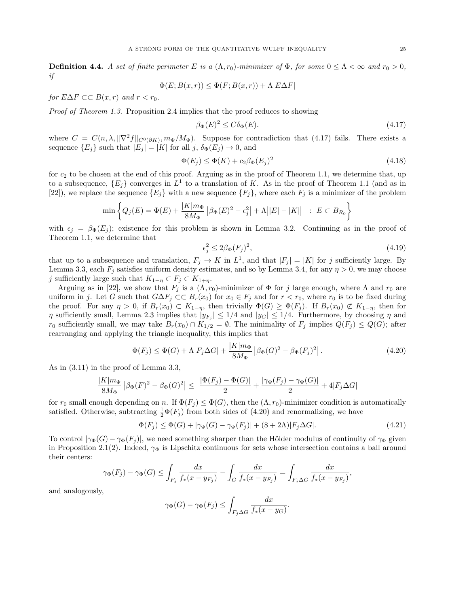**Definition 4.4.** A set of finite perimeter E is a  $(\Lambda, r_0)$ -minimizer of  $\Phi$ , for some  $0 \leq \Lambda < \infty$  and  $r_0 > 0$ , if

$$
\Phi(E; B(x, r)) \le \Phi(F; B(x, r)) + \Lambda |E \Delta F|
$$

for  $E\Delta F \subset B(x,r)$  and  $r < r_0$ .

Proof of Theorem 1.3. Proposition 2.4 implies that the proof reduces to showing

$$
\beta_{\Phi}(E)^2 \le C \delta_{\Phi}(E). \tag{4.17}
$$

where  $C = C(n, \lambda, ||\nabla^2 f||_{C^0(\partial K)}, m_{\Phi}/M_{\Phi})$ . Suppose for contradiction that (4.17) fails. There exists a sequence  $\{E_j\}$  such that  $|E_j| = |K|$  for all j,  $\delta_{\Phi}(E_j) \to 0$ , and

$$
\Phi(E_j) \le \Phi(K) + c_2 \beta_\Phi(E_j)^2 \tag{4.18}
$$

for  $c_2$  to be chosen at the end of this proof. Arguing as in the proof of Theorem 1.1, we determine that, up to a subsequence,  ${E_j}$  converges in  $L^1$  to a translation of K. As in the proof of Theorem 1.1 (and as in [22]), we replace the sequence  $\{E_j\}$  with a new sequence  $\{F_j\}$ , where each  $F_j$  is a minimizer of the problem

$$
\min \left\{ Q_j(E) = \Phi(E) + \frac{|K|m_{\Phi}}{8M_{\Phi}} \left| \beta_{\Phi}(E)^2 - \epsilon_j^2 \right| + \Lambda \left| |E| - |K| \right| \ : \ E \subset B_{R_0} \right\}
$$

with  $\epsilon_j = \beta_{\Phi}(E_j)$ ; existence for this problem is shown in Lemma 3.2. Continuing as in the proof of Theorem 1.1, we determine that

$$
\epsilon_j^2 \le 2\beta_\Phi(F_j)^2,\tag{4.19}
$$

that up to a subsequence and translation,  $F_j \to K$  in  $L^1$ , and that  $|F_j| = |K|$  for j sufficiently large. By Lemma 3.3, each  $F_j$  satisfies uniform density estimates, and so by Lemma 3.4, for any  $\eta > 0$ , we may choose j sufficiently large such that  $K_{1-\eta} \subset F_j \subset K_{1+\eta}$ .

Arguing as in [22], we show that  $F_j$  is a  $(\Lambda, r_0)$ -minimizer of  $\Phi$  for j large enough, where  $\Lambda$  and  $r_0$  are uniform in j. Let G such that  $G\Delta F_j \subset F_r(x_0)$  for  $x_0 \in F_j$  and for  $r < r_0$ , where  $r_0$  is to be fixed during the proof. For any  $\eta > 0$ , if  $B_r(x_0) \subset K_{1-\eta}$ , then trivially  $\Phi(G) \geq \Phi(F_j)$ . If  $B_r(x_0) \not\subset K_{1-\eta}$ , then for  $\eta$  sufficiently small, Lemma 2.3 implies that  $|y_{F_j}| \leq 1/4$  and  $|y_G| \leq 1/4$ . Furthermore, by choosing  $\eta$  and r<sub>0</sub> sufficiently small, we may take  $B_r(x_0) \cap K_{1/2} = \emptyset$ . The minimality of  $F_j$  implies  $Q(F_j) \leq Q(G)$ ; after rearranging and applying the triangle inequality, this implies that

$$
\Phi(F_j) \le \Phi(G) + \Lambda |F_j \Delta G| + \frac{|K|m_{\Phi}}{8M_{\Phi}} \left| \beta_{\Phi}(G)^2 - \beta_{\Phi}(F_j)^2 \right|.
$$
\n(4.20)

As in (3.11) in the proof of Lemma 3.3,

$$
\frac{|K|m_{\Phi}}{8M_{\Phi}}\left|\beta_{\Phi}(F)^{2}-\beta_{\Phi}(G)^{2}\right| \leq \frac{|\Phi(F_{j})-\Phi(G)|}{2}+\frac{|\gamma_{\Phi}(F_{j})-\gamma_{\Phi}(G)|}{2}+4|F_{j}\Delta G|
$$

for  $r_0$  small enough depending on n. If  $\Phi(F_i) \leq \Phi(G)$ , then the  $(\Lambda, r_0)$ -minimizer condition is automatically satisfied. Otherwise, subtracting  $\frac{1}{2}\Phi(F_j)$  from both sides of (4.20) and renormalizing, we have

$$
\Phi(F_j) \le \Phi(G) + |\gamma_{\Phi}(G) - \gamma_{\Phi}(F_j)| + (8+2\Lambda)|F_j \Delta G|.
$$
\n(4.21)

To control  $|\gamma_{\Phi}(G) - \gamma_{\Phi}(F_i)|$ , we need something sharper than the Hölder modulus of continuity of  $\gamma_{\Phi}$  given in Proposition 2.1(2). Indeed,  $\gamma_{\Phi}$  is Lipschitz continuous for sets whose intersection contains a ball around their centers:

$$
\gamma_{\Phi}(F_j) - \gamma_{\Phi}(G) \le \int_{F_j} \frac{dx}{f_*(x - y_{F_j})} - \int_G \frac{dx}{f_*(x - y_{F_j})} = \int_{F_j \Delta G} \frac{dx}{f_*(x - y_{F_j})},
$$

and analogously,

$$
\gamma_{\Phi}(G) - \gamma_{\Phi}(F_j) \le \int_{F_j \Delta G} \frac{dx}{f_*(x - y_G)}.
$$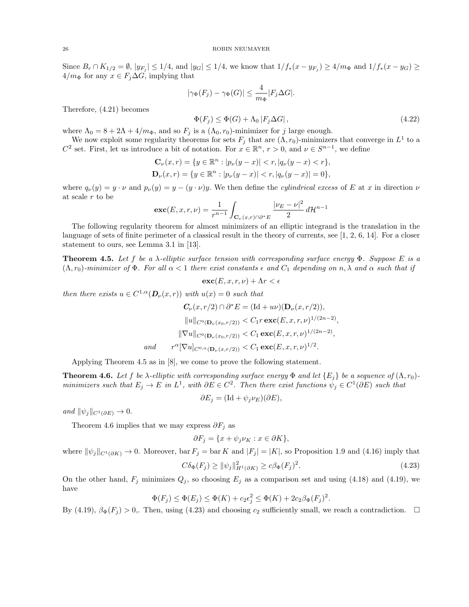Since  $B_r \cap K_{1/2} = \emptyset$ ,  $|y_{F_j}| \leq 1/4$ , and  $|y_G| \leq 1/4$ , we know that  $1/f_*(x - y_{F_j}) \geq 4/m_{\Phi}$  and  $1/f_*(x - y_G) \geq$  $4/m_{\Phi}$  for any  $x \in F_j \Delta G$ , implying that

$$
|\gamma_{\Phi}(F_j) - \gamma_{\Phi}(G)| \le \frac{4}{m_{\Phi}} |F_j \Delta G|.
$$

Therefore, (4.21) becomes

$$
\Phi(F_j) \le \Phi(G) + \Lambda_0 |F_j \Delta G|,\tag{4.22}
$$

where  $\Lambda_0 = 8 + 2\Lambda + 4/m_\Phi$ , and so  $F_j$  is a  $(\Lambda_0, r_0)$ -minimizer for j large enough.

We now exploit some regularity theorems for sets  $F_j$  that are  $(\Lambda, r_0)$ -minimizers that converge in  $L^1$  to a C<sup>2</sup> set. First, let us introduce a bit of notation. For  $x \in \mathbb{R}^n$ ,  $r > 0$ , and  $\nu \in S^{n-1}$ , we define

$$
\mathbf{C}_{\nu}(x,r) = \{ y \in \mathbb{R}^n : |p_{\nu}(y-x)| < r, |q_{\nu}(y-x)| < r \},\
$$
  

$$
\mathbf{D}_{\nu}(x,r) = \{ y \in \mathbb{R}^n : |p_{\nu}(y-x)| < r, |q_{\nu}(y-x)| = 0 \},\
$$

where  $q_{\nu}(y) = y \cdot \nu$  and  $p_{\nu}(y) = y - (y \cdot \nu)y$ . We then define the *cylindrical excess* of E at x in direction  $\nu$ at scale r to be

$$
\mathbf{exc}(E, x, r, \nu) = \frac{1}{r^{n-1}} \int_{\mathbf{C}_{\nu}(x, r) \cap \partial^* E} \frac{|\nu_E - \nu|^2}{2} d\mathcal{H}^{n-1}
$$

The following regularity theorem for almost minimizers of an elliptic integrand is the translation in the language of sets of finite perimeter of a classical result in the theory of currents, see [1, 2, 6, 14]. For a closer statement to ours, see Lemma 3.1 in [13].

**Theorem 4.5.** Let f be a  $\lambda$ -elliptic surface tension with corresponding surface energy  $\Phi$ . Suppose E is a  $(\Lambda, r_0)$ -minimizer of  $\Phi$ . For all  $\alpha < 1$  there exist constants  $\epsilon$  and  $C_1$  depending on  $n, \lambda$  and  $\alpha$  such that if

$$
\mathbf{exc}(E, x, r, \nu) + \Lambda r < \epsilon
$$

then there exists  $u \in C^{1,\alpha}(\mathbf{D}_{\nu}(x,r))$  with  $u(x) = 0$  such that

$$
C_{\nu}(x, r/2) \cap \partial^* E = (\text{Id} + u\nu)(\mathbf{D}_{\nu}(x, r/2)),
$$
  
\n
$$
||u||_{C^0(\mathbf{D}_{\nu}(x_0, r/2))} < C_1 r \csc(E, x, r, \nu)^{1/(2n-2)},
$$
  
\n
$$
||\nabla u||_{C^0(\mathbf{D}_{\nu}(x_0, r/2))} < C_1 \csc(E, x, r, \nu)^{1/(2n-2)},
$$
  
\nand 
$$
r^{\alpha}[\nabla u]_{C^{0,\alpha}(\mathbf{D}_{\nu}(x, r/2))} < C_1 \csc(E, x, r, \nu)^{1/2}.
$$

Applying Theorem 4.5 as in [8], we come to prove the following statement.

**Theorem 4.6.** Let f be  $\lambda$ -elliptic with corresponding surface energy  $\Phi$  and let  $\{E_j\}$  be a sequence of  $(\Lambda, r_0)$ minimizers such that  $E_j \to E$  in  $L^1$ , with  $\partial E \in C^2$ . Then there exist functions  $\psi_j \in C^1(\partial E)$  such that

 $\partial E_j = (\text{Id} + \psi_j \nu_E)(\partial E),$ 

and  $\|\psi_j\|_{C^1(\partial E)} \to 0.$ 

Theorem 4.6 implies that we may express  $\partial F_j$  as

$$
\partial F_j = \{ x + \psi_j \nu_K : x \in \partial K \},\
$$

where  $\|\psi_j\|_{C^1(\partial K)} \to 0$ . Moreover, bar  $F_j =$  bar K and  $|F_j| = |K|$ , so Proposition 1.9 and (4.16) imply that

$$
C\delta_{\Phi}(F_j) \ge ||\psi_j||_{H^1(\partial K)}^2 \ge c\beta_{\Phi}(F_j)^2. \tag{4.23}
$$

On the other hand,  $F_j$  minimizes  $Q_j$ , so choosing  $E_j$  as a comparison set and using (4.18) and (4.19), we have

$$
\Phi(F_j) \le \Phi(E_j) \le \Phi(K) + c_2 \epsilon_j^2 \le \Phi(K) + 2c_2 \beta_{\Phi}(F_j)^2.
$$

By (4.19),  $\beta_{\Phi}(F_i) > 0$ . Then, using (4.23) and choosing  $c_2$  sufficiently small, we reach a contradiction.  $\square$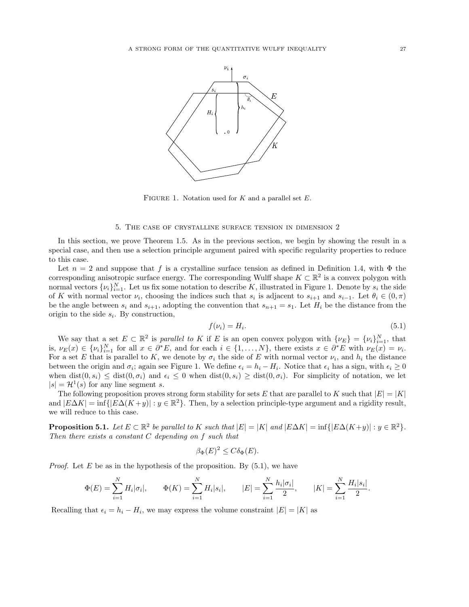

FIGURE 1. Notation used for  $K$  and a parallel set  $E$ .

# 5. The case of crystalline surface tension in dimension 2

In this section, we prove Theorem 1.5. As in the previous section, we begin by showing the result in a special case, and then use a selection principle argument paired with specific regularity properties to reduce to this case.

Let  $n = 2$  and suppose that f is a crystalline surface tension as defined in Definition 1.4, with  $\Phi$  the corresponding anisotropic surface energy. The corresponding Wulff shape  $K \subset \mathbb{R}^2$  is a convex polygon with normal vectors  $\{\nu_i\}_{i=1}^N$ . Let us fix some notation to describe K, illustrated in Figure 1. Denote by  $s_i$  the side of K with normal vector  $\nu_i$ , choosing the indices such that  $s_i$  is adjacent to  $s_{i+1}$  and  $s_{i-1}$ . Let  $\theta_i \in (0, \pi)$ be the angle between  $s_i$  and  $s_{i+1}$ , adopting the convention that  $s_{n+1} = s_1$ . Let  $H_i$  be the distance from the origin to the side  $s_i$ . By construction,

$$
f(\nu_i) = H_i. \tag{5.1}
$$

We say that a set  $E \subset \mathbb{R}^2$  is parallel to K if E is an open convex polygon with  $\{\nu_E\} = {\{\nu_i\}}_{i=1}^N$ , that is,  $\nu_E(x) \in {\{\nu_i\}}_{i=1}^N$  for all  $x \in \partial^*E$ , and for each  $i \in \{1, \ldots, N\}$ , there exists  $x \in \partial^*E$  with  $\nu_E(x) = \nu_i$ . For a set E that is parallel to K, we denote by  $\sigma_i$  the side of E with normal vector  $\nu_i$ , and  $h_i$  the distance between the origin and  $\sigma_i$ ; again see Figure 1. We define  $\epsilon_i = h_i - H_i$ . Notice that  $\epsilon_i$  has a sign, with  $\epsilon_i \geq 0$ when  $dist(0, s_i) \leq dist(0, \sigma_i)$  and  $\epsilon_i \leq 0$  when  $dist(0, s_i) \geq dist(0, \sigma_i)$ . For simplicity of notation, we let  $|s| = \mathcal{H}^1(s)$  for any line segment s.

The following proposition proves strong form stability for sets E that are parallel to K such that  $|E| = |K|$ and  $|E\Delta K| = \inf\{|E\Delta (K+y)| : y \in \mathbb{R}^2\}$ . Then, by a selection principle-type argument and a rigidity result, we will reduce to this case.

**Proposition 5.1.** Let  $E \subset \mathbb{R}^2$  be parallel to K such that  $|E| = |K|$  and  $|E\Delta K| = \inf\{|E\Delta(K+y)| : y \in \mathbb{R}^2\}$ . Then there exists a constant  $C$  depending on  $f$  such that

$$
\beta_{\Phi}(E)^2 \le C\delta_{\Phi}(E).
$$

*Proof.* Let E be as in the hypothesis of the proposition. By  $(5.1)$ , we have

$$
\Phi(E) = \sum_{i=1}^{N} H_i |\sigma_i|, \qquad \Phi(K) = \sum_{i=1}^{N} H_i |s_i|, \qquad |E| = \sum_{i=1}^{N} \frac{h_i |\sigma_i|}{2}, \qquad |K| = \sum_{i=1}^{N} \frac{H_i |s_i|}{2}.
$$

Recalling that  $\epsilon_i = h_i - H_i$ , we may express the volume constraint  $|E| = |K|$  as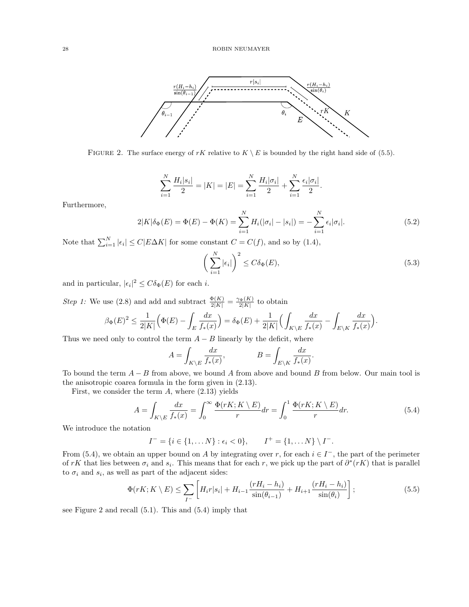

FIGURE 2. The surface energy of rK relative to  $K \setminus E$  is bounded by the right hand side of (5.5).

$$
\sum_{i=1}^{N} \frac{H_i |s_i|}{2} = |K| = |E| = \sum_{i=1}^{N} \frac{H_i |\sigma_i|}{2} + \sum_{i=1}^{N} \frac{\epsilon_i |\sigma_i|}{2}.
$$

Furthermore,

$$
2|K|\delta_{\Phi}(E) = \Phi(E) - \Phi(K) = \sum_{i=1}^{N} H_i(|\sigma_i| - |s_i|) = -\sum_{i=1}^{N} \epsilon_i |\sigma_i|. \tag{5.2}
$$

Note that  $\sum_{i=1}^{N} |\epsilon_i| \le C |E\Delta K|$  for some constant  $C = C(f)$ , and so by (1.4),

$$
\left(\sum_{i=1}^{N} |\epsilon_i|\right)^2 \le C\delta_{\Phi}(E),\tag{5.3}
$$

and in particular,  $|\epsilon_i|^2 \leq C \delta_{\Phi}(E)$  for each *i*.

*Step 1:* We use (2.8) and add and subtract  $\frac{\Phi(K)}{2|K|} = \frac{\gamma_{\Phi}(K)}{2|K|}$  to obtain

$$
\beta_{\Phi}(E)^2 \le \frac{1}{2|K|} \Big( \Phi(E) - \int_E \frac{dx}{f_*(x)} \Big) = \delta_{\Phi}(E) + \frac{1}{2|K|} \Big( \int_{K \setminus E} \frac{dx}{f_*(x)} - \int_{E \setminus K} \frac{dx}{f_*(x)} \Big).
$$

Thus we need only to control the term  $A - B$  linearly by the deficit, where

$$
A = \int_{K \backslash E} \frac{dx}{f_*(x)}, \hspace{10mm} B = \int_{E \backslash K} \frac{dx}{f_*(x)}.
$$

To bound the term  $A - B$  from above, we bound A from above and bound B from below. Our main tool is the anisotropic coarea formula in the form given in (2.13).

First, we consider the term  $A$ , where  $(2.13)$  yields

$$
A = \int_{K \backslash E} \frac{dx}{f_*(x)} = \int_0^\infty \frac{\Phi(rK; K \backslash E)}{r} dr = \int_0^1 \frac{\Phi(rK; K \backslash E)}{r} dr. \tag{5.4}
$$

We introduce the notation

$$
I^- = \{i \in \{1, \dots N\} : \epsilon_i < 0\}, \qquad I^+ = \{1, \dots N\} \setminus I^-.
$$

From (5.4), we obtain an upper bound on A by integrating over r, for each  $i \in I^-$ , the part of the perimeter of rK that lies between  $\sigma_i$  and  $s_i$ . This means that for each r, we pick up the part of  $\partial^*(rK)$  that is parallel to  $\sigma_i$  and  $s_i$ , as well as part of the adjacent sides:

$$
\Phi(rK; K \setminus E) \le \sum_{I^-} \left[ H_i r |s_i| + H_{i-1} \frac{(rH_i - h_i)}{\sin(\theta_{i-1})} + H_{i+1} \frac{(rH_i - h_i)}{\sin(\theta_i)} \right];\tag{5.5}
$$

see Figure 2 and recall (5.1). This and (5.4) imply that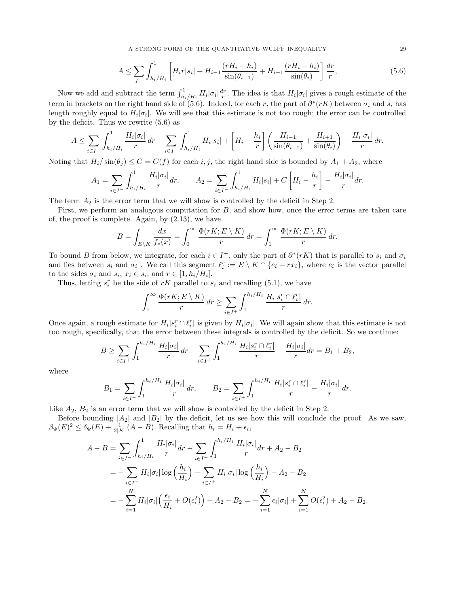A STRONG FORM OF THE QUANTITATIVE WULFF INEQUALITY 29

$$
A \le \sum_{I^-} \int_{h_i/H_i}^1 \left[ H_i r |s_i| + H_{i-1} \frac{(rH_i - h_i)}{\sin(\theta_{i-1})} + H_{i+1} \frac{(rH_i - h_i)}{\sin(\theta_i)} \right] \frac{dr}{r},\tag{5.6}
$$

Now we add and subtract the term  $\int_{h_i/H_i}^1 H_i |\sigma_i| \frac{dr}{r}$ . The idea is that  $H_i |\sigma_i|$  gives a rough estimate of the term in brackets on the right hand side of (5.6). Indeed, for each r, the part of  $\partial^*(rK)$  between  $\sigma_i$  and  $s_i$  has length roughly equal to  $H_i|\sigma_i|$ . We will see that this estimate is not too rough; the error can be controlled by the deficit. Thus we rewrite (5.6) as

$$
A \leq \sum_{i \in I^-} \int_{h_i/H_i}^1 \frac{H_i |\sigma_i|}{r} dr + \sum_{i \in I^-} \int_{h_i/H_i}^1 H_i |s_i| + \left[ H_i - \frac{h_i}{r} \right] \left( \frac{H_{i-1}}{\sin(\theta_{i-1})} + \frac{H_{i+1}}{\sin(\theta_i)} \right) - \frac{H_i |\sigma_i|}{r} dr.
$$

Noting that  $H_i/\sin(\theta_j) \leq C = C(f)$  for each i, j, the right hand side is bounded by  $A_1 + A_2$ , where

$$
A_1 = \sum_{i \in I^-} \int_{h_i/H_i}^1 \frac{H_i |\sigma_i|}{r} dr, \qquad A_2 = \sum_{i \in I^-} \int_{h_i/H_i}^1 H_i |s_i| + C \left[ H_i - \frac{h_i}{r} \right] - \frac{H_i |\sigma_i|}{r} dr.
$$

The term  $A_2$  is the error term that we will show is controlled by the deficit in Step 2.

First, we perform an analogous computation for B, and show how, once the error terms are taken care of, the proof is complete. Again, by (2.13), we have

$$
B = \int_{E \setminus K} \frac{dx}{f_*(x)} = \int_0^\infty \frac{\Phi(rK; E \setminus K)}{r} dr = \int_1^\infty \frac{\Phi(rK; E \setminus K)}{r} dr.
$$

To bound B from below, we integrate, for each  $i \in I^+$ , only the part of  $\partial^*(rK)$  that is parallel to  $s_i$  and  $\sigma_i$ and lies between  $s_i$  and  $\sigma_i$ . We call this segment  $\ell_i^r := E \setminus K \cap \{e_i + rx_i\}$ , where  $e_i$  is the vector parallel to the sides  $\sigma_i$  and  $s_i$ ,  $x_i \in s_i$ , and  $r \in [1, h_i/H_i]$ .

Thus, letting  $s_i^r$  be the side of  $rK$  parallel to  $s_i$  and recalling (5.1), we have

$$
\int_1^\infty \frac{\Phi(rK; E \setminus K)}{r} dr \ge \sum_{i \in I^+} \int_1^{h_i/H_i} \frac{H_i|s_i^r \cap \ell_i^r|}{r} dr.
$$

Once again, a rough estimate for  $H_i | s_i^r \cap \ell_i^r |$  is given by  $H_i | \sigma_i |$ . We will again show that this estimate is not too rough, specifically, that the error between these integrals is controlled by the deficit. So we continue:

$$
B \ge \sum_{i \in I^+} \int_1^{h_i/H_i} \frac{H_i|\sigma_i|}{r} dr + \sum_{i \in I^+} \int_1^{h_i/H_i} \frac{H_i|s_i^r \cap \ell_i^r|}{r} - \frac{H_i|\sigma_i|}{r} dr = B_1 + B_2,
$$

where

$$
B_1 = \sum_{i \in I^+} \int_1^{h_i/H_i} \frac{H_i |\sigma_i|}{r} dr, \qquad B_2 = \sum_{i \in I^+} \int_1^{h_i/H_i} \frac{H_i |s_i^r \cap \ell_i^r|}{r} - \frac{H_i |\sigma_i|}{r} dr.
$$

Like  $A_2$ ,  $B_2$  is an error term that we will show is controlled by the deficit in Step 2.

Before bounding  $|A_2|$  and  $|B_2|$  by the deficit, let us see how this will conclude the proof. As we saw,  $\beta_{\Phi}(E)^2 \leq \delta_{\Phi}(E) + \frac{1}{2|K|}(A-B)$ . Recalling that  $h_i = H_i + \epsilon_i$ ,

$$
A - B = \sum_{i \in I^{-}} \int_{h_i/H_i}^{1} \frac{H_i|\sigma_i|}{r} dr - \sum_{i \in I^{+}} \int_{1}^{h_i/H_i} \frac{H_i|\sigma_i|}{r} dr + A_2 - B_2
$$
  
= 
$$
- \sum_{i \in I^{-}} H_i|\sigma_i| \log \left(\frac{h_i}{H_i}\right) - \sum_{i \in I^{+}} H_i|\sigma_i| \log \left(\frac{h_i}{H_i}\right) + A_2 - B_2
$$
  
= 
$$
- \sum_{i=1}^{N} H_i|\sigma_i| \left(\frac{\epsilon_i}{H_i} + O(\epsilon_i^2)\right) + A_2 - B_2 = - \sum_{i=1}^{N} \epsilon_i|\sigma_i| + \sum_{i=1}^{N} O(\epsilon_i^2) + A_2 - B_2.
$$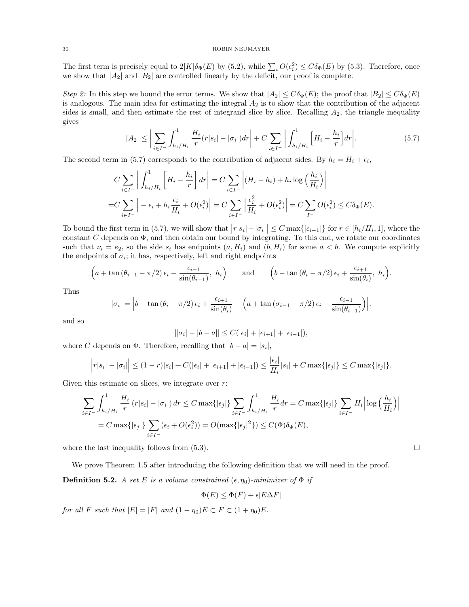The first term is precisely equal to  $2|K|\delta_{\Phi}(E)$  by (5.2), while  $\sum_i O(\epsilon_i^2) \leq C\delta_{\Phi}(E)$  by (5.3). Therefore, once we show that  $|A_2|$  and  $|B_2|$  are controlled linearly by the deficit, our proof is complete.

Step 2: In this step we bound the error terms. We show that  $|A_2| \leq C \delta_{\Phi}(E)$ ; the proof that  $|B_2| \leq C \delta_{\Phi}(E)$ is analogous. The main idea for estimating the integral  $A<sub>2</sub>$  is to show that the contribution of the adjacent sides is small, and then estimate the rest of integrand slice by slice. Recalling  $A_2$ , the triangle inequality gives

$$
|A_2| \leq \left| \sum_{i \in I^-} \int_{h_i/H_i}^1 \frac{H_i}{r} (r|s_i| - |\sigma_i|) dr \right| + C \sum_{i \in I^-} \left| \int_{h_i/H_i}^1 \left[ H_i - \frac{h_i}{r} \right] dr \right|.
$$
 (5.7)

The second term in (5.7) corresponds to the contribution of adjacent sides. By  $h_i = H_i + \epsilon_i$ ,

$$
C \sum_{i \in I^-} \left| \int_{h_i/H_i}^1 \left[ H_i - \frac{h_i}{r} \right] dr \right| = C \sum_{i \in I^-} \left| (H_i - h_i) + h_i \log \left( \frac{h_i}{H_i} \right) \right|
$$
  
= 
$$
C \sum_{i \in I^-} \left| -\epsilon_i + h_i \frac{\epsilon_i}{H_i} + O(\epsilon_i^2) \right| = C \sum_{i \in I^-} \left| \frac{\epsilon_i^2}{H_i} + O(\epsilon_i^2) \right| = C \sum_{I^-} O(\epsilon_i^2) \le C \delta_{\Phi}(E).
$$

To bound the first term in (5.7), we will show that  $|r|s_i| - |\sigma_i| \leq C \max\{|\epsilon_{i-1}|\}$  for  $r \in [h_i/H_i, 1]$ , where the constant  $C$  depends on  $\Phi$ , and then obtain our bound by integrating. To this end, we rotate our coordinates such that  $\nu_i = e_2$ , so the side  $s_i$  has endpoints  $(a, H_i)$  and  $(b, H_i)$  for some  $a < b$ . We compute explicitly the endpoints of  $\sigma_i$ ; it has, respectively, left and right endpoints

$$
\left(a + \tan \left(\theta_{i-1} - \pi/2\right) \epsilon_i - \frac{\epsilon_{i-1}}{\sin \left(\theta_{i-1}\right)}, h_i\right)
$$
 and  $\left(b - \tan \left(\theta_i - \pi/2\right) \epsilon_i + \frac{\epsilon_{i+1}}{\sin \left(\theta_i\right)}, h_i\right).$ 

Thus

$$
|\sigma_i| = \left| b - \tan (\theta_i - \pi/2) \epsilon_i + \frac{\epsilon_{i+1}}{\sin(\theta_i)} - \left( a + \tan (\sigma_{i-1} - \pi/2) \epsilon_i - \frac{\epsilon_{i-1}}{\sin(\theta_{i-1})} \right) \right|.
$$

and so

$$
||\sigma_i| - |b - a|| \leq C(|\epsilon_i| + |\epsilon_{i+1}| + |\epsilon_{i-1}|),
$$

where C depends on  $\Phi$ . Therefore, recalling that  $|b - a| = |s_i|$ ,

$$
\left| r|s_i| - |\sigma_i| \right| \le (1-r)|s_i| + C(|\epsilon_i| + |\epsilon_{i+1}| + |\epsilon_{i-1}|) \le \frac{|\epsilon_i|}{H_i}|s_i| + C \max\{|\epsilon_j|\} \le C \max\{|\epsilon_j|\}.
$$

Given this estimate on slices, we integrate over  $r$ :

$$
\sum_{i \in I^-} \int_{h_i/H_i}^1 \frac{H_i}{r} (r|s_i| - |\sigma_i|) dr \le C \max\{|\epsilon_j|\} \sum_{i \in I^-} \int_{h_i/H_i}^1 \frac{H_i}{r} dr = C \max\{|\epsilon_j|\} \sum_{i \in I^-} H_i \left| \log \left(\frac{h_i}{H_i}\right) \right|
$$
  
=  $C \max\{|\epsilon_j|\} \sum_{i \in I^-} (\epsilon_i + O(\epsilon_i^2)) = O(\max\{|\epsilon_j|^2\}) \le C(\Phi) \delta_{\Phi}(E),$ 

where the last inequality follows from  $(5.3)$ .

We prove Theorem 1.5 after introducing the following definition that we will need in the proof.

**Definition 5.2.** A set E is a volume constrained  $(\epsilon, \eta_0)$ -minimizer of  $\Phi$  if

$$
\Phi(E) \le \Phi(F) + \epsilon |E\Delta F|
$$

for all F such that  $|E| = |F|$  and  $(1 - \eta_0)E \subset F \subset (1 + \eta_0)E$ .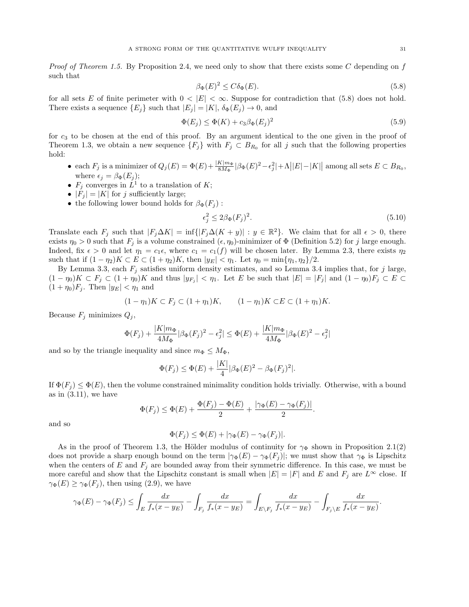*Proof of Theorem 1.5.* By Proposition 2.4, we need only to show that there exists some C depending on f such that

$$
\beta_{\Phi}(E)^2 \le C\delta_{\Phi}(E). \tag{5.8}
$$

for all sets E of finite perimeter with  $0 < |E| < \infty$ . Suppose for contradiction that (5.8) does not hold. There exists a sequence  $\{E_j\}$  such that  $|E_j| = |K|$ ,  $\delta_{\Phi}(E_j) \to 0$ , and

$$
\Phi(E_j) \le \Phi(K) + c_3 \beta_\Phi(E_j)^2 \tag{5.9}
$$

for  $c_3$  to be chosen at the end of this proof. By an argument identical to the one given in the proof of Theorem 1.3, we obtain a new sequence  $\{F_j\}$  with  $F_j \subset B_{R_0}$  for all j such that the following properties hold:

- each  $F_j$  is a minimizer of  $Q_j(E) = \Phi(E) + \frac{|K|m_\Phi|}{8M_\Phi} |\beta_\Phi(E)^2 \epsilon_j^2| + \Lambda ||E| |K||$  among all sets  $E \subset B_{R_0}$ , where  $\epsilon_j = \beta_{\Phi}(E_j);$
- $F_j$  converges in  $\dot{L}^1$  to a translation of K;
- $|F_j| = |K|$  for j sufficiently large;
- the following lower bound holds for  $\beta_{\Phi}(F_i)$ :

$$
\epsilon_j^2 \le 2\beta_\Phi(F_j)^2. \tag{5.10}
$$

Translate each  $F_j$  such that  $|F_j \Delta K| = \inf\{|F_j \Delta (K + y)| : y \in \mathbb{R}^2\}$ . We claim that for all  $\epsilon > 0$ , there exists  $\eta_0 > 0$  such that  $F_j$  is a volume constrained  $(\epsilon, \eta_0)$ -minimizer of  $\Phi$  (Definition 5.2) for j large enough. Indeed, fix  $\epsilon > 0$  and let  $\eta_1 = c_1 \epsilon$ , where  $c_1 = c_1(f)$  will be chosen later. By Lemma 2.3, there exists  $\eta_2$ such that if  $(1 - \eta_2)K \subset E \subset (1 + \eta_2)K$ , then  $|y_E| < \eta_1$ . Let  $\eta_0 = \min\{\eta_1, \eta_2\}/2$ .

By Lemma 3.3, each  $F_j$  satisfies uniform density estimates, and so Lemma 3.4 implies that, for j large,  $(1 - \eta_0)K \subset F_j \subset (1 + \eta_0)K$  and thus  $|y_{F_j}| < \eta_1$ . Let E be such that  $|E| = |F_j|$  and  $(1 - \eta_0)F_j \subset E \subset$  $(1+\eta_0)F_i$ . Then  $|y_E| < \eta_1$  and

$$
(1 - \eta_1)K \subset F_j \subset (1 + \eta_1)K, \qquad (1 - \eta_1)K \subset E \subset (1 + \eta_1)K.
$$

Because  $F_j$  minimizes  $Q_j$ ,

$$
\Phi(F_j) + \frac{|K|m_{\Phi}}{4M_{\Phi}} |\beta_{\Phi}(F_j)^2 - \epsilon_j^2| \leq \Phi(E) + \frac{|K|m_{\Phi}}{4M_{\Phi}} |\beta_{\Phi}(E)^2 - \epsilon_j^2|
$$

and so by the triangle inequality and since  $m_{\Phi} \leq M_{\Phi}$ ,

$$
\Phi(F_j) \le \Phi(E) + \frac{|K|}{4} |\beta_{\Phi}(E)^2 - \beta_{\Phi}(F_j)^2|.
$$

If  $\Phi(F_i) \leq \Phi(E)$ , then the volume constrained minimality condition holds trivially. Otherwise, with a bound as in  $(3.11)$ , we have

$$
\Phi(F_j) \le \Phi(E) + \frac{\Phi(F_j) - \Phi(E)}{2} + \frac{|\gamma_{\Phi}(E) - \gamma_{\Phi}(F_j)|}{2}.
$$

and so

$$
\Phi(F_j) \le \Phi(E) + |\gamma_{\Phi}(E) - \gamma_{\Phi}(F_j)|.
$$

As in the proof of Theorem 1.3, the Hölder modulus of continuity for  $\gamma_{\Phi}$  shown in Proposition 2.1(2) does not provide a sharp enough bound on the term  $|\gamma_{\Phi}(E) - \gamma_{\Phi}(F_i)|$ ; we must show that  $\gamma_{\Phi}$  is Lipschitz when the centers of  $E$  and  $F_j$  are bounded away from their symmetric difference. In this case, we must be more careful and show that the Lipschitz constant is small when  $|E| = |F|$  and  $E$  and  $F_j$  are  $L^{\infty}$  close. If  $\gamma_{\Phi}(E) \geq \gamma_{\Phi}(F_i)$ , then using (2.9), we have

$$
\gamma_{\Phi}(E) - \gamma_{\Phi}(F_j) \le \int_E \frac{dx}{f_*(x - y_E)} - \int_{F_j} \frac{dx}{f_*(x - y_E)} = \int_{E \setminus F_j} \frac{dx}{f_*(x - y_E)} - \int_{F_j \setminus E} \frac{dx}{f_*(x - y_E)}.
$$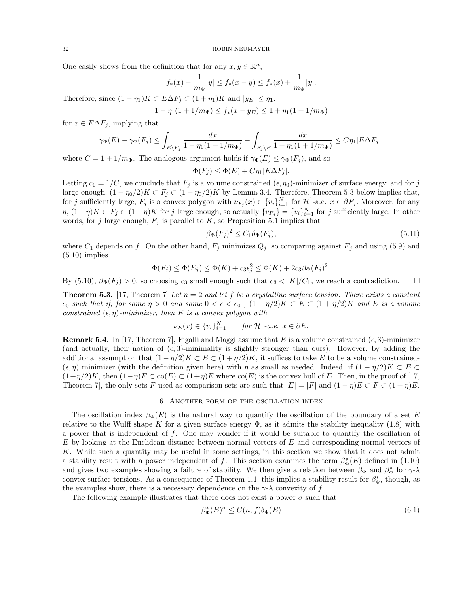One easily shows from the definition that for any  $x, y \in \mathbb{R}^n$ ,

$$
f_*(x) - \frac{1}{m_{\Phi}}|y| \le f_*(x - y) \le f_*(x) + \frac{1}{m_{\Phi}}|y|.
$$

Therefore, since  $(1 - \eta_1)K \subset E\Delta F_i \subset (1 + \eta_1)K$  and  $|y_E| \leq \eta_1$ ,

$$
1 - \eta_1(1 + 1/m_{\Phi}) \le f_*(x - y_E) \le 1 + \eta_1(1 + 1/m_{\Phi})
$$

for  $x \in E\Delta F_j$ , implying that

$$
\gamma_{\Phi}(E) - \gamma_{\Phi}(F_j) \le \int_{E \setminus F_j} \frac{dx}{1 - \eta_1(1 + 1/m_{\Phi})} - \int_{F_j \setminus E} \frac{dx}{1 + \eta_1(1 + 1/m_{\Phi})} \le C\eta_1 |E\Delta F_j|.
$$

where  $C = 1 + 1/m_{\Phi}$ . The analogous argument holds if  $\gamma_{\Phi}(E) \leq \gamma_{\Phi}(F_i)$ , and so

$$
\Phi(F_j) \le \Phi(E) + C\eta_1 |E\Delta F_j|.
$$

Letting  $c_1 = 1/C$ , we conclude that  $F_j$  is a volume constrained  $(\epsilon, \eta_0)$ -minimizer of surface energy, and for j large enough,  $(1 - \eta_0/2)K \subset F_j \subset (1 + \eta_0/2)K$  by Lemma 3.4. Therefore, Theorem 5.3 below implies that, for j sufficiently large,  $F_j$  is a convex polygon with  $\nu_{F_j}(x) \in \{v_i\}_{i=1}^N$  for  $\mathcal{H}^1$ -a.e.  $x \in \partial F_j$ . Moreover, for any  $\eta$ ,  $(1-\eta)K \subset F_j \subset (1+\eta)K$  for j large enough, so actually  $\{v_{F_j}\} = \{v_i\}_{i=1}^N$  for j sufficiently large. In other words, for j large enough,  $F_i$  is parallel to K, so Proposition 5.1 implies that

$$
\beta_{\Phi}(F_j)^2 \le C_1 \delta_{\Phi}(F_j),\tag{5.11}
$$

where  $C_1$  depends on f. On the other hand,  $F_j$  minimizes  $Q_j$ , so comparing against  $E_j$  and using (5.9) and  $(5.10)$  implies

$$
\Phi(F_j) \le \Phi(E_j) \le \Phi(K) + c_3 \epsilon_j^2 \le \Phi(K) + 2c_3 \beta_{\Phi}(F_j)^2.
$$

By  $(5.10), \beta_{\Phi}(F_i) > 0$ , so choosing  $c_3$  small enough such that  $c_3 < |K|/C_1$ , we reach a contradiction.

**Theorem 5.3.** [17, Theorem 7] Let  $n = 2$  and let f be a crystalline surface tension. There exists a constant  $\epsilon_0$  such that if, for some  $\eta > 0$  and some  $0 < \epsilon < \epsilon_0$ ,  $(1 - \eta/2)K \subset E \subset (1 + \eta/2)K$  and E is a volume constrained  $(\epsilon, \eta)$ -minimizer, then E is a convex polygon with

$$
\nu_E(x) \in \{v_i\}_{i=1}^N \quad \text{for } \mathcal{H}^1 \text{-} a.e. \ x \in \partial E.
$$

**Remark 5.4.** In [17, Theorem 7], Figalli and Maggi assume that E is a volume constrained  $(\epsilon, 3)$ -minimizer (and actually, their notion of  $(\epsilon, 3)$ -minimality is slightly stronger than ours). However, by adding the additional assumption that  $(1 - \eta/2)K \subset E \subset (1 + \eta/2)K$ , it suffices to take E to be a volume constrained- $(\epsilon, \eta)$  minimizer (with the definition given here) with  $\eta$  as small as needed. Indeed, if  $(1 - \eta/2)K \subset E$  $(1+\eta/2)K$ , then  $(1-\eta)E \subset \text{co}(E) \subset (1+\eta)E$  where  $\text{co}(E)$  is the convex hull of E. Then, in the proof of [17, Theorem 7, the only sets F used as comparison sets are such that  $|E| = |F|$  and  $(1 - \eta)E \subset F \subset (1 + \eta)E$ .

# 6. Another form of the oscillation index

The oscillation index  $\beta_{\Phi}(E)$  is the natural way to quantify the oscillation of the boundary of a set E relative to the Wulff shape K for a given surface energy  $\Phi$ , as it admits the stability inequality (1.8) with a power that is independent of f. One may wonder if it would be suitable to quantify the oscillation of E by looking at the Euclidean distance between normal vectors of E and corresponding normal vectors of K. While such a quantity may be useful in some settings, in this section we show that it does not admit a stability result with a power independent of f. This section examines the term  $\beta_{\Phi}^*(E)$  defined in (1.10) and gives two examples showing a failure of stability. We then give a relation between  $\beta_{\Phi}$  and  $\beta_{\Phi}^*$  for  $\gamma$ - $\lambda$ convex surface tensions. As a consequence of Theorem 1.1, this implies a stability result for  $\beta_{\Phi}^*$ , though, as the examples show, there is a necessary dependence on the  $\gamma$ - $\lambda$  convexity of f.

The following example illustrates that there does not exist a power  $\sigma$  such that

$$
\beta_{\Phi}^*(E)^{\sigma} \le C(n, f)\delta_{\Phi}(E) \tag{6.1}
$$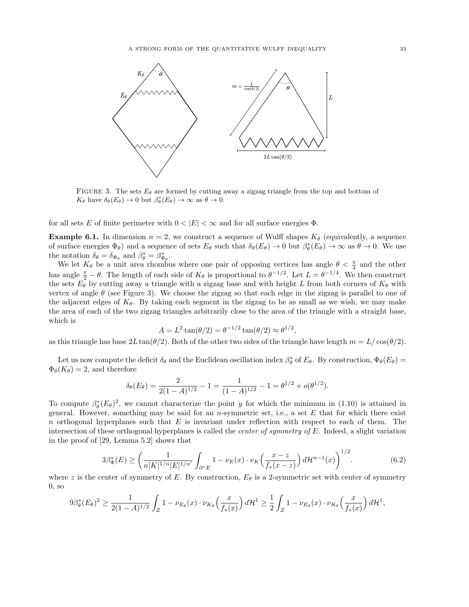

FIGURE 3. The sets  $E_{\theta}$  are formed by cutting away a zigzag triangle from the top and bottom of  $K_{\theta}$  have  $\delta_{\theta}(E_{\theta}) \to 0$  but  $\beta_{\theta}^{*}(E_{\theta}) \to \infty$  as  $\theta \to 0$ .

for all sets E of finite perimeter with  $0 < |E| < \infty$  and for all surface energies  $\Phi$ .

**Example 6.1.** In dimension  $n = 2$ , we construct a sequence of Wulff shapes  $K_{\theta}$  (equivalently, a sequence of surface energies  $\Phi_{\theta}$ ) and a sequence of sets  $E_{\theta}$  such that  $\delta_{\theta}(E_{\theta}) \to 0$  but  $\beta_{\theta}^*(E_{\theta}) \to \infty$  as  $\theta \to 0$ . We use the notation  $\delta_{\theta} = \delta_{\Phi_{\theta}}$  and  $\beta_{\theta}^* = \beta_{\Phi_{\theta}}^*$ .

We let  $K_{\theta}$  be a unit area rhombus where one pair of opposing vertices has angle  $\theta < \frac{\pi}{4}$  and the other has angle  $\frac{\pi}{2} - \theta$ . The length of each side of  $K_{\theta}$  is proportional to  $\theta^{-1/2}$ . Let  $L = \theta^{-1/4}$ . We then construct the sets  $E_{\theta}$  by cutting away a triangle with a zigzag base and with height L from both corners of  $K_{\theta}$  with vertex of angle  $\theta$  (see Figure 3). We choose the zigzag so that each edge in the zigzag is parallel to one of the adjacent edges of  $K_{\theta}$ . By taking each segment in the zigzag to be as small as we wish, we may make the area of each of the two zigzag triangles arbitrarily close to the area of the triangle with a straight base, which is

$$
A = L^2 \tan(\theta/2) = \theta^{-1/2} \tan(\theta/2) \approx \theta^{1/2},
$$

as this triangle has base  $2L \tan(\theta/2)$ . Both of the other two sides of the triangle have length  $m = L/\cos(\theta/2)$ .

Let us now compute the deficit  $\delta_{\theta}$  and the Euclidean oscillation index  $\beta_{\theta}^*$  of  $E_{\theta}$ . By construction,  $\Phi_{\theta}(E_{\theta}) =$  $\Phi_{\theta}(K_{\theta})=2$ , and therefore

$$
\delta_{\theta}(E_{\theta}) = \frac{2}{2(1-A)^{1/2}} - 1 = \frac{1}{(1-A)^{1/2}} - 1 = \theta^{1/2} + o(\theta^{1/2}).
$$

To compute  $\beta_{\theta}^*(E_{\theta})^2$ , we cannot characterize the point y for which the minimum in (1.10) is attained in general. However, something may be said for an  $n$ -symmetric set, i.e., a set  $E$  that for which there exist n orthogonal hyperplanes such that  $E$  is invariant under reflection with respect to each of them. The intersection of these orthogonal hyperplanes is called the *center of symmetry of E*. Indeed, a slight variation in the proof of [29, Lemma 5.2] shows that

$$
3\beta_{\Phi}^*(E) \ge \left(\frac{1}{n|K|^{1/n}|E|^{1/n'}} \int_{\partial^* E} 1 - \nu_E(x) \cdot \nu_K\left(\frac{x-z}{f_*(x-z)}\right) d\mathcal{H}^{n-1}(x)\right)^{1/2}.\tag{6.2}
$$

where z is the center of symmetry of E. By construction,  $E_{\theta}$  is a 2-symmetric set with center of symmetry 0, so

$$
9\beta_{\theta}^{*}(E_{\theta})^{2} \geq \frac{1}{2(1-A)^{1/2}} \int_{Z} 1 - \nu_{E_{\theta}}(x) \cdot \nu_{K_{\theta}}\left(\frac{x}{f_{*}(x)}\right) d\mathcal{H}^{1} \geq \frac{1}{2} \int_{Z} 1 - \nu_{E_{\theta}}(x) \cdot \nu_{K_{\theta}}\left(\frac{x}{f_{*}(x)}\right) d\mathcal{H}^{1},
$$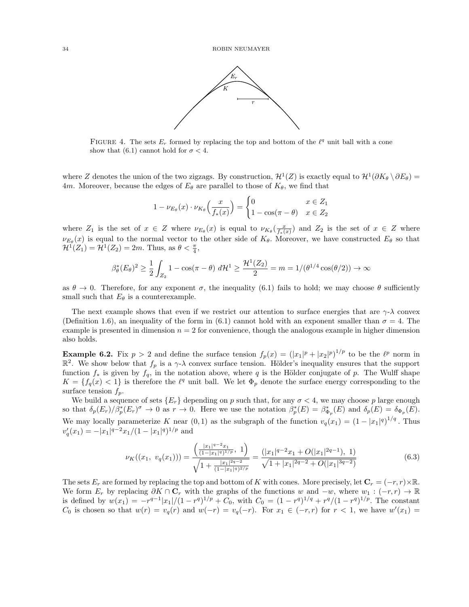

FIGURE 4. The sets  $E_r$  formed by replacing the top and bottom of the  $\ell^q$  unit ball with a cone show that (6.1) cannot hold for  $\sigma < 4$ .

where Z denotes the union of the two zigzags. By construction,  $\mathcal{H}^1(Z)$  is exactly equal to  $\mathcal{H}^1(\partial K_\theta \setminus \partial E_\theta)$ 4m. Moreover, because the edges of  $E_{\theta}$  are parallel to those of  $K_{\theta}$ , we find that

$$
1 - \nu_{E_{\theta}}(x) \cdot \nu_{K_{\theta}}\left(\frac{x}{f_*(x)}\right) = \begin{cases} 0 & x \in Z_1 \\ 1 - \cos(\pi - \theta) & x \in Z_2 \end{cases}
$$

where  $Z_1$  is the set of  $x \in Z$  where  $\nu_{E_\theta}(x)$  is equal to  $\nu_{K_\theta}(\frac{x}{f_*(x)})$  and  $Z_2$  is the set of  $x \in Z$  where  $\nu_{E_{\theta}}(x)$  is equal to the normal vector to the other side of  $K_{\theta}$ . Moreover, we have constructed  $E_{\theta}$  so that  $\mathcal{H}^1(Z_1) = \mathcal{H}^1(Z_2) = 2m$ . Thus, as  $\theta < \frac{\pi}{4}$ ,

$$
\beta_{\theta}^*(E_{\theta})^2 \ge \frac{1}{2} \int_{Z_2} 1 - \cos(\pi - \theta) d\mathcal{H}^1 \ge \frac{\mathcal{H}^1(Z_2)}{2} = m = 1/(\theta^{1/4}\cos(\theta/2)) \to \infty
$$

as  $\theta \to 0$ . Therefore, for any exponent  $\sigma$ , the inequality (6.1) fails to hold; we may choose  $\theta$  sufficiently small such that  $E_{\theta}$  is a counterexample.

The next example shows that even if we restrict our attention to surface energies that are  $\gamma$ - $\lambda$  convex (Definition 1.6), an inequality of the form in (6.1) cannot hold with an exponent smaller than  $\sigma = 4$ . The example is presented in dimension  $n = 2$  for convenience, though the analogous example in higher dimension also holds.

**Example 6.2.** Fix  $p > 2$  and define the surface tension  $f_p(x) = (|x_1|^p + |x_2|^p)^{1/p}$  to be the  $\ell^p$  norm in  $\mathbb{R}^2$ . We show below that  $f_p$  is a  $\gamma$ - $\lambda$  convex surface tension. Hölder's inequality ensures that the support function  $f_*$  is given by  $f_q$ , in the notation above, where q is the Hölder conjugate of p. The Wulff shape  $K = \{f_q(x) < 1\}$  is therefore the  $\ell^q$  unit ball. We let  $\Phi_p$  denote the surface energy corresponding to the surface tension  $f_p$ .

We build a sequence of sets  $\{E_r\}$  depending on p such that, for any  $\sigma < 4$ , we may choose p large enough so that  $\delta_p(E_r)/\beta_p^*(E_r)^\sigma \to 0$  as  $r \to 0$ . Here we use the notation  $\beta_p^*(E) = \beta_{\Phi_p}(E)$  and  $\delta_p(E) = \delta_{\Phi_p}(E)$ . We may locally parameterize K near  $(0, 1)$  as the subgraph of the function  $v_q(x_1) = (1 - |x_1|^q)^{1/q}$ . Thus  $v'_q(x_1) = -|x_1|^{q-2}x_1/(1-|x_1|^q)^{1/p}$  and

$$
\nu_K((x_1, v_q(x_1))) = \frac{\left(\frac{|x_1|^{q-2}x_1}{(1-|x_1|^q)^{1/p}}, 1\right)}{\sqrt{1 + \frac{|x_1|^{2q-2}}{(1-|x_1|^q)^{2/p}}}} = \frac{(|x_1|^{q-2}x_1 + O(|x_1|^{2q-1}), 1)}{\sqrt{1 + |x_1|^{2q-2} + O(|x_1|^{3q-2})}} \tag{6.3}
$$

The sets  $E_r$  are formed by replacing the top and bottom of K with cones. More precisely, let  $\mathbf{C}_r = (-r, r) \times \mathbb{R}$ . We form  $E_r$  by replacing  $\partial K \cap \mathbf{C}_r$  with the graphs of the functions w and  $-w$ , where  $w_1 : (-r, r) \to \mathbb{R}$ is defined by  $w(x_1) = -r^{q-1}|x_1|/(1-r^q)^{1/p} + C_0$ , with  $C_0 = (1-r^q)^{1/q} + r^q/(1-r^q)^{1/p}$ . The constant  $C_0$  is chosen so that  $w(r) = v_q(r)$  and  $w(-r) = v_q(-r)$ . For  $x_1 \in (-r, r)$  for  $r < 1$ , we have  $w'(x_1) =$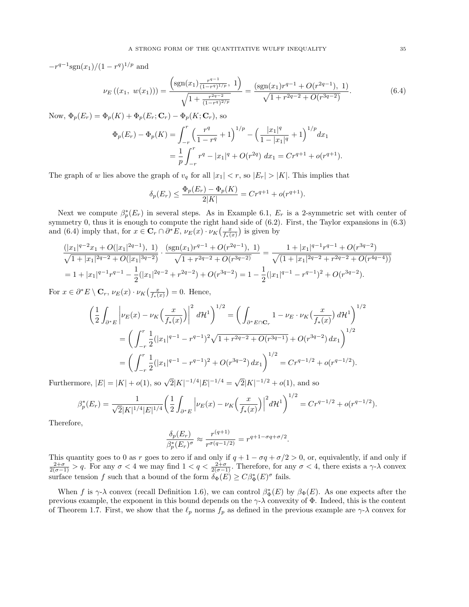$-r^{q-1}\text{sgn}(x_1)/(1-r^q)^{1/p}$  and

$$
\nu_E((x_1, w(x_1))) = \frac{\left(\text{sgn}(x_1) \frac{r^{q-1}}{(1-r^q)^{1/p}}, 1\right)}{\sqrt{1 + \frac{r^{2q-2}}{(1-r^q)^{2/p}}}} = \frac{\left(\text{sgn}(x_1) r^{q-1} + O(r^{2q-1}), 1\right)}{\sqrt{1 + r^{2q-2} + O(r^{3q-2})}}.
$$
(6.4)

Now,  $\Phi_p(E_r) = \Phi_p(K) + \Phi_p(E_r; \mathbf{C}_r) - \Phi_p(K; \mathbf{C}_r)$ , so

$$
\Phi_p(E_r) - \Phi_p(K) = \int_{-r}^r \left(\frac{r^q}{1 - r^q} + 1\right)^{1/p} - \left(\frac{|x_1|^q}{1 - |x_1|^q} + 1\right)^{1/p} dx_1
$$
  
= 
$$
\frac{1}{p} \int_{-r}^r r^q - |x_1|^q + O(r^{2q}) dx_1 = Cr^{q+1} + o(r^{q+1}).
$$

The graph of w lies above the graph of  $v_q$  for all  $|x_1| < r$ , so  $|E_r| > |K|$ . This implies that

$$
\delta_p(E_r) \le \frac{\Phi_p(E_r) - \Phi_p(K)}{2|K|} = Cr^{q+1} + o(r^{q+1}).
$$

Next we compute  $\beta_p^*(E_r)$  in several steps. As in Example 6.1,  $E_r$  is a 2-symmetric set with center of symmetry 0, thus it is enough to compute the right hand side of (6.2). First, the Taylor expansions in (6.3) and (6.4) imply that, for  $x \in \mathbf{C}_r \cap \partial^* E$ ,  $\nu_E(x) \cdot \nu_K\left(\frac{x}{f_*(x)}\right)$  is given by

$$
\frac{(|x_1|^{q-2}x_1+O(|x_1|^{2q-1}), 1)}{\sqrt{1+|x_1|^{2q-2}+O(|x_1|^{3q-2})}} \cdot \frac{(\text{sgn}(x_1)r^{q-1}+O(r^{2q-1}), 1)}{\sqrt{1+r^{2q-2}+O(r^{3q-2})}} = \frac{1+|x_1|^{q-1}r^{q-1}+O(r^{3q-2})}{\sqrt{(1+|x_1|^{2q-2}+r^{2q-2}+O(r^{4q-4}))}}
$$
\n
$$
= 1+|x_1|^{q-1}r^{q-1} - \frac{1}{2}(|x_1|^{2q-2}+r^{2q-2})+O(r^{3q-2}) = 1 - \frac{1}{2}(|x_1|^{q-1}-r^{q-1})^2+O(r^{3q-2}).
$$

For  $x \in \partial^* E \setminus \mathbf{C}_r$ ,  $\nu_E(x) \cdot \nu_K\left(\frac{x}{f_*(x)}\right) = 0$ . Hence,

$$
\left(\frac{1}{2}\int_{\partial^*E} \left| \nu_E(x) - \nu_K\left(\frac{x}{f_*(x)}\right) \right|^2 d\mathcal{H}^1\right)^{1/2} = \left(\int_{\partial^*E \cap \mathbf{C}_r} 1 - \nu_E \cdot \nu_K\left(\frac{x}{f_*(x)}\right) d\mathcal{H}^1\right)^{1/2}
$$

$$
= \left(\int_{-r}^r \frac{1}{2}(|x_1|^{q-1} - r^{q-1})^2 \sqrt{1 + r^{2q-2} + O(r^{3q-1})} + O(r^{3q-2}) dx_1\right)^{1/2}
$$

$$
= \left(\int_{-r}^r \frac{1}{2}(|x_1|^{q-1} - r^{q-1})^2 + O(r^{3q-2}) dx_1\right)^{1/2} = Cr^{q-1/2} + o(r^{q-1/2}).
$$

Furthermore,  $|E| = |K| + o(1)$ , so  $\sqrt{2}|K|^{-1/4}|E|^{-1/4} = \sqrt{2}$  $\overline{2}|K|^{-1/2} + o(1)$ , and so

$$
\beta_p^*(E_r) = \frac{1}{\sqrt{2}|K|^{1/4}|E|^{1/4}} \left(\frac{1}{2}\int_{\partial^* E} \left| \nu_E(x) - \nu_K\left(\frac{x}{f_*(x)}\right)\right|^2 d\mathcal{H}^1\right)^{1/2} = Cr^{q-1/2} + o(r^{q-1/2}).
$$

Therefore,

$$
\frac{\delta_p(E_r)}{\beta_p^*(E_r)^{\sigma}} \approx \frac{r^{(q+1)}}{r^{\sigma(q-1/2)}} = r^{q+1-\sigma q + \sigma/2}.
$$

This quantity goes to 0 as r goes to zero if and only if  $q + 1 - \sigma q + \sigma/2 > 0$ , or, equivalently, if and only if  $\frac{2+\sigma}{2(\sigma-1)} > q$ . For any  $\sigma < 4$  we may find  $1 < q < \frac{2+\sigma}{2(\sigma-1)}$ . Therefore, for any  $\sigma < 4$ , there exists a surface tension f such that a bound of the form  $\delta_{\Phi}(E) \geq C \beta_{\Phi}^*(E)^{\sigma}$  fails.

When f is  $\gamma$ - $\lambda$  convex (recall Definition 1.6), we can control  $\beta_{\Phi}^*(E)$  by  $\beta_{\Phi}(E)$ . As one expects after the previous example, the exponent in this bound depends on the  $\gamma$ - $\lambda$  convexity of  $\Phi$ . Indeed, this is the content of Theorem 1.7. First, we show that the  $\ell_p$  norms  $f_p$  as defined in the previous example are  $\gamma$ - $\lambda$  convex for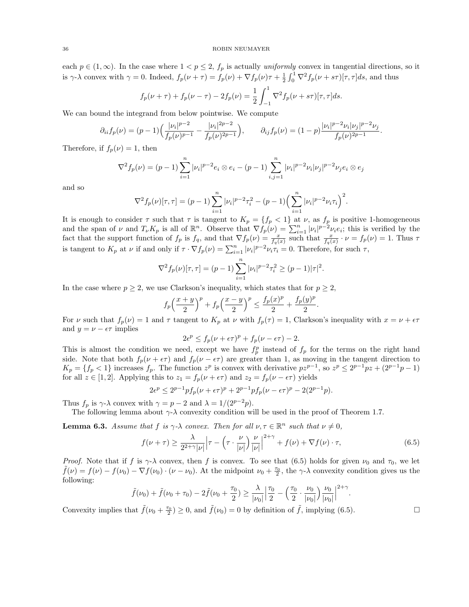each  $p \in (1,\infty)$ . In the case where  $1 < p \le 2$ ,  $f_p$  is actually uniformly convex in tangential directions, so it is  $\gamma$ - $\lambda$  convex with  $\gamma = 0$ . Indeed,  $f_p(\nu + \tau) = f_p(\nu) + \nabla f_p(\nu)\tau + \frac{1}{2}\int_0^1 \nabla^2 f_p(\nu + s\tau)[\tau, \tau]ds$ , and thus

$$
f_p(\nu + \tau) + f_p(\nu - \tau) - 2f_p(\nu) = \frac{1}{2} \int_{-1}^{1} \nabla^2 f_p(\nu + s\tau) [\tau, \tau] ds.
$$

We can bound the integrand from below pointwise. We compute

$$
\partial_{ii}f_p(\nu) = (p-1)\Big(\frac{|\nu_i|^{p-2}}{f_p(\nu)^{p-1}} - \frac{|\nu_i|^{2p-2}}{f_p(\nu)^{2p-1}}\Big), \qquad \partial_{ij}f_p(\nu) = (1-p)\frac{|\nu_i|^{p-2}\nu_i|\nu_j|^{p-2}\nu_j}{f_p(\nu)^{2p-1}}.
$$

Therefore, if  $f_p(\nu) = 1$ , then

$$
\nabla^2 f_p(\nu) = (p-1) \sum_{i=1}^n |\nu_i|^{p-2} e_i \otimes e_i - (p-1) \sum_{i,j=1}^n |\nu_i|^{p-2} \nu_i |\nu_j|^{p-2} \nu_j e_i \otimes e_j
$$

and so

$$
\nabla^2 f_p(\nu)[\tau, \tau] = (p-1) \sum_{i=1}^n |\nu_i|^{p-2} \tau_i^2 - (p-1) \Big( \sum_{i=1}^n |\nu_i|^{p-2} \nu_i \tau_i \Big)^2.
$$

It is enough to consider  $\tau$  such that  $\tau$  is tangent to  $K_p = \{f_p < 1\}$  at  $\nu$ , as  $f_p$  is positive 1-homogeneous and the span of  $\nu$  and  $T_{\nu}K_p$  is all of  $\mathbb{R}^n$ . Observe that  $\nabla f_p(\nu) = \sum_{i=1}^n |\nu_i|^{p-2} \nu_i e_i$ ; this is verified by the fact that the support function of  $f_p$  is  $f_q$ , and that  $\nabla f_p(\nu) = \frac{x}{f_q(x)}$  such that  $\frac{x}{f_q(x)} \cdot \nu = f_p(\nu) = 1$ . Thus  $\tau$ is tangent to  $K_p$  at  $\nu$  if and only if  $\tau \cdot \nabla f_p(\nu) = \sum_{i=1}^n |\nu_i|^{p-2} \nu_i \tau_i = 0$ . Therefore, for such  $\tau$ ,

$$
\nabla^2 f_p(\nu)[\tau, \tau] = (p-1) \sum_{i=1}^n |\nu_i|^{p-2} \tau_i^2 \ge (p-1)|\tau|^2.
$$

In the case where  $p \geq 2$ , we use Clarkson's inequality, which states that for  $p \geq 2$ ,

$$
f_p\left(\frac{x+y}{2}\right)^p + f_p\left(\frac{x-y}{2}\right)^p \le \frac{f_p(x)^p}{2} + \frac{f_p(y)^p}{2}.
$$

For v such that  $f_p(\nu) = 1$  and  $\tau$  tangent to  $K_p$  at  $\nu$  with  $f_p(\tau) = 1$ , Clarkson's inequality with  $x = \nu + \epsilon \tau$ and  $y = \nu - \epsilon \tau$  implies

$$
2\epsilon^p \le f_p(\nu + \epsilon \tau)^p + f_p(\nu - \epsilon \tau) - 2.
$$

This is almost the condition we need, except we have  $f_p^p$  instead of  $f_p$  for the terms on the right hand side. Note that both  $f_p(\nu + \epsilon \tau)$  and  $f_p(\nu - \epsilon \tau)$  are greater than 1, as moving in the tangent direction to  $K_p = \{f_p < 1\}$  increases  $f_p$ . The function  $z^p$  is convex with derivative  $pz^{p-1}$ , so  $z^p \leq 2^{p-1}pz + (2^{p-1}p-1)$ for all  $z \in [1,2]$ . Applying this to  $z_1 = f_p(\nu + \epsilon \tau)$  and  $z_2 = f_p(\nu - \epsilon \tau)$  yields

$$
2\epsilon^{p} \le 2^{p-1} p f_p(\nu + \epsilon \tau)^p + 2^{p-1} p f_p(\nu - \epsilon \tau)^p - 2(2^{p-1} p).
$$

Thus  $f_p$  is  $\gamma$ - $\lambda$  convex with  $\gamma = p - 2$  and  $\lambda = 1/(2^{p-2}p)$ .

The following lemma about  $\gamma$ - $\lambda$  convexity condition will be used in the proof of Theorem 1.7.

**Lemma 6.3.** Assume that f is  $\gamma$ - $\lambda$  convex. Then for all  $\nu, \tau \in \mathbb{R}^n$  such that  $\nu \neq 0$ ,

$$
f(\nu + \tau) \ge \frac{\lambda}{2^{2+\gamma}|\nu|} \left| \tau - \left(\tau \cdot \frac{\nu}{|\nu|}\right) \frac{\nu}{|\nu|} \right|^{2+\gamma} + f(\nu) + \nabla f(\nu) \cdot \tau,\tag{6.5}
$$

*Proof.* Note that if f is  $\gamma$ - $\lambda$  convex, then f is convex. To see that (6.5) holds for given  $\nu_0$  and  $\tau_0$ , we let  $ilde{f}(\nu) = f(\nu) - f(\nu_0) - \nabla f(\nu_0) \cdot (\nu - \nu_0)$ . At the midpoint  $\nu_0 + \frac{\tau_0}{2}$ , the  $\gamma$ - $\lambda$  convexity condition gives us the following:

$$
\tilde{f}(\nu_0) + \tilde{f}(\nu_0 + \tau_0) - 2\tilde{f}(\nu_0 + \frac{\tau_0}{2}) \ge \frac{\lambda}{|\nu_0|} \left| \frac{\tau_0}{2} - \left( \frac{\tau_0}{2} \cdot \frac{\nu_0}{|\nu_0|} \right) \frac{\nu_0}{|\nu_0|} \right|^{2+\gamma}.
$$

Convexity implies that  $\tilde{f}(\nu_0 + \frac{\tau_0}{2}) \ge 0$ , and  $\tilde{f}(\nu_0) = 0$  by definition of  $\tilde{f}$ , implying (6.5).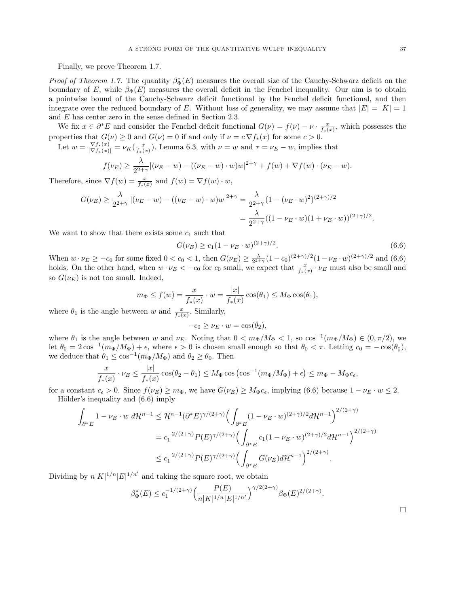Finally, we prove Theorem 1.7.

*Proof of Theorem 1.7.* The quantity  $\beta_{\Phi}^*(E)$  measures the overall size of the Cauchy-Schwarz deficit on the boundary of E, while  $\beta_{\Phi}(E)$  measures the overall deficit in the Fenchel inequality. Our aim is to obtain a pointwise bound of the Cauchy-Schwarz deficit functional by the Fenchel deficit functional, and then integrate over the reduced boundary of E. Without loss of generality, we may assume that  $|E| = |K| = 1$ and E has center zero in the sense defined in Section 2.3.

We fix  $x \in \partial^* E$  and consider the Fenchel deficit functional  $G(\nu) = f(\nu) - \nu \cdot \frac{x}{f_*(x)}$ , which possesses the properties that  $G(\nu) \ge 0$  and  $G(\nu) = 0$  if and only if  $\nu = c \nabla f_*(x)$  for some  $c > 0$ .

Let  $w = \frac{\nabla f_*(x)}{|\nabla f_*(x)|} = \nu_K(\frac{x}{f_*(x)})$ . Lemma 6.3, with  $\nu = w$  and  $\tau = \nu_E - w$ , implies that

$$
f(\nu_E) \geq \frac{\lambda}{2^{2+\gamma}} |(\nu_E - w) - ((\nu_E - w) \cdot w)w|^{2+\gamma} + f(w) + \nabla f(w) \cdot (\nu_E - w).
$$

Therefore, since  $\nabla f(w) = \frac{x}{f_*(x)}$  and  $f(w) = \nabla f(w) \cdot w$ ,

$$
G(\nu_E) \ge \frac{\lambda}{2^{2+\gamma}} |(\nu_E - w) - ((\nu_E - w) \cdot w)w|^{2+\gamma} = \frac{\lambda}{2^{2+\gamma}} (1 - (\nu_E \cdot w)^2)^{(2+\gamma)/2}
$$
  
= 
$$
\frac{\lambda}{2^{2+\gamma}} ((1 - \nu_E \cdot w)(1 + \nu_E \cdot w))^{(2+\gamma)/2}.
$$

We want to show that there exists some  $c_1$  such that

$$
G(\nu_E) \ge c_1 (1 - \nu_E \cdot w)^{(2+\gamma)/2}.
$$
\n(6.6)

When  $w \cdot \nu_E \geq -c_0$  for some fixed  $0 < c_0 < 1$ , then  $G(\nu_E) \geq \frac{\lambda}{2^{2+\gamma}}(1-c_0)^{(2+\gamma)/2}(1-\nu_E \cdot w)^{(2+\gamma)/2}$  and  $(6.6)$ holds. On the other hand, when  $w \cdot \nu_E < -c_0$  for  $c_0$  small, we expect that  $\frac{x}{f_*(x)} \cdot \nu_E$  must also be small and so  $G(\nu_E)$  is not too small. Indeed,

$$
m_{\Phi} \le f(w) = \frac{x}{f_*(x)} \cdot w = \frac{|x|}{f_*(x)} \cos(\theta_1) \le M_{\Phi} \cos(\theta_1),
$$

where  $\theta_1$  is the angle between w and  $\frac{x}{f_*(x)}$ . Similarly,

$$
-c_0 \ge \nu_E \cdot w = \cos(\theta_2),
$$

where  $\theta_1$  is the angle between w and  $\nu_E$ . Noting that  $0 < m_{\Phi}/M_{\Phi} < 1$ , so  $\cos^{-1}(m_{\Phi}/M_{\Phi}) \in (0, \pi/2)$ , we let  $\theta_0 = 2\cos^{-1}(m_\Phi/M_\Phi) + \epsilon$ , where  $\epsilon > 0$  is chosen small enough so that  $\theta_0 < \pi$ . Letting  $c_0 = -\cos(\theta_0)$ , we deduce that  $\theta_1 \leq \cos^{-1}(m_{\Phi}/M_{\Phi})$  and  $\theta_2 \geq \theta_0$ . Then

$$
\frac{x}{f_*(x)} \cdot \nu_E \le \frac{|x|}{f_*(x)} \cos(\theta_2 - \theta_1) \le M_{\Phi} \cos(\cos^{-1}(m_{\Phi}/M_{\Phi}) + \epsilon) \le m_{\Phi} - M_{\Phi} c_{\epsilon},
$$

for a constant  $c_{\epsilon} > 0$ . Since  $f(\nu_E) \ge m_{\Phi}$ , we have  $G(\nu_E) \ge M_{\Phi}c_{\epsilon}$ , implying (6.6) because  $1 - \nu_E \cdot w \le 2$ . Hölder's inequality and  $(6.6)$  imply

$$
\int_{\partial^* E} 1 - \nu_E \cdot w \, d\mathcal{H}^{n-1} \leq \mathcal{H}^{n-1}(\partial^* E)^{\gamma/(2+\gamma)} \Big( \int_{\partial^* E} (1 - \nu_E \cdot w)^{(2+\gamma)/2} d\mathcal{H}^{n-1} \Big)^{2/(2+\gamma)} \n= c_1^{-2/(2+\gamma)} P(E)^{\gamma/(2+\gamma)} \Big( \int_{\partial^* E} c_1 (1 - \nu_E \cdot w)^{(2+\gamma)/2} d\mathcal{H}^{n-1} \Big)^{2/(2+\gamma)} \n\leq c_1^{-2/(2+\gamma)} P(E)^{\gamma/(2+\gamma)} \Big( \int_{\partial^* E} G(\nu_E) d\mathcal{H}^{n-1} \Big)^{2/(2+\gamma)}.
$$

Dividing by  $n|K|^{1/n}|E|^{1/n'}$  and taking the square root, we obtain

$$
\beta_{\Phi}^*(E) \le c_1^{-1/(2+\gamma)} \Big(\frac{P(E)}{n|K|^{1/n}|E|^{1/n'}}\Big)^{\gamma/2(2+\gamma)} \beta_{\Phi}(E)^{2/(2+\gamma)}.
$$

 $\Box$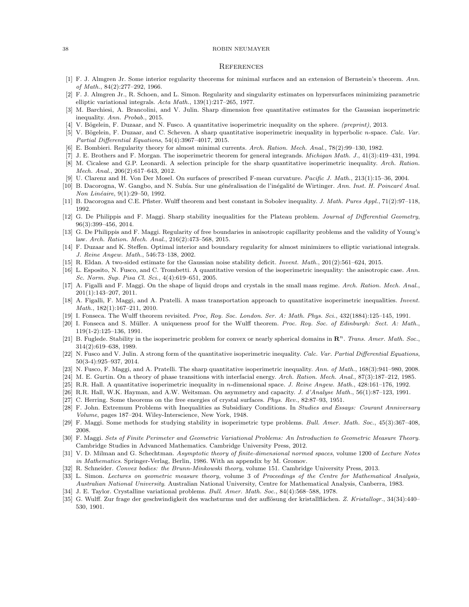#### **REFERENCES**

- [1] F. J. Almgren Jr. Some interior regularity theorems for minimal surfaces and an extension of Bernstein's theorem. Ann. of Math., 84(2):277–292, 1966.
- [2] F. J. Almgren Jr., R. Schoen, and L. Simon. Regularity and singularity estimates on hypersurfaces minimizing parametric elliptic variational integrals. Acta Math., 139(1):217–265, 1977.
- [3] M. Barchiesi, A. Brancolini, and V. Julin. Sharp dimension free quantitative estimates for the Gaussian isoperimetric inequality. Ann. Probab., 2015.
- V. Bögelein, F. Duzaar, and N. Fusco. A quantitative isoperimetric inequality on the sphere. (preprint), 2013.
- [5] V. Bögelein, F. Duzaar, and C. Scheven. A sharp quantitative isoperimetric inequality in hyperbolic n-space. Calc. Var. Partial Differential Equations, 54(4):3967–4017, 2015.
- [6] E. Bombieri. Regularity theory for almost minimal currents. Arch. Ration. Mech. Anal., 78(2):99–130, 1982.
- [7] J. E. Brothers and F. Morgan. The isoperimetric theorem for general integrands. Michigan Math. J., 41(3):419–431, 1994.
- [8] M. Cicalese and G.P. Leonardi. A selection principle for the sharp quantitative isoperimetric inequality. Arch. Ration. Mech. Anal., 206(2):617–643, 2012.
- [9] U. Clarenz and H. Von Der Mosel. On surfaces of prescribed F-mean curvature. Pacific J. Math., 213(1):15–36, 2004.
- [10] B. Dacorogna, W. Gangbo, and N. Subía. Sur une généralisation de l'inégalité de Wirtinger. Ann. Inst. H. Poincaré Anal. Non Linéaire, 9(1):29–50, 1992.
- [11] B. Dacorogna and C.E. Pfister. Wulff theorem and best constant in Sobolev inequality. J. Math. Pures Appl., 71(2):97-118, 1992.
- [12] G. De Philippis and F. Maggi. Sharp stability inequalities for the Plateau problem. Journal of Differential Geometry, 96(3):399–456, 2014.
- [13] G. De Philippis and F. Maggi. Regularity of free boundaries in anisotropic capillarity problems and the validity of Young's law. Arch. Ration. Mech. Anal., 216(2):473–568, 2015.
- [14] F. Duzaar and K. Steffen. Optimal interior and boundary regularity for almost minimizers to elliptic variational integrals. J. Reine Angew. Math., 546:73–138, 2002.
- [15] R. Eldan. A two-sided estimate for the Gaussian noise stability deficit. Invent. Math., 201(2):561–624, 2015.
- [16] L. Esposito, N. Fusco, and C. Trombetti. A quantitative version of the isoperimetric inequality: the anisotropic case. Ann. Sc. Norm. Sup. Pisa Cl. Sci., 4(4):619–651, 2005.
- [17] A. Figalli and F. Maggi. On the shape of liquid drops and crystals in the small mass regime. Arch. Ration. Mech. Anal., 201(1):143–207, 2011.
- [18] A. Figalli, F. Maggi, and A. Pratelli. A mass transportation approach to quantitative isoperimetric inequalities. Invent. Math., 182(1):167–211, 2010.
- [19] I. Fonseca. The Wulff theorem revisited. Proc, Roy. Soc. London. Ser. A: Math. Phys. Sci., 432(1884):125–145, 1991.
- [20] I. Fonseca and S. Müller. A uniqueness proof for the Wulff theorem. Proc. Roy. Soc. of Edinburgh: Sect. A: Math., 119(1-2):125–136, 1991.
- [21] B. Fuglede. Stability in the isoperimetric problem for convex or nearly spherical domains in  $\mathbb{R}^n$ . Trans. Amer. Math. Soc., 314(2):619–638, 1989.
- [22] N. Fusco and V. Julin. A strong form of the quantitative isoperimetric inequality. Calc. Var. Partial Differential Equations, 50(3-4):925–937, 2014.
- [23] N. Fusco, F. Maggi, and A. Pratelli. The sharp quantitative isoperimetric inequality. Ann. of Math., 168(3):941–980, 2008.
- [24] M. E. Gurtin. On a theory of phase transitions with interfacial energy. Arch. Ration. Mech. Anal., 87(3):187–212, 1985.
- [25] R.R. Hall. A quantitative isoperimetric inequality in n-dimensional space. J. Reine Angew. Math., 428:161–176, 1992.
- [26] R.R. Hall, W.K. Hayman, and A.W. Weitsman. On asymmetry and capacity. J. d'Analyse Math., 56(1):87–123, 1991.
- [27] C. Herring. Some theorems on the free energies of crystal surfaces. Phys. Rev., 82:87–93, 1951.
- [28] F. John. Extremum Problems with Inequalities as Subsidiary Conditions. In Studies and Essays: Courant Anniversary Volume, pages 187–204. Wiley-Interscience, New York, 1948.
- [29] F. Maggi. Some methods for studying stability in isoperimetric type problems. Bull. Amer. Math. Soc., 45(3):367–408, 2008.
- [30] F. Maggi. Sets of Finite Perimeter and Geometric Variational Problems: An Introduction to Geometric Measure Theory. Cambridge Studies in Advanced Mathematics. Cambridge University Press, 2012.
- [31] V. D. Milman and G. Schechtman. Asymptotic theory of finite-dimensional normed spaces, volume 1200 of Lecture Notes in Mathematics. Springer-Verlag, Berlin, 1986. With an appendix by M. Gromov.
- [32] R. Schneider. Convex bodies: the Brunn-Minkowski theory, volume 151. Cambridge University Press, 2013.
- [33] L. Simon. Lectures on geometric measure theory, volume 3 of Proceedings of the Centre for Mathematical Analysis, Australian National University. Australian National University, Centre for Mathematical Analysis, Canberra, 1983.
- [34] J. E. Taylor. Crystalline variational problems. Bull. Amer. Math. Soc., 84(4):568–588, 1978.
- [35] G. Wulff. Zur frage der geschwindigkeit des wachsturms und der auflösung der kristallflächen. Z. Kristallogr., 34(34):440– 530, 1901.